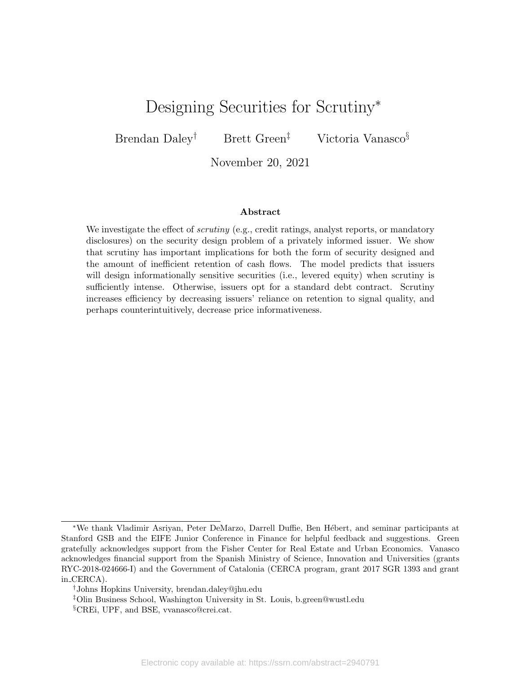# Designing Securities for Scrutiny<sup>∗</sup>

Brendan Daley<sup>†</sup> Brett Green<sup>‡</sup> Victoria Vanasco<sup>§</sup>

November 20, 2021

#### Abstract

We investigate the effect of *scrutiny* (e.g., credit ratings, analyst reports, or mandatory disclosures) on the security design problem of a privately informed issuer. We show that scrutiny has important implications for both the form of security designed and the amount of inefficient retention of cash flows. The model predicts that issuers will design informationally sensitive securities (i.e., levered equity) when scrutiny is sufficiently intense. Otherwise, issuers opt for a standard debt contract. Scrutiny increases efficiency by decreasing issuers' reliance on retention to signal quality, and perhaps counterintuitively, decrease price informativeness.

<sup>\*</sup>We thank Vladimir Asriyan, Peter DeMarzo, Darrell Duffie, Ben Hébert, and seminar participants at Stanford GSB and the EIFE Junior Conference in Finance for helpful feedback and suggestions. Green gratefully acknowledges support from the Fisher Center for Real Estate and Urban Economics. Vanasco acknowledges financial support from the Spanish Ministry of Science, Innovation and Universities (grants RYC-2018-024666-I) and the Government of Catalonia (CERCA program, grant 2017 SGR 1393 and grant in CERCA).

<sup>†</sup>Johns Hopkins University, brendan.daley@jhu.edu

<sup>‡</sup>Olin Business School, Washington University in St. Louis, b.green@wustl.edu

<sup>§</sup>CREi, UPF, and BSE, vvanasco@crei.cat.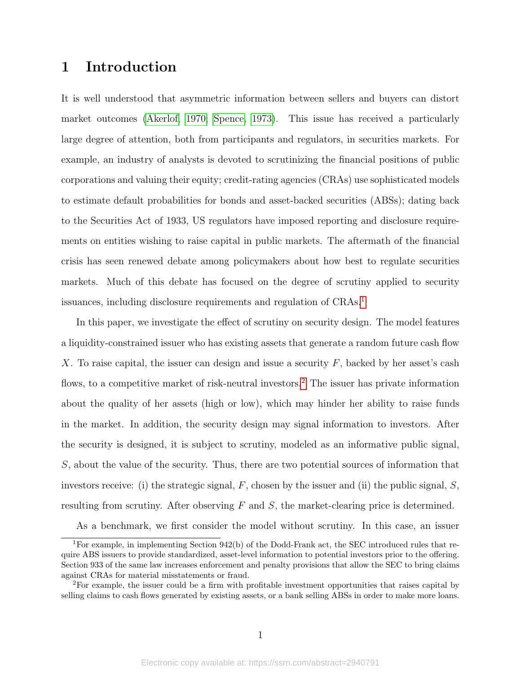# 1 Introduction

It is well understood that asymmetric information between sellers and buyers can distort market outcomes [\(Akerlof, 1970;](#page-31-0) [Spence, 1973\)](#page-33-0). This issue has received a particularly large degree of attention, both from participants and regulators, in securities markets. For example, an industry of analysts is devoted to scrutinizing the financial positions of public corporations and valuing their equity; credit-rating agencies (CRAs) use sophisticated models to estimate default probabilities for bonds and asset-backed securities (ABSs); dating back to the Securities Act of 1933, US regulators have imposed reporting and disclosure requirements on entities wishing to raise capital in public markets. The aftermath of the financial crisis has seen renewed debate among policymakers about how best to regulate securities markets. Much of this debate has focused on the degree of scrutiny applied to security issuances, including disclosure requirements and regulation of CRAs.<sup>[1](#page-1-0)</sup>

In this paper, we investigate the effect of scrutiny on security design. The model features a liquidity-constrained issuer who has existing assets that generate a random future cash flow X. To raise capital, the issuer can design and issue a security  $F$ , backed by her asset's cash flows, to a competitive market of risk-neutral investors.<sup>[2](#page-1-1)</sup> The issuer has private information about the quality of her assets (high or low), which may hinder her ability to raise funds in the market. In addition, the security design may signal information to investors. After the security is designed, it is subject to scrutiny, modeled as an informative public signal, S, about the value of the security. Thus, there are two potential sources of information that investors receive: (i) the strategic signal, F, chosen by the issuer and (ii) the public signal,  $S$ , resulting from scrutiny. After observing  $F$  and  $S$ , the market-clearing price is determined.

<span id="page-1-0"></span>As a benchmark, we first consider the model without scrutiny. In this case, an issuer

<sup>&</sup>lt;sup>1</sup>For example, in implementing Section  $942(b)$  of the Dodd-Frank act, the SEC introduced rules that require ABS issuers to provide standardized, asset-level information to potential investors prior to the offering. Section 933 of the same law increases enforcement and penalty provisions that allow the SEC to bring claims against CRAs for material misstatements or fraud.

<span id="page-1-1"></span><sup>2</sup>For example, the issuer could be a firm with profitable investment opportunities that raises capital by selling claims to cash flows generated by existing assets, or a bank selling ABSs in order to make more loans.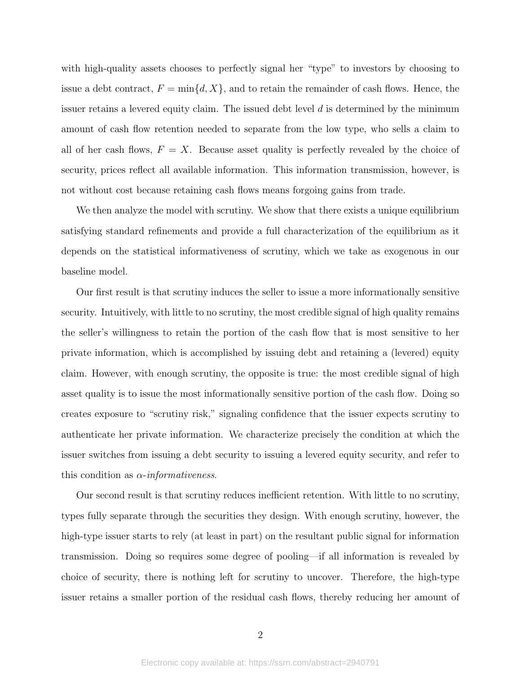with high-quality assets chooses to perfectly signal her "type" to investors by choosing to issue a debt contract,  $F = \min\{d, X\}$ , and to retain the remainder of cash flows. Hence, the issuer retains a levered equity claim. The issued debt level  $d$  is determined by the minimum amount of cash flow retention needed to separate from the low type, who sells a claim to all of her cash flows,  $F = X$ . Because asset quality is perfectly revealed by the choice of security, prices reflect all available information. This information transmission, however, is not without cost because retaining cash flows means forgoing gains from trade.

We then analyze the model with scrutiny. We show that there exists a unique equilibrium satisfying standard refinements and provide a full characterization of the equilibrium as it depends on the statistical informativeness of scrutiny, which we take as exogenous in our baseline model.

Our first result is that scrutiny induces the seller to issue a more informationally sensitive security. Intuitively, with little to no scrutiny, the most credible signal of high quality remains the seller's willingness to retain the portion of the cash flow that is most sensitive to her private information, which is accomplished by issuing debt and retaining a (levered) equity claim. However, with enough scrutiny, the opposite is true: the most credible signal of high asset quality is to issue the most informationally sensitive portion of the cash flow. Doing so creates exposure to "scrutiny risk," signaling confidence that the issuer expects scrutiny to authenticate her private information. We characterize precisely the condition at which the issuer switches from issuing a debt security to issuing a levered equity security, and refer to this condition as  $\alpha$ -*informativeness*.

Our second result is that scrutiny reduces inefficient retention. With little to no scrutiny, types fully separate through the securities they design. With enough scrutiny, however, the high-type issuer starts to rely (at least in part) on the resultant public signal for information transmission. Doing so requires some degree of pooling—if all information is revealed by choice of security, there is nothing left for scrutiny to uncover. Therefore, the high-type issuer retains a smaller portion of the residual cash flows, thereby reducing her amount of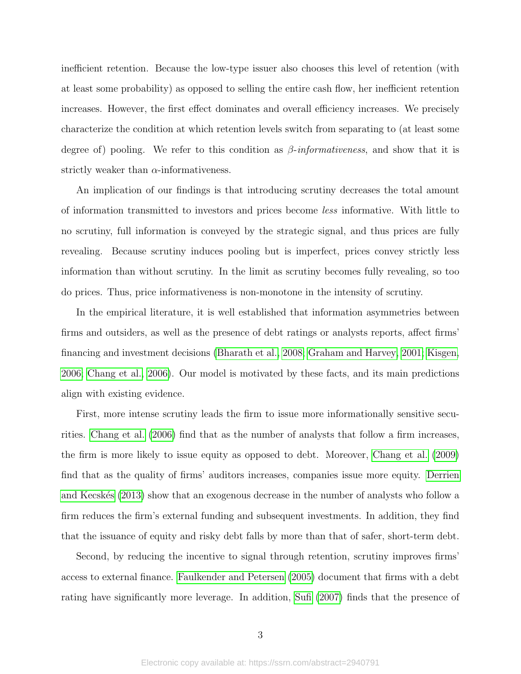inefficient retention. Because the low-type issuer also chooses this level of retention (with at least some probability) as opposed to selling the entire cash flow, her inefficient retention increases. However, the first effect dominates and overall efficiency increases. We precisely characterize the condition at which retention levels switch from separating to (at least some degree of) pooling. We refer to this condition as  $\beta$ -informativeness, and show that it is strictly weaker than  $\alpha$ -informativeness.

An implication of our findings is that introducing scrutiny decreases the total amount of information transmitted to investors and prices become less informative. With little to no scrutiny, full information is conveyed by the strategic signal, and thus prices are fully revealing. Because scrutiny induces pooling but is imperfect, prices convey strictly less information than without scrutiny. In the limit as scrutiny becomes fully revealing, so too do prices. Thus, price informativeness is non-monotone in the intensity of scrutiny.

In the empirical literature, it is well established that information asymmetries between firms and outsiders, as well as the presence of debt ratings or analysts reports, affect firms' financing and investment decisions [\(Bharath et al., 2008;](#page-31-1) [Graham and Harvey, 2001;](#page-32-0) [Kisgen,](#page-32-1) [2006;](#page-32-1) [Chang et al., 2006\)](#page-31-2). Our model is motivated by these facts, and its main predictions align with existing evidence.

First, more intense scrutiny leads the firm to issue more informationally sensitive securities. [Chang et al.](#page-31-2) [\(2006\)](#page-31-2) find that as the number of analysts that follow a firm increases, the firm is more likely to issue equity as opposed to debt. Moreover, [Chang et al.](#page-31-3) [\(2009\)](#page-31-3) find that as the quality of firms' auditors increases, companies issue more equity. [Derrien](#page-32-2) and Kecskés [\(2013\)](#page-32-2) show that an exogenous decrease in the number of analysts who follow a firm reduces the firm's external funding and subsequent investments. In addition, they find that the issuance of equity and risky debt falls by more than that of safer, short-term debt.

Second, by reducing the incentive to signal through retention, scrutiny improves firms' access to external finance. [Faulkender and Petersen](#page-32-3) [\(2005\)](#page-32-3) document that firms with a debt rating have significantly more leverage. In addition, [Sufi](#page-33-1) [\(2007\)](#page-33-1) finds that the presence of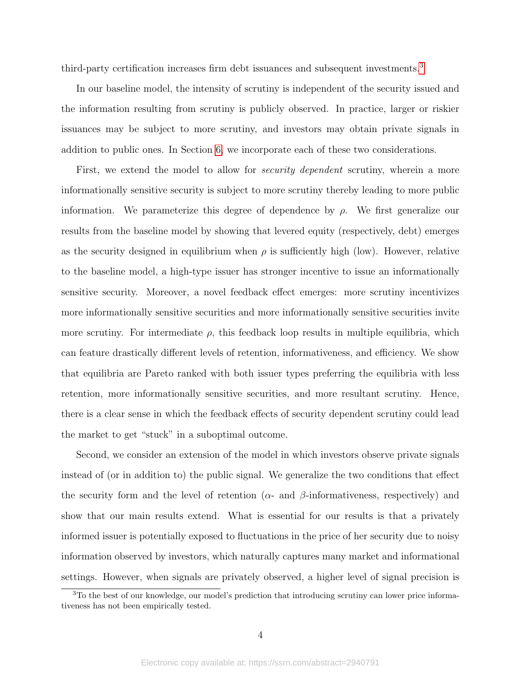third-party certification increases firm debt issuances and subsequent investments.[3](#page-4-0)

In our baseline model, the intensity of scrutiny is independent of the security issued and the information resulting from scrutiny is publicly observed. In practice, larger or riskier issuances may be subject to more scrutiny, and investors may obtain private signals in addition to public ones. In Section [6,](#page-19-0) we incorporate each of these two considerations.

First, we extend the model to allow for *security dependent* scrutiny, wherein a more informationally sensitive security is subject to more scrutiny thereby leading to more public information. We parameterize this degree of dependence by  $\rho$ . We first generalize our results from the baseline model by showing that levered equity (respectively, debt) emerges as the security designed in equilibrium when  $\rho$  is sufficiently high (low). However, relative to the baseline model, a high-type issuer has stronger incentive to issue an informationally sensitive security. Moreover, a novel feedback effect emerges: more scrutiny incentivizes more informationally sensitive securities and more informationally sensitive securities invite more scrutiny. For intermediate  $\rho$ , this feedback loop results in multiple equilibria, which can feature drastically different levels of retention, informativeness, and efficiency. We show that equilibria are Pareto ranked with both issuer types preferring the equilibria with less retention, more informationally sensitive securities, and more resultant scrutiny. Hence, there is a clear sense in which the feedback effects of security dependent scrutiny could lead the market to get "stuck" in a suboptimal outcome.

Second, we consider an extension of the model in which investors observe private signals instead of (or in addition to) the public signal. We generalize the two conditions that effect the security form and the level of retention ( $\alpha$ - and  $\beta$ -informativeness, respectively) and show that our main results extend. What is essential for our results is that a privately informed issuer is potentially exposed to fluctuations in the price of her security due to noisy information observed by investors, which naturally captures many market and informational settings. However, when signals are privately observed, a higher level of signal precision is

<span id="page-4-0"></span><sup>3</sup>To the best of our knowledge, our model's prediction that introducing scrutiny can lower price informativeness has not been empirically tested.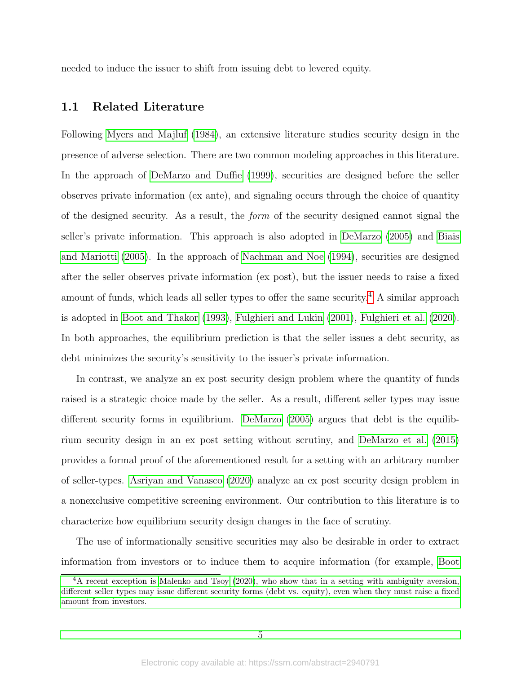needed to induce the issuer to shift from issuing debt to levered equity.

## 1.1 Related Literature

Following [Myers and Majluf](#page-33-2) [\(1984\)](#page-33-2), an extensive literature studies security design in the presence of adverse selection. There are two common modeling approaches in this literature. In the approach of [DeMarzo and Duffie](#page-32-4) [\(1999\)](#page-32-4), securities are designed before the seller observes private information (ex ante), and signaling occurs through the choice of quantity of the designed security. As a result, the form of the security designed cannot signal the seller's private information. This approach is also adopted in [DeMarzo](#page-32-5) [\(2005\)](#page-32-5) and [Biais](#page-31-4) [and Mariotti](#page-31-4) [\(2005\)](#page-31-4). In the approach of [Nachman and Noe](#page-33-3) [\(1994\)](#page-33-3), securities are designed after the seller observes private information (ex post), but the issuer needs to raise a fixed amount of funds, which leads all seller types to offer the same security.<sup>[4](#page-5-0)</sup> A similar approach is adopted in [Boot and Thakor](#page-31-5) [\(1993\)](#page-31-5), [Fulghieri and Lukin](#page-32-6) [\(2001\)](#page-32-6), [Fulghieri et al.](#page-32-7) [\(2020\)](#page-32-7). In both approaches, the equilibrium prediction is that the seller issues a debt security, as debt minimizes the security's sensitivity to the issuer's private information.

In contrast, we analyze an ex post security design problem where the quantity of funds raised is a strategic choice made by the seller. As a result, different seller types may issue different security forms in equilibrium. [DeMarzo](#page-32-5) [\(2005\)](#page-32-5) argues that debt is the equilibrium security design in an ex post setting without scrutiny, and [DeMarzo et al.](#page-32-8) [\(2015\)](#page-32-8) provides a formal proof of the aforementioned result for a setting with an arbitrary number of seller-types. [Asriyan and Vanasco](#page-31-6) [\(2020\)](#page-31-6) analyze an ex post security design problem in a nonexclusive competitive screening environment. Our contribution to this literature is to characterize how equilibrium security design changes in the face of scrutiny.

The use of informationally sensitive securities may also be desirable in order to extract information from investors or to induce them to acquire information (for example, [Boot](#page-31-5)

<span id="page-5-0"></span><sup>4</sup>[A recent exception is Malenko and Tsoy \(2020\), who show that in a setting with ambiguity aversion,](#page-31-5) [different seller types may issue different security forms \(debt vs. equity\), even when they must raise a fixed](#page-31-5) [amount from investors.](#page-31-5)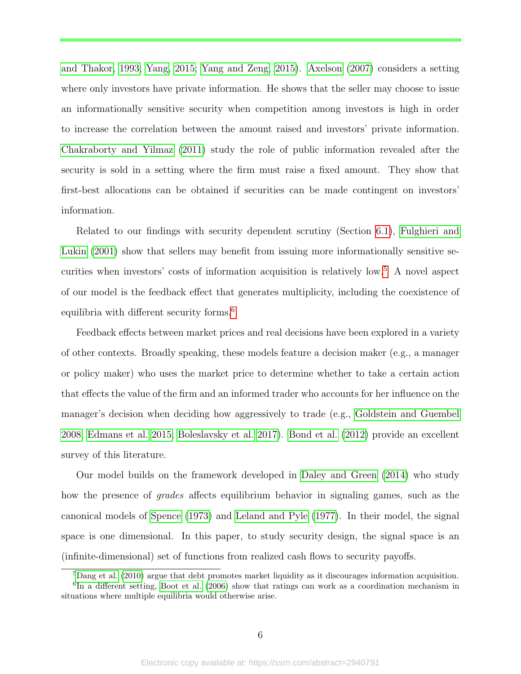[and Thakor, 1993;](#page-31-5) [Yang, 2015;](#page-33-4) [Yang and Zeng, 2015\)](#page-33-5). [Axelson](#page-31-7) [\(2007\)](#page-31-7) considers a setting where only investors have private information. He shows that the seller may choose to issue an informationally sensitive security when competition among investors is high in order to increase the correlation between the amount raised and investors' private information. [Chakraborty and Yilmaz](#page-31-8) [\(2011\)](#page-31-8) study the role of public information revealed after the security is sold in a setting where the firm must raise a fixed amount. They show that first-best allocations can be obtained if securities can be made contingent on investors' information.

Related to our findings with security dependent scrutiny (Section [6.1\)](#page-20-0), [Fulghieri and](#page-32-6) [Lukin](#page-32-6) [\(2001\)](#page-32-6) show that sellers may benefit from issuing more informationally sensitive se-curities when investors' costs of information acquisition is relatively low.<sup>[5](#page-6-0)</sup> A novel aspect of our model is the feedback effect that generates multiplicity, including the coexistence of equilibria with different security forms.<sup>[6](#page-6-1)</sup>

Feedback effects between market prices and real decisions have been explored in a variety of other contexts. Broadly speaking, these models feature a decision maker (e.g., a manager or policy maker) who uses the market price to determine whether to take a certain action that effects the value of the firm and an informed trader who accounts for her influence on the manager's decision when deciding how aggressively to trade (e.g., [Goldstein and Guembel](#page-32-10) [2008;](#page-32-10) [Edmans et al. 2015;](#page-32-11) [Boleslavsky et al. 2017\)](#page-31-9). [Bond et al.](#page-31-10) [\(2012\)](#page-31-10) provide an excellent survey of this literature.

Our model builds on the framework developed in [Daley and Green](#page-31-11) [\(2014\)](#page-31-11) who study how the presence of *grades* affects equilibrium behavior in signaling games, such as the canonical models of [Spence](#page-33-0) [\(1973\)](#page-33-0) and [Leland and Pyle](#page-32-12) [\(1977\)](#page-32-12). In their model, the signal space is one dimensional. In this paper, to study security design, the signal space is an (infinite-dimensional) set of functions from realized cash flows to security payoffs.

<span id="page-6-1"></span><span id="page-6-0"></span><sup>5</sup>[Dang et al.](#page-31-12) [\(2010\)](#page-31-12) argue that debt promotes market liquidity as it discourages information acquisition. <sup>6</sup>In a different setting, [Boot et al.](#page-31-13) [\(2006\)](#page-31-13) show that ratings can work as a coordination mechanism in

situations where multiple equilibria would otherwise arise.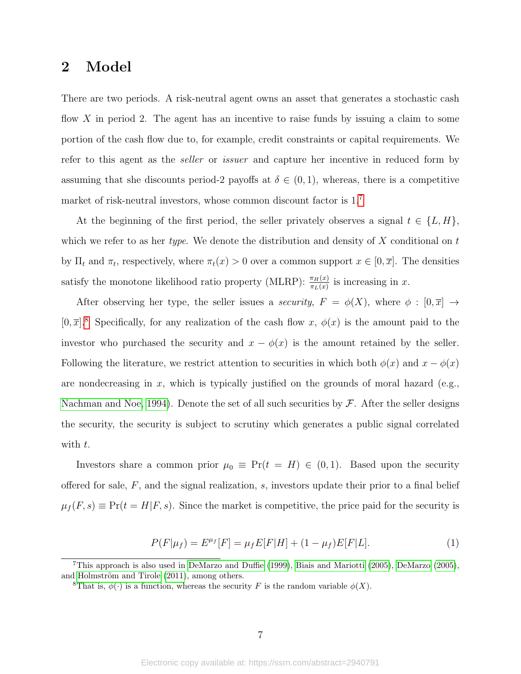# 2 Model

There are two periods. A risk-neutral agent owns an asset that generates a stochastic cash flow X in period 2. The agent has an incentive to raise funds by issuing a claim to some portion of the cash flow due to, for example, credit constraints or capital requirements. We refer to this agent as the seller or issuer and capture her incentive in reduced form by assuming that she discounts period-2 payoffs at  $\delta \in (0,1)$ , whereas, there is a competitive market of risk-neutral investors, whose common discount factor is  $1<sup>7</sup>$  $1<sup>7</sup>$  $1<sup>7</sup>$ 

At the beginning of the first period, the seller privately observes a signal  $t \in \{L, H\}$ , which we refer to as her type. We denote the distribution and density of  $X$  conditional on  $t$ by  $\Pi_t$  and  $\pi_t$ , respectively, where  $\pi_t(x) > 0$  over a common support  $x \in [0, \overline{x}]$ . The densities satisfy the monotone likelihood ratio property (MLRP):  $\frac{\pi_H(x)}{\pi_L(x)}$  is increasing in x.

After observing her type, the seller issues a *security*,  $F = \phi(X)$ , where  $\phi : [0, \overline{x}] \rightarrow$  $[0, \overline{x}]$ .<sup>[8](#page-7-1)</sup> Specifically, for any realization of the cash flow x,  $\phi(x)$  is the amount paid to the investor who purchased the security and  $x - \phi(x)$  is the amount retained by the seller. Following the literature, we restrict attention to securities in which both  $\phi(x)$  and  $x - \phi(x)$ are nondecreasing in  $x$ , which is typically justified on the grounds of moral hazard (e.g., [Nachman and Noe, 1994\)](#page-33-3). Denote the set of all such securities by  $\mathcal{F}$ . After the seller designs the security, the security is subject to scrutiny which generates a public signal correlated with  $t$ .

Investors share a common prior  $\mu_0 \equiv \Pr(t = H) \in (0, 1)$ . Based upon the security offered for sale,  $F$ , and the signal realization,  $s$ , investors update their prior to a final belief  $\mu_f(F, s) \equiv Pr(t = H|F, s)$ . Since the market is competitive, the price paid for the security is

<span id="page-7-2"></span>
$$
P(F|\mu_f) = E^{\mu_f}[F] = \mu_f E[F|H] + (1 - \mu_f)E[F|L].
$$
\n(1)

<span id="page-7-0"></span><sup>7</sup>This approach is also used in [DeMarzo and Duffie](#page-32-4) [\(1999\)](#page-32-4), [Biais and Mariotti](#page-31-4) [\(2005\)](#page-31-4), [DeMarzo](#page-32-5) [\(2005\)](#page-32-5), and Holmström and Tirole  $(2011)$ , among others.

<span id="page-7-1"></span><sup>&</sup>lt;sup>8</sup>That is,  $\phi(\cdot)$  is a function, whereas the security F is the random variable  $\phi(X)$ .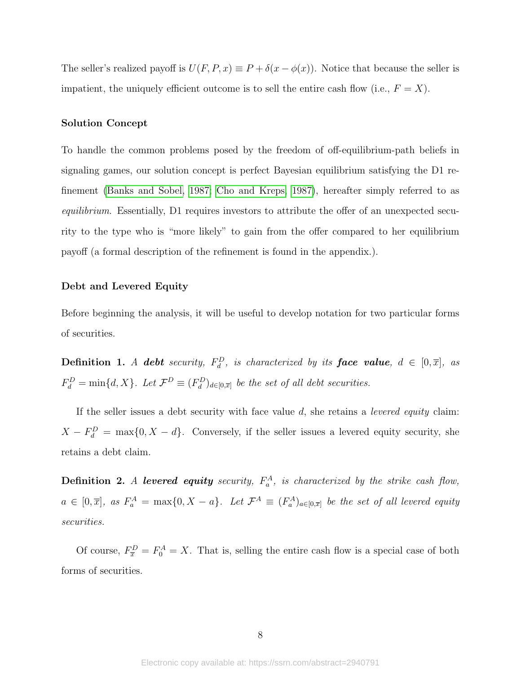The seller's realized payoff is  $U(F, P, x) \equiv P + \delta(x - \phi(x))$ . Notice that because the seller is impatient, the uniquely efficient outcome is to sell the entire cash flow (i.e.,  $F = X$ ).

#### Solution Concept

To handle the common problems posed by the freedom of off-equilibrium-path beliefs in signaling games, our solution concept is perfect Bayesian equilibrium satisfying the D1 refinement [\(Banks and Sobel, 1987;](#page-31-14) [Cho and Kreps, 1987\)](#page-31-15), hereafter simply referred to as equilibrium. Essentially, D1 requires investors to attribute the offer of an unexpected security to the type who is "more likely" to gain from the offer compared to her equilibrium payoff (a formal description of the refinement is found in the appendix.).

### Debt and Levered Equity

Before beginning the analysis, it will be useful to develop notation for two particular forms of securities.

**Definition 1.** A **debt** security,  $F_d^D$ , is characterized by its **face value**,  $d \in [0,\overline{x}]$ , as  $F_d^D = \min\{d, X\}$ . Let  $\mathcal{F}^D \equiv (F_d^D)_{d \in [0, \overline{x}]}$  be the set of all debt securities.

If the seller issues a debt security with face value  $d$ , she retains a *levered equity* claim:  $X - F_d^D = \max\{0, X - d\}.$  Conversely, if the seller issues a levered equity security, she retains a debt claim.

**Definition 2.** A levered equity security,  $F_a^A$ , is characterized by the strike cash flow,  $a \in [0,\overline{x}]$ , as  $F_a^A = \max\{0, X - a\}$ . Let  $\mathcal{F}^A \equiv (F_a^A)_{a \in [0,\overline{x}]}$  be the set of all levered equity securities.

Of course,  $F_{\overline{x}}^D = F_0^A = X$ . That is, selling the entire cash flow is a special case of both forms of securities.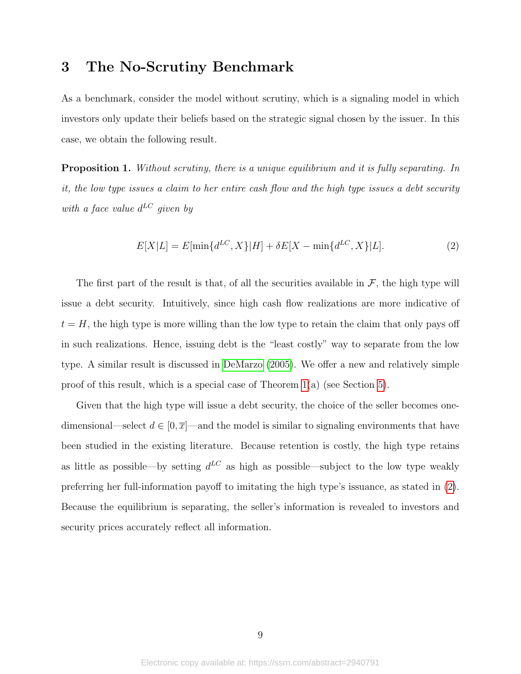# 3 The No-Scrutiny Benchmark

As a benchmark, consider the model without scrutiny, which is a signaling model in which investors only update their beliefs based on the strategic signal chosen by the issuer. In this case, we obtain the following result.

<span id="page-9-1"></span>**Proposition 1.** Without scrutiny, there is a unique equilibrium and it is fully separating. In it, the low type issues a claim to her entire cash flow and the high type issues a debt security with a face value  $d^{LC}$  given by

<span id="page-9-0"></span>
$$
E[X|L] = E[\min\{d^{LC}, X\}|H] + \delta E[X - \min\{d^{LC}, X\}|L].
$$
\n(2)

The first part of the result is that, of all the securities available in  $\mathcal{F}$ , the high type will issue a debt security. Intuitively, since high cash flow realizations are more indicative of  $t = H$ , the high type is more willing than the low type to retain the claim that only pays off in such realizations. Hence, issuing debt is the "least costly" way to separate from the low type. A similar result is discussed in [DeMarzo](#page-32-5) [\(2005\)](#page-32-5). We offer a new and relatively simple proof of this result, which is a special case of Theorem [1\(](#page-12-0)a) (see Section [5\)](#page-11-0).

Given that the high type will issue a debt security, the choice of the seller becomes onedimensional—select  $d \in [0, \overline{x}]$ —and the model is similar to signaling environments that have been studied in the existing literature. Because retention is costly, the high type retains as little as possible—by setting  $d^{LC}$  as high as possible—subject to the low type weakly preferring her full-information payoff to imitating the high type's issuance, as stated in [\(2\)](#page-9-0). Because the equilibrium is separating, the seller's information is revealed to investors and security prices accurately reflect all information.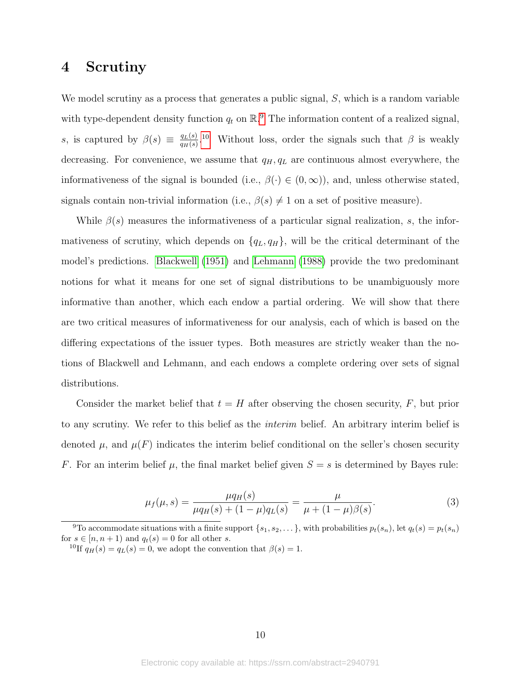# <span id="page-10-2"></span>4 Scrutiny

We model scrutiny as a process that generates a public signal, S, which is a random variable with type-dependent density function  $q_t$  on  $\mathbb{R}^9$  $\mathbb{R}^9$ . The information content of a realized signal, s, is captured by  $\beta(s) \equiv \frac{q_L(s)}{q_L(s)}$  $\frac{q_L(s)}{q_H(s)}$ <sup>[10](#page-10-1)</sup> Without loss, order the signals such that  $\beta$  is weakly decreasing. For convenience, we assume that  $q_H, q_L$  are continuous almost everywhere, the informativeness of the signal is bounded (i.e.,  $\beta(\cdot) \in (0,\infty)$ ), and, unless otherwise stated, signals contain non-trivial information (i.e.,  $\beta(s) \neq 1$  on a set of positive measure).

While  $\beta(s)$  measures the informativeness of a particular signal realization, s, the informativeness of scrutiny, which depends on  $\{q_L, q_H\}$ , will be the critical determinant of the model's predictions. [Blackwell](#page-31-16) [\(1951\)](#page-31-16) and [Lehmann](#page-32-14) [\(1988\)](#page-32-14) provide the two predominant notions for what it means for one set of signal distributions to be unambiguously more informative than another, which each endow a partial ordering. We will show that there are two critical measures of informativeness for our analysis, each of which is based on the differing expectations of the issuer types. Both measures are strictly weaker than the notions of Blackwell and Lehmann, and each endows a complete ordering over sets of signal distributions.

Consider the market belief that  $t = H$  after observing the chosen security, F, but prior to any scrutiny. We refer to this belief as the interim belief. An arbitrary interim belief is denoted  $\mu$ , and  $\mu(F)$  indicates the interim belief conditional on the seller's chosen security F. For an interim belief  $\mu$ , the final market belief given  $S = s$  is determined by Bayes rule:

$$
\mu_f(\mu, s) = \frac{\mu q_H(s)}{\mu q_H(s) + (1 - \mu) q_L(s)} = \frac{\mu}{\mu + (1 - \mu)\beta(s)}.
$$
\n(3)

<span id="page-10-0"></span><sup>&</sup>lt;sup>9</sup>To accommodate situations with a finite support  $\{s_1, s_2, \ldots\}$ , with probabilities  $p_t(s_n)$ , let  $q_t(s) = p_t(s_n)$ for  $s \in [n, n+1)$  and  $q_t(s) = 0$  for all other s.

<span id="page-10-1"></span><sup>&</sup>lt;sup>10</sup>If  $q_H(s) = q_L(s) = 0$ , we adopt the convention that  $\beta(s) = 1$ .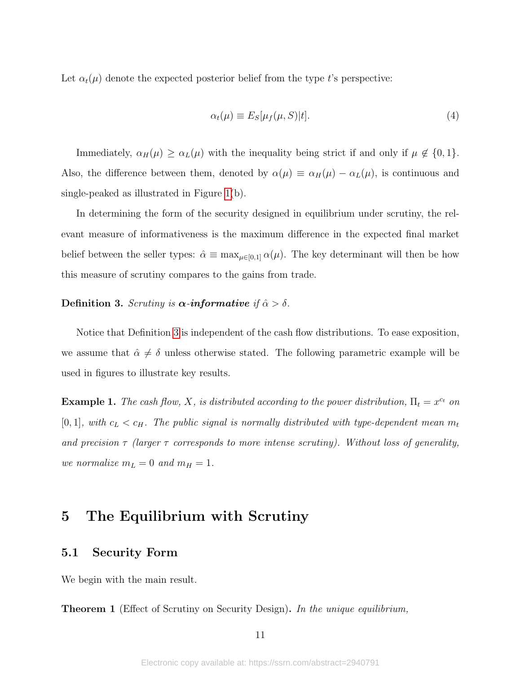Let  $\alpha_t(\mu)$  denote the expected posterior belief from the type t's perspective:

<span id="page-11-2"></span>
$$
\alpha_t(\mu) \equiv E_S[\mu_f(\mu, S)|t]. \tag{4}
$$

Immediately,  $\alpha_H(\mu) \geq \alpha_L(\mu)$  with the inequality being strict if and only if  $\mu \notin \{0, 1\}$ . Also, the difference between them, denoted by  $\alpha(\mu) \equiv \alpha_H(\mu) - \alpha_L(\mu)$ , is continuous and single-peaked as illustrated in Figure [1\(](#page-12-1)b).

In determining the form of the security designed in equilibrium under scrutiny, the relevant measure of informativeness is the maximum difference in the expected final market belief between the seller types:  $\hat{\alpha} \equiv \max_{\mu \in [0,1]} \alpha(\mu)$ . The key determinant will then be how this measure of scrutiny compares to the gains from trade.

# <span id="page-11-1"></span>Definition 3. Scruting is  $\alpha$ -informative if  $\hat{\alpha} > \delta$ .

Notice that Definition [3](#page-11-1) is independent of the cash flow distributions. To ease exposition, we assume that  $\hat{\alpha} \neq \delta$  unless otherwise stated. The following parametric example will be used in figures to illustrate key results.

<span id="page-11-3"></span>**Example 1.** The cash flow, X, is distributed according to the power distribution,  $\Pi_t = x^{c_t}$  on [0, 1], with  $c_L < c_H$ . The public signal is normally distributed with type-dependent mean  $m_t$ and precision  $\tau$  (larger  $\tau$  corresponds to more intense scrutiny). Without loss of generality, we normalize  $m_L = 0$  and  $m_H = 1$ .

# <span id="page-11-0"></span>5 The Equilibrium with Scrutiny

## 5.1 Security Form

We begin with the main result.

**Theorem 1** (Effect of Scrutiny on Security Design). In the unique equilibrium,

11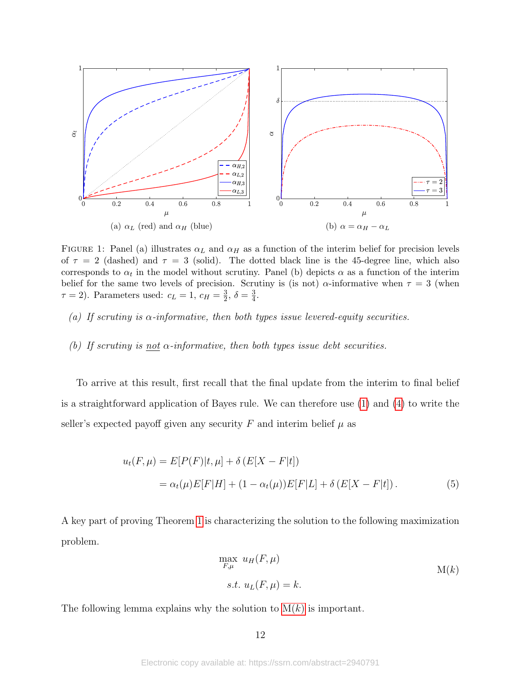<span id="page-12-1"></span>

FIGURE 1: Panel (a) illustrates  $\alpha_L$  and  $\alpha_H$  as a function of the interim belief for precision levels of  $\tau = 2$  (dashed) and  $\tau = 3$  (solid). The dotted black line is the 45-degree line, which also corresponds to  $\alpha_t$  in the model without scrutiny. Panel (b) depicts  $\alpha$  as a function of the interim belief for the same two levels of precision. Scrutiny is (is not)  $\alpha$ -informative when  $\tau = 3$  (when  $\tau = 2$ ). Parameters used:  $c_L = 1, c_H = \frac{3}{2}$  $\frac{3}{2}, \delta = \frac{3}{4}$  $\frac{3}{4}$ .

- <span id="page-12-0"></span>(a) If scrutiny is  $\alpha$ -informative, then both types issue levered-equity securities.
- (b) If scrutiny is <u>not</u>  $\alpha$ -informative, then both types issue debt securities.

To arrive at this result, first recall that the final update from the interim to final belief is a straightforward application of Bayes rule. We can therefore use [\(1\)](#page-7-2) and [\(4\)](#page-11-2) to write the seller's expected payoff given any security F and interim belief  $\mu$  as

$$
u_t(F, \mu) = E[P(F)|t, \mu] + \delta(E[X - F|t])
$$
  
=  $\alpha_t(\mu)E[F|H] + (1 - \alpha_t(\mu))E[F|L] + \delta(E[X - F|t]).$  (5)

A key part of proving Theorem [1](#page-12-0) is characterizing the solution to the following maximization problem.

<span id="page-12-3"></span>
$$
\max_{F,\mu} u_H(F,\mu)
$$
  
s.t.  $u_L(F,\mu) = k$ .  

$$
M(k)
$$

The following lemma explains why the solution to  $M(k)$  is important.

<span id="page-12-2"></span>12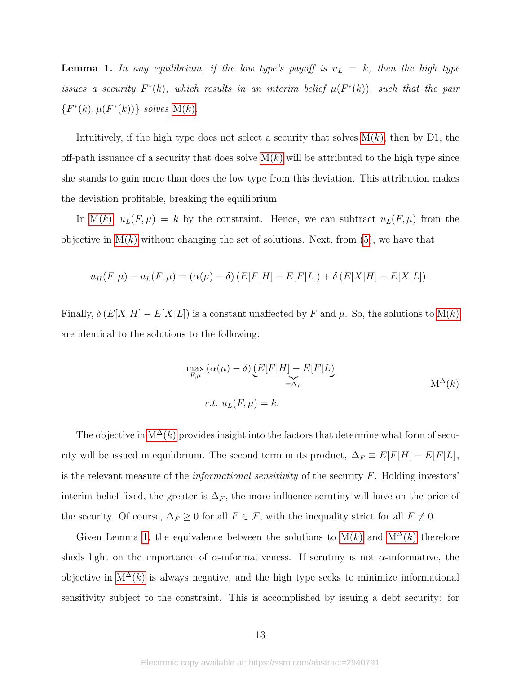<span id="page-13-1"></span>**Lemma 1.** In any equilibrium, if the low type's payoff is  $u_L = k$ , then the high type issues a security  $F^*(k)$ , which results in an interim belief  $\mu(F^*(k))$ , such that the pair  $\{F^*(k), \mu(F^*(k))\}$  solves  $M(k)$  $M(k)$ .

Intuitively, if the high type does not select a security that solves  $M(k)$ , then by D1, the off-path issuance of a security that does solve  $M(k)$  will be attributed to the high type since she stands to gain more than does the low type from this deviation. This attribution makes the deviation profitable, breaking the equilibrium.

In [M\(](#page-12-2)k),  $u_L(F, \mu) = k$  by the constraint. Hence, we can subtract  $u_L(F, \mu)$  from the objective in  $M(k)$  without changing the set of solutions. Next, from [\(5\)](#page-12-3), we have that

$$
u_H(F,\mu) - u_L(F,\mu) = (\alpha(\mu) - \delta) \left( E[F|H] - E[F|L] \right) + \delta \left( E[X|H] - E[X|L] \right).
$$

Finally,  $\delta(E[X|H] - E[X|L])$  is a constant unaffected by F and  $\mu$ . So, the solutions to  $M(k)$ are identical to the solutions to the following:

<span id="page-13-0"></span>
$$
\max_{F,\mu} (\alpha(\mu) - \delta) \underbrace{(E[F|H] - E[F|L)}_{\equiv \Delta_F} \qquad \qquad \mathcal{M}^{\Delta}(k)
$$
\n
$$
s.t. \ u_L(F, \mu) = k.
$$

The objective in  $M^{\Delta}(k)$  provides insight into the factors that determine what form of security will be issued in equilibrium. The second term in its product,  $\Delta_F \equiv E[F|H] - E[F|L]$ , is the relevant measure of the informational sensitivity of the security F. Holding investors' interim belief fixed, the greater is  $\Delta_F$ , the more influence scrutiny will have on the price of the security. Of course,  $\Delta_F \ge 0$  for all  $F \in \mathcal{F}$ , with the inequality strict for all  $F \ne 0$ .

Given Lemma [1,](#page-13-1) the equivalence between the solutions to  $M(k)$  and  $M^{\Delta}(k)$  therefore sheds light on the importance of  $\alpha$ -informativeness. If scrutiny is not  $\alpha$ -informative, the objective in  $M^{\Delta}(k)$  is always negative, and the high type seeks to minimize informational sensitivity subject to the constraint. This is accomplished by issuing a debt security: for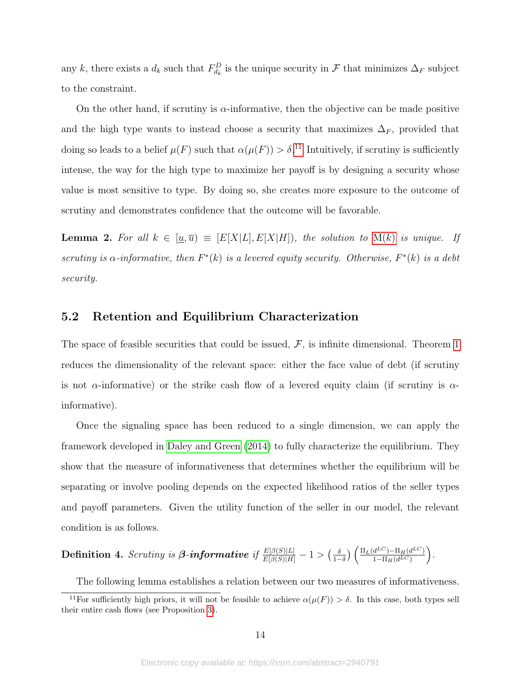any k, there exists a  $d_k$  such that  $F_{d_k}^D$  is the unique security in  $\mathcal F$  that minimizes  $\Delta_F$  subject to the constraint.

On the other hand, if scrutiny is  $\alpha$ -informative, then the objective can be made positive and the high type wants to instead choose a security that maximizes  $\Delta_F$ , provided that doing so leads to a belief  $\mu(F)$  such that  $\alpha(\mu(F)) > \delta$ .<sup>[11](#page-14-0)</sup> Intuitively, if scrutiny is sufficiently intense, the way for the high type to maximize her payoff is by designing a security whose value is most sensitive to type. By doing so, she creates more exposure to the outcome of scrutiny and demonstrates confidence that the outcome will be favorable.

<span id="page-14-2"></span>**Lemma 2.** For all  $k \in [\underline{u}, \overline{u}] \equiv [E[X|L], E[X|H])$ , the solution to  $M(k)$  $M(k)$  is unique. If scrutiny is  $\alpha$ -informative, then  $F^*(k)$  is a levered equity security. Otherwise,  $F^*(k)$  is a debt security.

### 5.2 Retention and Equilibrium Characterization

The space of feasible securities that could be issued,  $F$ , is infinite dimensional. Theorem [1](#page-12-0) reduces the dimensionality of the relevant space: either the face value of debt (if scrutiny is not  $\alpha$ -informative) or the strike cash flow of a levered equity claim (if scrutiny is  $\alpha$ informative).

Once the signaling space has been reduced to a single dimension, we can apply the framework developed in [Daley and Green](#page-31-11) [\(2014\)](#page-31-11) to fully characterize the equilibrium. They show that the measure of informativeness that determines whether the equilibrium will be separating or involve pooling depends on the expected likelihood ratios of the seller types and payoff parameters. Given the utility function of the seller in our model, the relevant condition is as follows.

<span id="page-14-1"></span>**Definition 4.** *Scruting is* 
$$
\beta
$$
**-informative** *if*  $\frac{E[\beta(S)|L]}{E[\beta(S)|H]} - 1 > (\frac{\delta}{1-\delta}) \left( \frac{\Pi_L(d^{LC}) - \Pi_H(d^{LC})}{1 - \Pi_H(d^{LC})} \right)$ .

<span id="page-14-0"></span>The following lemma establishes a relation between our two measures of informativeness.

<sup>&</sup>lt;sup>11</sup>For sufficiently high priors, it will not be feasible to achieve  $\alpha(\mu(F)) > \delta$ . In this case, both types sell their entire cash flows (see Proposition [3\)](#page-19-1).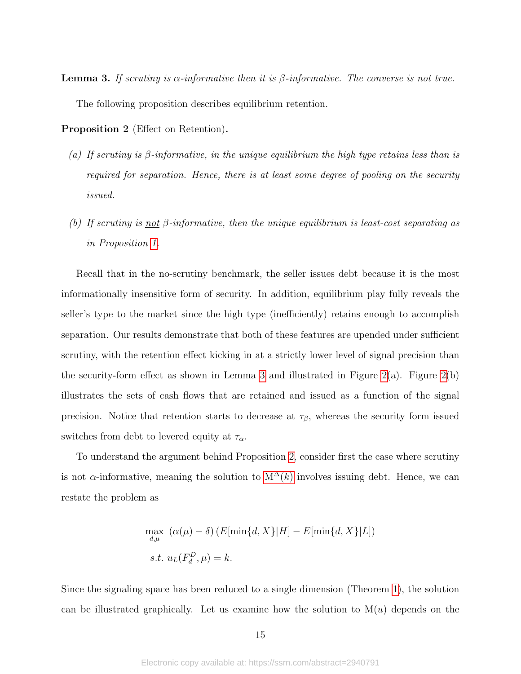<span id="page-15-0"></span>**Lemma 3.** If scruting is  $\alpha$ -informative then it is  $\beta$ -informative. The converse is not true. The following proposition describes equilibrium retention.

Proposition 2 (Effect on Retention).

- (a) If scrutiny is  $\beta$ -informative, in the unique equilibrium the high type retains less than is required for separation. Hence, there is at least some degree of pooling on the security issued.
- <span id="page-15-1"></span>(b) If scrutiny is not  $\beta$ -informative, then the unique equilibrium is least-cost separating as in Proposition [1.](#page-9-1)

Recall that in the no-scrutiny benchmark, the seller issues debt because it is the most informationally insensitive form of security. In addition, equilibrium play fully reveals the seller's type to the market since the high type (inefficiently) retains enough to accomplish separation. Our results demonstrate that both of these features are upended under sufficient scrutiny, with the retention effect kicking in at a strictly lower level of signal precision than the security-form effect as shown in Lemma [3](#page-15-0) and illustrated in Figure [2\(](#page-16-0)a). Figure 2(b) illustrates the sets of cash flows that are retained and issued as a function of the signal precision. Notice that retention starts to decrease at  $\tau_{\beta}$ , whereas the security form issued switches from debt to levered equity at  $\tau_{\alpha}$ .

To understand the argument behind Proposition [2,](#page-15-1) consider first the case where scrutiny is not  $\alpha$ -informative, meaning the solution to  $M^{\Delta}(k)$  involves issuing debt. Hence, we can restate the problem as

$$
\max_{d,\mu} \left( \alpha(\mu) - \delta \right) \left( E[\min\{d, X\} | H] - E[\min\{d, X\} | L] \right)
$$
  
s.t.  $u_L(F_d^D, \mu) = k$ .

Since the signaling space has been reduced to a single dimension (Theorem [1\)](#page-12-0), the solution can be illustrated graphically. Let us examine how the solution to  $M(u)$  depends on the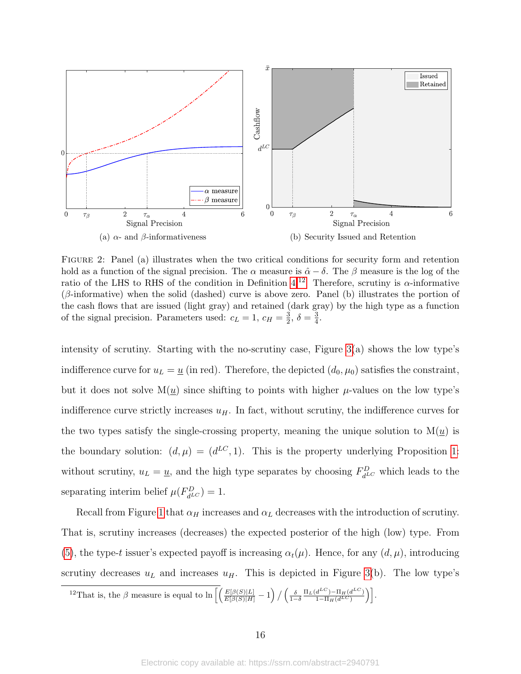<span id="page-16-0"></span>

Figure 2: Panel (a) illustrates when the two critical conditions for security form and retention hold as a function of the signal precision. The  $\alpha$  measure is  $\hat{\alpha} - \delta$ . The  $\beta$  measure is the log of the ratio of the LHS to RHS of the condition in Definition [4.](#page-14-1)<sup>[12](#page-16-1)</sup> Therefore, scrutiny is  $\alpha$ -informative  $(\beta\text{-informative})$  when the solid (dashed) curve is above zero. Panel (b) illustrates the portion of the cash flows that are issued (light gray) and retained (dark gray) by the high type as a function of the signal precision. Parameters used:  $c_L = 1, c_H = \frac{3}{2}$  $\frac{3}{2}, \delta = \frac{3}{4}$  $\frac{3}{4}$ .

intensity of scrutiny. Starting with the no-scrutiny case, Figure [3\(](#page-17-0)a) shows the low type's indifference curve for  $u_L = \underline{u}$  (in red). Therefore, the depicted  $(d_0, \mu_0)$  satisfies the constraint, but it does not solve  $M(u)$  since shifting to points with higher  $\mu$ -values on the low type's indifference curve strictly increases  $u_H$ . In fact, without scrutiny, the indifference curves for the two types satisfy the single-crossing property, meaning the unique solution to  $M(u)$  is the boundary solution:  $(d, \mu) = (d^{LC}, 1)$ . This is the property underlying Proposition [1:](#page-9-1) without scrutiny,  $u_L = \underline{u}$ , and the high type separates by choosing  $F_{dL}^D$  which leads to the separating interim belief  $\mu(F_{d^{LC}}^D) = 1$ .

Recall from Figure [1](#page-12-1) that  $\alpha_H$  increases and  $\alpha_L$  decreases with the introduction of scrutiny. That is, scrutiny increases (decreases) the expected posterior of the high (low) type. From [\(5\)](#page-12-3), the type-t issuer's expected payoff is increasing  $\alpha_t(\mu)$ . Hence, for any  $(d, \mu)$ , introducing scrutiny decreases  $u<sub>L</sub>$  and increases  $u<sub>H</sub>$ . This is depicted in Figure [3\(](#page-17-0)b). The low type's

<span id="page-16-1"></span><sup>12</sup>That is, the β measure is equal to  $\ln \left[ \left( \frac{E[\beta(S)|L]}{E[\beta(S)|H]} - 1 \right) / \left( \frac{\delta}{1-\delta} \frac{\Pi_L(d^{LC}) - \Pi_H(d^{LC})}{1-\Pi_H(d^{LC})} \right) \right]$  $\left. \frac{d^{LC}) - \Pi_H(d^{LC})}{1 - \Pi_H(d^{LC})} \right) \right].$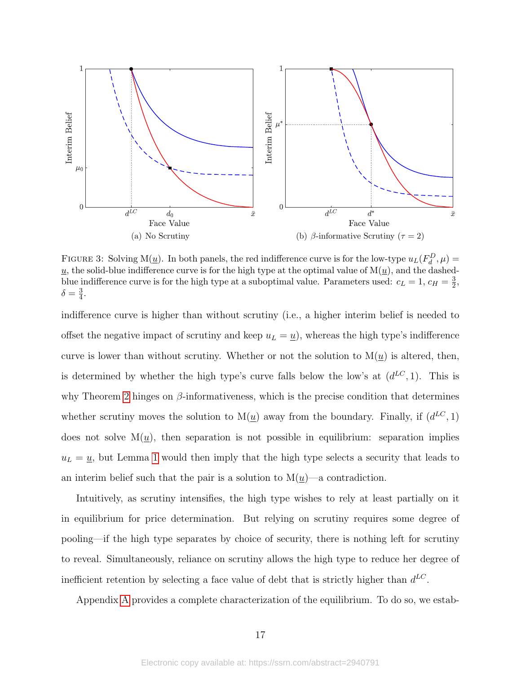<span id="page-17-0"></span>

FIGURE 3: Solving M( $\underline{u}$ ). In both panels, the red indifference curve is for the low-type  $u_L(F_d^D, \mu)$  =  $\underline{u}$ , the solid-blue indifference curve is for the high type at the optimal value of  $M(\underline{u})$ , and the dashedblue indifference curve is for the high type at a suboptimal value. Parameters used:  $c_L = 1, c_H = \frac{3}{2}$  $\frac{3}{2}$  $\delta = \frac{3}{4}$  $\frac{3}{4}$ .

indifference curve is higher than without scrutiny (i.e., a higher interim belief is needed to offset the negative impact of scrutiny and keep  $u_L = \underline{u}$ , whereas the high type's indifference curve is lower than without scrutiny. Whether or not the solution to  $M(\underline{u})$  is altered, then, is determined by whether the high type's curve falls below the low's at  $(d^{LC}, 1)$ . This is why Theorem [2](#page-15-1) hinges on  $\beta$ -informativeness, which is the precise condition that determines whether scrutiny moves the solution to  $M(\underline{u})$  away from the boundary. Finally, if  $(d^{LC}, 1)$ does not solve  $M(u)$ , then separation is not possible in equilibrium: separation implies  $u_L = \underline{u}$ , but Lemma [1](#page-13-1) would then imply that the high type selects a security that leads to an interim belief such that the pair is a solution to  $M(\underline{u})$ —a contradiction.

Intuitively, as scrutiny intensifies, the high type wishes to rely at least partially on it in equilibrium for price determination. But relying on scrutiny requires some degree of pooling—if the high type separates by choice of security, there is nothing left for scrutiny to reveal. Simultaneously, reliance on scrutiny allows the high type to reduce her degree of inefficient retention by selecting a face value of debt that is strictly higher than  $d^{LC}$ .

Appendix [A](#page-34-0) provides a complete characterization of the equilibrium. To do so, we estab-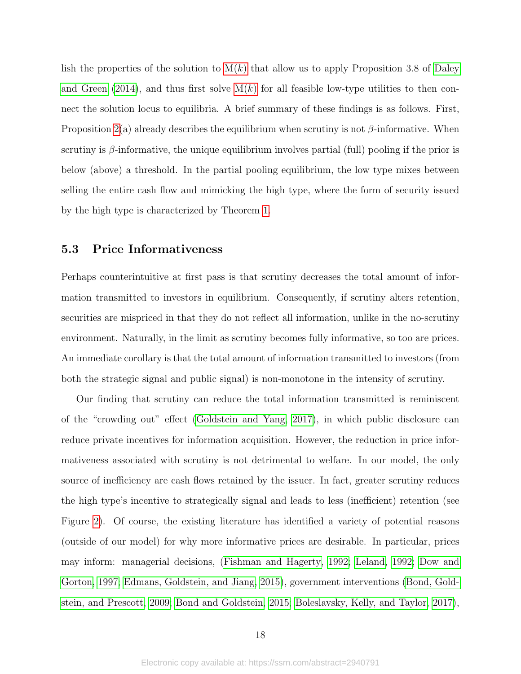lish the properties of the solution to  $M(k)$  that allow us to apply Proposition 3.8 of [Daley](#page-31-11) [and Green](#page-31-11) [\(2014\)](#page-31-11), and thus first solve  $M(k)$  for all feasible low-type utilities to then connect the solution locus to equilibria. A brief summary of these findings is as follows. First, Proposition [2\(](#page-15-1)a) already describes the equilibrium when scrutiny is not  $\beta$ -informative. When scrutiny is  $\beta$ -informative, the unique equilibrium involves partial (full) pooling if the prior is below (above) a threshold. In the partial pooling equilibrium, the low type mixes between selling the entire cash flow and mimicking the high type, where the form of security issued by the high type is characterized by Theorem [1.](#page-12-0)

## 5.3 Price Informativeness

Perhaps counterintuitive at first pass is that scrutiny decreases the total amount of information transmitted to investors in equilibrium. Consequently, if scrutiny alters retention, securities are mispriced in that they do not reflect all information, unlike in the no-scrutiny environment. Naturally, in the limit as scrutiny becomes fully informative, so too are prices. An immediate corollary is that the total amount of information transmitted to investors (from both the strategic signal and public signal) is non-monotone in the intensity of scrutiny.

Our finding that scrutiny can reduce the total information transmitted is reminiscent of the "crowding out" effect [\(Goldstein and Yang, 2017\)](#page-32-15), in which public disclosure can reduce private incentives for information acquisition. However, the reduction in price informativeness associated with scrutiny is not detrimental to welfare. In our model, the only source of inefficiency are cash flows retained by the issuer. In fact, greater scrutiny reduces the high type's incentive to strategically signal and leads to less (inefficient) retention (see Figure [2\)](#page-16-0). Of course, the existing literature has identified a variety of potential reasons (outside of our model) for why more informative prices are desirable. In particular, prices may inform: managerial decisions, [\(Fishman and Hagerty, 1992;](#page-32-16) [Leland, 1992;](#page-32-17) [Dow and](#page-32-18) [Gorton, 1997;](#page-32-18) [Edmans, Goldstein, and Jiang, 2015\)](#page-32-11), government interventions [\(Bond, Gold](#page-31-17)[stein, and Prescott, 2009;](#page-31-17) [Bond and Goldstein, 2015;](#page-31-18) [Boleslavsky, Kelly, and Taylor, 2017\)](#page-31-9),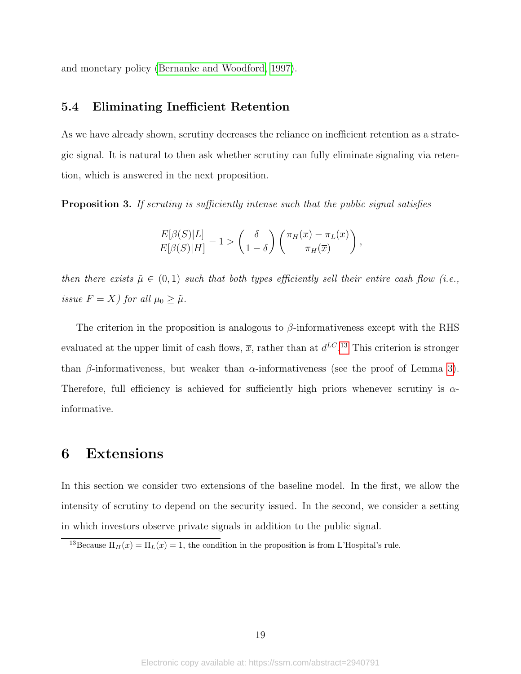and monetary policy [\(Bernanke and Woodford, 1997\)](#page-31-19).

## 5.4 Eliminating Inefficient Retention

As we have already shown, scrutiny decreases the reliance on inefficient retention as a strategic signal. It is natural to then ask whether scrutiny can fully eliminate signaling via retention, which is answered in the next proposition.

<span id="page-19-1"></span>**Proposition 3.** If scruting is sufficiently intense such that the public signal satisfies

$$
\frac{E[\beta(S)|L]}{E[\beta(S)|H]} - 1 > \left(\frac{\delta}{1-\delta}\right) \left(\frac{\pi_H(\overline{x}) - \pi_L(\overline{x})}{\pi_H(\overline{x})}\right),
$$

then there exists  $\tilde{\mu} \in (0,1)$  such that both types efficiently sell their entire cash flow (i.e., issue  $F = X$ ) for all  $\mu_0 \geq \tilde{\mu}$ .

The criterion in the proposition is analogous to  $\beta$ -informativeness except with the RHS evaluated at the upper limit of cash flows,  $\bar{x}$ , rather than at  $d^{LC}$ .<sup>[13](#page-19-2)</sup> This criterion is stronger than β-informativeness, but weaker than  $\alpha$ -informativeness (see the proof of Lemma [3\)](#page-15-0). Therefore, full efficiency is achieved for sufficiently high priors whenever scrutiny is  $\alpha$ informative.

# <span id="page-19-0"></span>6 Extensions

In this section we consider two extensions of the baseline model. In the first, we allow the intensity of scrutiny to depend on the security issued. In the second, we consider a setting in which investors observe private signals in addition to the public signal.

<span id="page-19-2"></span><sup>&</sup>lt;sup>13</sup>Because  $\Pi_H(\overline{x}) = \Pi_L(\overline{x}) = 1$ , the condition in the proposition is from L'Hospital's rule.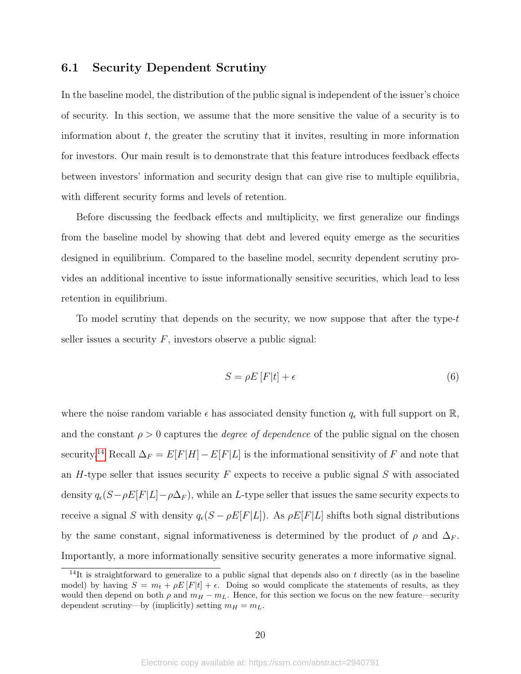## <span id="page-20-0"></span>6.1 Security Dependent Scrutiny

In the baseline model, the distribution of the public signal is independent of the issuer's choice of security. In this section, we assume that the more sensitive the value of a security is to information about  $t$ , the greater the scrutiny that it invites, resulting in more information for investors. Our main result is to demonstrate that this feature introduces feedback effects between investors' information and security design that can give rise to multiple equilibria, with different security forms and levels of retention.

Before discussing the feedback effects and multiplicity, we first generalize our findings from the baseline model by showing that debt and levered equity emerge as the securities designed in equilibrium. Compared to the baseline model, security dependent scrutiny provides an additional incentive to issue informationally sensitive securities, which lead to less retention in equilibrium.

To model scrutiny that depends on the security, we now suppose that after the type- $t$ seller issues a security  $F$ , investors observe a public signal:

$$
S = \rho E \left[ F |t \right] + \epsilon \tag{6}
$$

where the noise random variable  $\epsilon$  has associated density function  $q_{\epsilon}$  with full support on R, and the constant  $\rho > 0$  captures the *degree of dependence* of the public signal on the chosen security.<sup>[14](#page-20-1)</sup> Recall  $\Delta_F = E[F|H] - E[F|L]$  is the informational sensitivity of F and note that an  $H$ -type seller that issues security  $F$  expects to receive a public signal  $S$  with associated density  $q_{\epsilon}(S-\rho E[F|L]-\rho\Delta_F)$ , while an L-type seller that issues the same security expects to receive a signal S with density  $q_{\epsilon}(S - \rho E[F|L])$ . As  $\rho E[F|L]$  shifts both signal distributions by the same constant, signal informativeness is determined by the product of  $\rho$  and  $\Delta_F$ . Importantly, a more informationally sensitive security generates a more informative signal.

<span id="page-20-1"></span><sup>&</sup>lt;sup>14</sup>It is straightforward to generalize to a public signal that depends also on t directly (as in the baseline model) by having  $S = m_t + \rho E[F|t] + \epsilon$ . Doing so would complicate the statements of results, as they would then depend on both  $\rho$  and  $m_H - m_L$ . Hence, for this section we focus on the new feature—security dependent scrutiny—by (implicitly) setting  $m_H = m_L$ .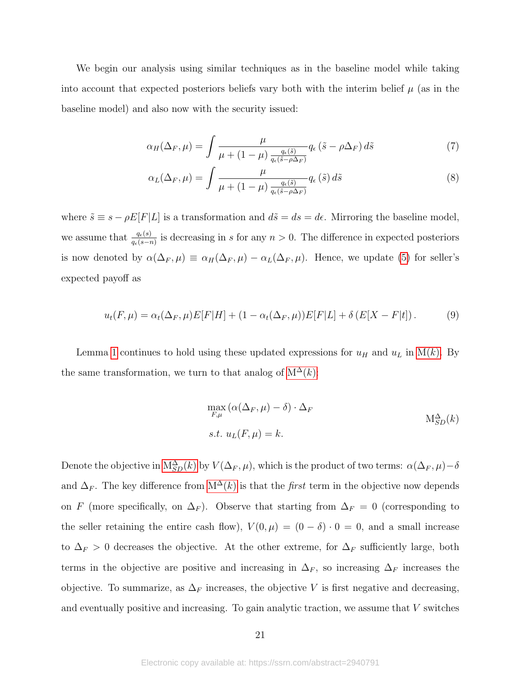We begin our analysis using similar techniques as in the baseline model while taking into account that expected posteriors beliefs vary both with the interim belief  $\mu$  (as in the baseline model) and also now with the security issued:

$$
\alpha_H(\Delta_F, \mu) = \int \frac{\mu}{\mu + (1 - \mu) \frac{q_{\epsilon}(\tilde{s})}{q_{\epsilon}(\tilde{s} - \rho \Delta_F)}} q_{\epsilon} (\tilde{s} - \rho \Delta_F) d\tilde{s}
$$
(7)

$$
\alpha_L(\Delta_F, \mu) = \int \frac{\mu}{\mu + (1 - \mu) \frac{q_{\epsilon}(\tilde{s})}{q_{\epsilon}(\tilde{s} - \rho \Delta_F)}} q_{\epsilon}(\tilde{s}) d\tilde{s}
$$
\n(8)

where  $\tilde{s} \equiv s - \rho E[F|L]$  is a transformation and  $d\tilde{s} = ds = d\epsilon$ . Mirroring the baseline model, we assume that  $\frac{q_{\epsilon}(s)}{q_{\epsilon}(s-n)}$  is decreasing in s for any  $n > 0$ . The difference in expected posteriors is now denoted by  $\alpha(\Delta_F, \mu) \equiv \alpha_H(\Delta_F, \mu) - \alpha_L(\Delta_F, \mu)$ . Hence, we update [\(5\)](#page-12-3) for seller's expected payoff as

$$
u_t(F,\mu) = \alpha_t(\Delta_F,\mu)E[F|H] + (1 - \alpha_t(\Delta_F,\mu))E[F|L] + \delta(E[X - F|t]).
$$
\n(9)

Lemma [1](#page-13-1) continues to hold using these updated expressions for  $u_H$  and  $u_L$  in [M\(](#page-12-2)k). By the same transformation, we turn to that analog of  $M^{\Delta}(k)$ :

<span id="page-21-0"></span>
$$
\max_{F,\mu} (\alpha(\Delta_F, \mu) - \delta) \cdot \Delta_F
$$
  
s.t.  $u_L(F, \mu) = k$ .  
 
$$
M_{SD}^{\Delta}(k)
$$

Denote the objective in  $M_{SD}^{\Delta}(k)$  by  $V(\Delta_F, \mu)$ , which is the product of two terms:  $\alpha(\Delta_F, \mu) - \delta$ and  $\Delta_F$ . The key difference from  $M^{\Delta}(k)$  is that the *first* term in the objective now depends on F (more specifically, on  $\Delta_F$ ). Observe that starting from  $\Delta_F = 0$  (corresponding to the seller retaining the entire cash flow),  $V(0, \mu) = (0 - \delta) \cdot 0 = 0$ , and a small increase to  $\Delta_F > 0$  decreases the objective. At the other extreme, for  $\Delta_F$  sufficiently large, both terms in the objective are positive and increasing in  $\Delta_F$ , so increasing  $\Delta_F$  increases the objective. To summarize, as  $\Delta_F$  increases, the objective V is first negative and decreasing, and eventually positive and increasing. To gain analytic traction, we assume that  $V$  switches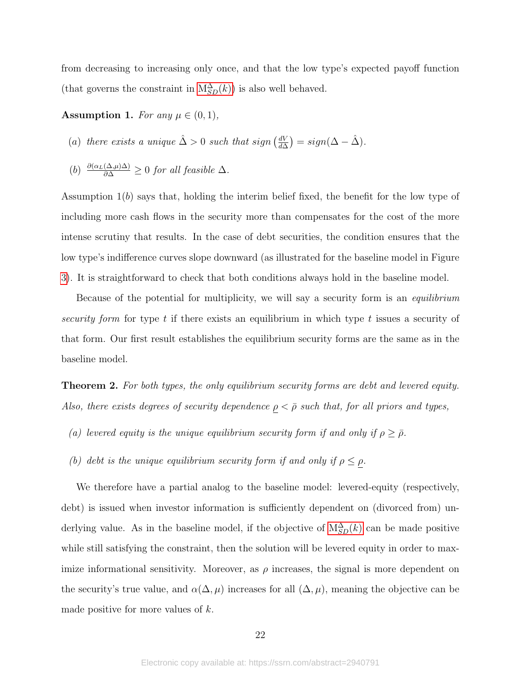from decreasing to increasing only once, and that the low type's expected payoff function (that governs the constraint in  $M_{SD}^{\Delta}(k)$ ) is also well behaved.

### <span id="page-22-0"></span>Assumption 1. For any  $\mu \in (0,1)$ ,

(a) there exists a unique  $\hat{\Delta} > 0$  such that sign  $\left(\frac{dV}{d\Delta}\right)$  $\frac{dV}{d\Delta}$ ) =  $sign(\Delta - \hat{\Delta})$ .

(b) 
$$
\frac{\partial(\alpha_L(\Delta,\mu)\Delta)}{\partial \Delta} \geq 0
$$
 for all feasible  $\Delta$ .

Assumption  $1(b)$  says that, holding the interim belief fixed, the benefit for the low type of including more cash flows in the security more than compensates for the cost of the more intense scrutiny that results. In the case of debt securities, the condition ensures that the low type's indifference curves slope downward (as illustrated for the baseline model in Figure [3\)](#page-17-0). It is straightforward to check that both conditions always hold in the baseline model.

Because of the potential for multiplicity, we will say a security form is an *equilibrium* security form for type t if there exists an equilibrium in which type t issues a security of that form. Our first result establishes the equilibrium security forms are the same as in the baseline model.

<span id="page-22-1"></span>**Theorem 2.** For both types, the only equilibrium security forms are debt and levered equity. Also, there exists degrees of security dependence  $\rho < \bar{\rho}$  such that, for all priors and types,

- (a) levered equity is the unique equilibrium security form if and only if  $\rho \geq \bar{\rho}$ .
- (b) debt is the unique equilibrium security form if and only if  $\rho \leq \rho$ .

We therefore have a partial analog to the baseline model: levered-equity (respectively, debt) is issued when investor information is sufficiently dependent on (divorced from) underlying value. As in the baseline model, if the objective of  $M_{SD}^{\Delta}(k)$  can be made positive while still satisfying the constraint, then the solution will be levered equity in order to maximize informational sensitivity. Moreover, as  $\rho$  increases, the signal is more dependent on the security's true value, and  $\alpha(\Delta,\mu)$  increases for all  $(\Delta,\mu)$ , meaning the objective can be made positive for more values of  $k$ .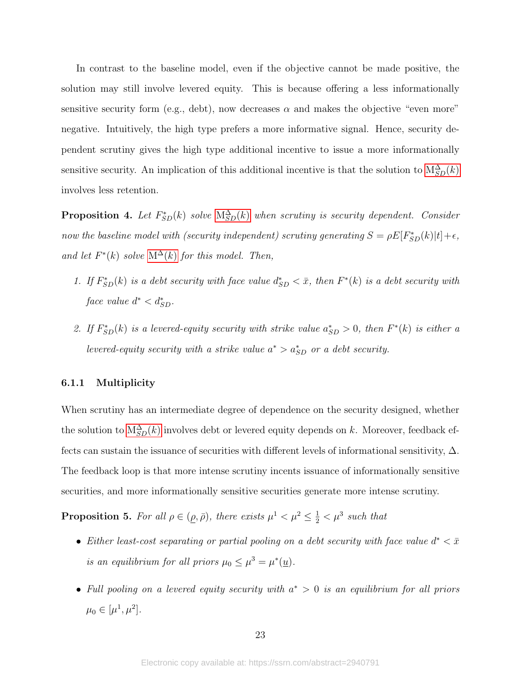In contrast to the baseline model, even if the objective cannot be made positive, the solution may still involve levered equity. This is because offering a less informationally sensitive security form (e.g., debt), now decreases  $\alpha$  and makes the objective "even more" negative. Intuitively, the high type prefers a more informative signal. Hence, security dependent scrutiny gives the high type additional incentive to issue a more informationally sensitive security. An implication of this additional incentive is that the solution to  $M_{SD}^{\Delta}(k)$ involves less retention.

<span id="page-23-0"></span>**Proposition 4.** Let  $F_{SD}^*(k)$  solve  $M_{SD}^{\Delta}(k)$  $M_{SD}^{\Delta}(k)$  when scrutiny is security dependent. Consider now the baseline model with (security independent) scrutiny generating  $S = \rho E[F_{SD}^*(k)|t] + \epsilon$ , and let  $F^*(k)$  solve  $\mathcal{M}^{\Delta}(k)$  $\mathcal{M}^{\Delta}(k)$  $\mathcal{M}^{\Delta}(k)$  for this model. Then,

- 1. If  $F_{SD}^*(k)$  is a debt security with face value  $d_{SD}^* < \bar{x}$ , then  $F^*(k)$  is a debt security with face value  $d^* < d^*_{SD}$ .
- 2. If  $F_{SD}^{*}(k)$  is a levered-equity security with strike value  $a_{SD}^{*} > 0$ , then  $F^{*}(k)$  is either a levered-equity security with a strike value  $a^* > a_{SD}^*$  or a debt security.

### 6.1.1 Multiplicity

When scrutiny has an intermediate degree of dependence on the security designed, whether the solution to  $M_{SD}^{\Delta}(k)$  involves debt or levered equity depends on k. [M](#page-21-0)oreover, feedback effects can sustain the issuance of securities with different levels of informational sensitivity,  $\Delta$ . The feedback loop is that more intense scrutiny incents issuance of informationally sensitive securities, and more informationally sensitive securities generate more intense scrutiny.

<span id="page-23-1"></span>**Proposition 5.** For all  $\rho \in (\underline{\rho}, \overline{\rho})$ , there exists  $\mu^1 < \mu^2 \leq \frac{1}{2} < \mu^3$  such that

- Either least-cost separating or partial pooling on a debt security with face value  $d^* < \bar{x}$ is an equilibrium for all priors  $\mu_0 \leq \mu^3 = \mu^*(\underline{u})$ .
- Full pooling on a levered equity security with  $a^* > 0$  is an equilibrium for all priors  $\mu_0 \in [\mu^1, \mu^2].$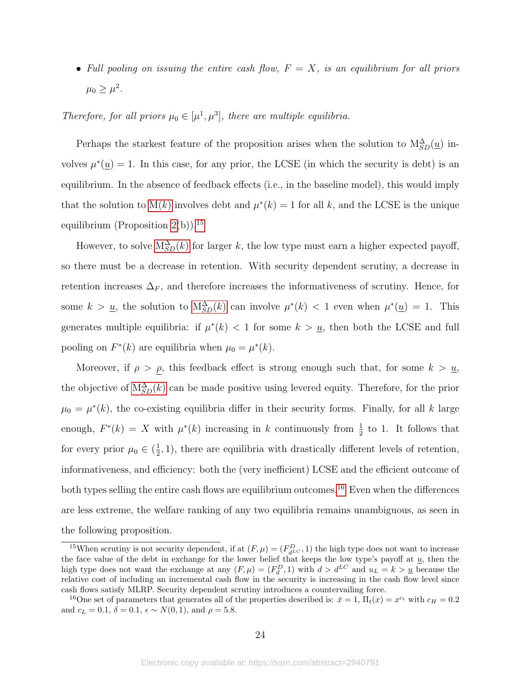• Full pooling on issuing the entire cash flow,  $F = X$ , is an equilibrium for all priors  $\mu_0 \geq \mu^2$ .

Therefore, for all priors  $\mu_0 \in [\mu^1, \mu^3]$ , there are multiple equilibria.

Perhaps the starkest feature of the proposition arises when the solution to  $M_{SD}^{\Delta}(\underline{u})$  involves  $\mu^*(\underline{u}) = 1$ . In this case, for any prior, the LCSE (in which the security is debt) is an equilibrium. In the absence of feedback effects (i.e., in the baseline model), this would imply that the solution to  $M(k)$  involves debt and  $\mu^*(k) = 1$  for all k, and the LCSE is the unique equilibrium (Proposition  $2(b)$ ).<sup>[15](#page-24-0)</sup>

However, to solve  $M_{SD}^{\Delta}(k)$  for larger k, the low type must earn a higher expected payoff, so there must be a decrease in retention. With security dependent scrutiny, a decrease in retention increases  $\Delta_F$ , and therefore increases the informativeness of scrutiny. Hence, for some  $k > \underline{u}$ , the solution to  $M_{SD}^{\Delta}(k)$  can involve  $\mu^*(k) < 1$  even when  $\mu^*(\underline{u}) = 1$ . This generates multiple equilibria: if  $\mu^*(k) < 1$  for some  $k > \underline{u}$ , then both the LCSE and full pooling on  $F^*(k)$  are equilibria when  $\mu_0 = \mu^*(k)$ .

Moreover, if  $\rho > \rho$ , this feedback effect is strong enough such that, for some  $k > \underline{u}$ , the objective of  $M_{SD}^{\Delta}(k)$  can be made positive using levered equity. Therefore, for the prior  $\mu_0 = \mu^*(k)$ , the co-existing equilibria differ in their security forms. Finally, for all k large enough,  $F^*(k) = X$  with  $\mu^*(k)$  increasing in k continuously from  $\frac{1}{2}$  to 1. It follows that for every prior  $\mu_0 \in (\frac{1}{2})$  $\frac{1}{2}$ , 1), there are equilibria with drastically different levels of retention, informativeness, and efficiency: both the (very inefficient) LCSE and the efficient outcome of both types selling the entire cash flows are equilibrium outcomes.<sup>[16](#page-24-1)</sup> Even when the differences are less extreme, the welfare ranking of any two equilibria remains unambiguous, as seen in the following proposition.

<span id="page-24-0"></span><sup>&</sup>lt;sup>15</sup>When scrutiny is not security dependent, if at  $(F, \mu) = (F_{d^{LC}}^D, 1)$  the high type does not want to increase the face value of the debt in exchange for the lower belief that keeps the low type's payoff at  $\underline{u}$ , then the high type does not want the exchange at any  $(F, \mu) = (F_d^D, 1)$  with  $d > d^{LC}$  and  $u_L = k > \underline{u}$  because the relative cost of including an incremental cash flow in the security is increasing in the cash flow level since cash flows satisfy MLRP. Security dependent scrutiny introduces a countervailing force.

<span id="page-24-1"></span><sup>&</sup>lt;sup>16</sup>One set of parameters that generates all of the properties described is:  $\bar{x} = 1$ ,  $\Pi_t(x) = x^{c_t}$  with  $c_H = 0.2$ and  $c_L = 0.1$ ,  $\delta = 0.1$ ,  $\epsilon \sim N(0, 1)$ , and  $\rho = 5.8$ .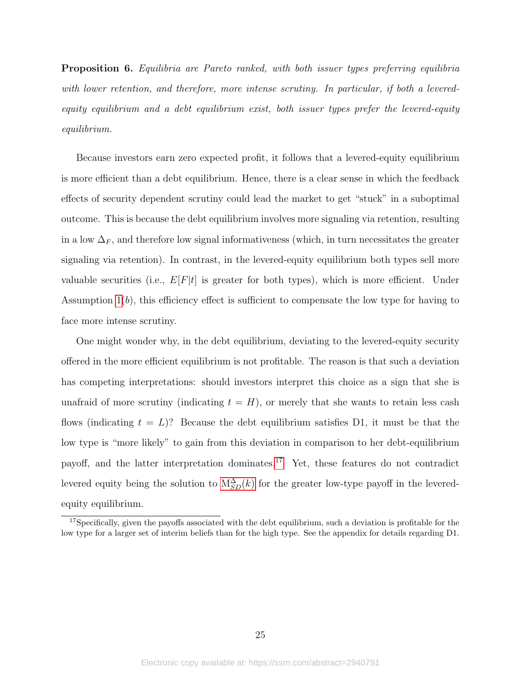<span id="page-25-1"></span>**Proposition 6.** Equilibria are Pareto ranked, with both issuer types preferring equilibria with lower retention, and therefore, more intense scrutiny. In particular, if both a leveredequity equilibrium and a debt equilibrium exist, both issuer types prefer the levered-equity equilibrium.

Because investors earn zero expected profit, it follows that a levered-equity equilibrium is more efficient than a debt equilibrium. Hence, there is a clear sense in which the feedback effects of security dependent scrutiny could lead the market to get "stuck" in a suboptimal outcome. This is because the debt equilibrium involves more signaling via retention, resulting in a low  $\Delta_F$ , and therefore low signal informativeness (which, in turn necessitates the greater signaling via retention). In contrast, in the levered-equity equilibrium both types sell more valuable securities (i.e.,  $E[F|t]$  is greater for both types), which is more efficient. Under Assumption  $1(b)$ , this efficiency effect is sufficient to compensate the low type for having to face more intense scrutiny.

One might wonder why, in the debt equilibrium, deviating to the levered-equity security offered in the more efficient equilibrium is not profitable. The reason is that such a deviation has competing interpretations: should investors interpret this choice as a sign that she is unafraid of more scrutiny (indicating  $t = H$ ), or merely that she wants to retain less cash flows (indicating  $t = L$ )? Because the debt equilibrium satisfies D1, it must be that the low type is "more likely" to gain from this deviation in comparison to her debt-equilibrium payoff, and the latter interpretation dominates.[17](#page-25-0) Yet, these features do not contradict levered equity being the solution to  $M_{SD}^{\Delta}(k)$  for the greater low-type payoff in the leveredequity equilibrium.

<span id="page-25-0"></span><sup>&</sup>lt;sup>17</sup>Specifically, given the payoffs associated with the debt equilibrium, such a deviation is profitable for the low type for a larger set of interim beliefs than for the high type. See the appendix for details regarding D1.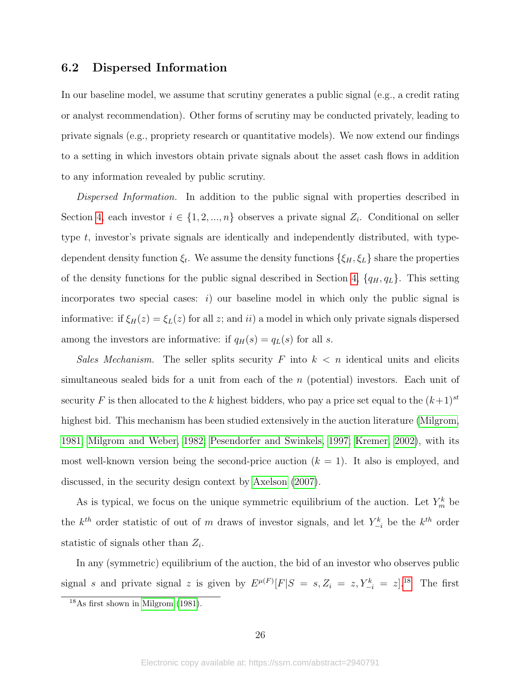## <span id="page-26-1"></span>6.2 Dispersed Information

In our baseline model, we assume that scrutiny generates a public signal (e.g., a credit rating or analyst recommendation). Other forms of scrutiny may be conducted privately, leading to private signals (e.g., propriety research or quantitative models). We now extend our findings to a setting in which investors obtain private signals about the asset cash flows in addition to any information revealed by public scrutiny.

Dispersed Information. In addition to the public signal with properties described in Section [4,](#page-10-2) each investor  $i \in \{1, 2, ..., n\}$  observes a private signal  $Z_i$ . Conditional on seller type t, investor's private signals are identically and independently distributed, with typedependent density function  $\xi_t$ . We assume the density functions  $\{\xi_H, \xi_L\}$  share the properties of the density functions for the public signal described in Section [4,](#page-10-2)  $\{q_H, q_L\}$ . This setting incorporates two special cases:  $i)$  our baseline model in which only the public signal is informative: if  $\xi_H(z) = \xi_L(z)$  for all z; and ii) a model in which only private signals dispersed among the investors are informative: if  $q_H(s) = q_L(s)$  for all s.

Sales Mechanism. The seller splits security  $F$  into  $k < n$  identical units and elicits simultaneous sealed bids for a unit from each of the n (potential) investors. Each unit of security F is then allocated to the k highest bidders, who pay a price set equal to the  $(k+1)^{st}$ highest bid. This mechanism has been studied extensively in the auction literature [\(Milgrom,](#page-32-19) [1981;](#page-32-19) [Milgrom and Weber, 1982;](#page-33-6) [Pesendorfer and Swinkels, 1997;](#page-33-7) [Kremer, 2002\)](#page-32-20), with its most well-known version being the second-price auction  $(k = 1)$ . It also is employed, and discussed, in the security design context by [Axelson](#page-31-7) [\(2007\)](#page-31-7).

As is typical, we focus on the unique symmetric equilibrium of the auction. Let  $Y_m^k$  be the  $k^{th}$  order statistic of out of m draws of investor signals, and let  $Y_{-i}^k$  be the  $k^{th}$  order statistic of signals other than  $Z_i$ .

In any (symmetric) equilibrium of the auction, the bid of an investor who observes public signal s and private signal z is given by  $E^{\mu(F)}[F|S = s, Z_i = z, Y_{-i}^k = z]$ .<sup>[18](#page-26-0)</sup> The first

<span id="page-26-0"></span><sup>18</sup>As first shown in [Milgrom](#page-32-19) [\(1981\)](#page-32-19).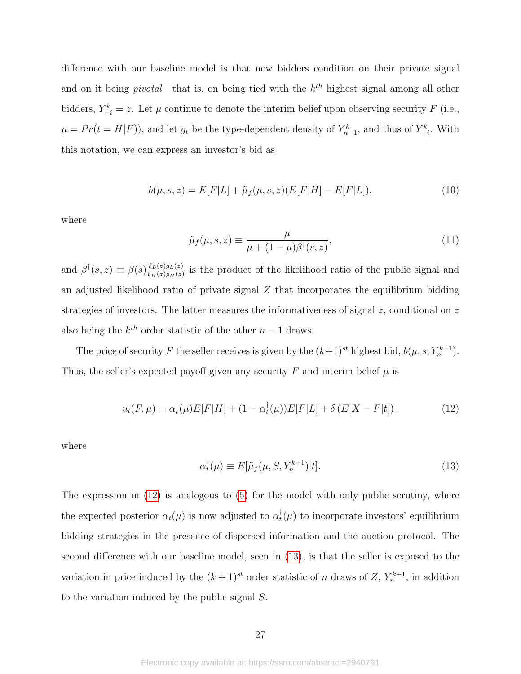difference with our baseline model is that now bidders condition on their private signal and on it being *pivotal*—that is, on being tied with the  $k^{th}$  highest signal among all other bidders,  $Y_{-i}^k = z$ . Let  $\mu$  continue to denote the interim belief upon observing security F (i.e.,  $\mu = Pr(t = H|F)$ , and let  $g_t$  be the type-dependent density of  $Y_{n-1}^k$ , and thus of  $Y_{-i}^k$ . With this notation, we can express an investor's bid as

$$
b(\mu, s, z) = E[F|L] + \tilde{\mu}_f(\mu, s, z)(E[F|H] - E[F|L]),
$$
\n(10)

where

$$
\tilde{\mu}_f(\mu, s, z) \equiv \frac{\mu}{\mu + (1 - \mu)\beta^{\dagger}(s, z)},\tag{11}
$$

and  $\beta^{\dagger}(s, z) \equiv \beta(s) \frac{\xi_L(z)g_L(z)}{\xi_L(z)g_L(z)}$  $\frac{\xi_L(z)g_L(z)}{\xi_H(z)g_H(z)}$  is the product of the likelihood ratio of the public signal and an adjusted likelihood ratio of private signal  $Z$  that incorporates the equilibrium bidding strategies of investors. The latter measures the informativeness of signal  $z$ , conditional on  $z$ also being the  $k^{th}$  order statistic of the other  $n-1$  draws.

The price of security F the seller receives is given by the  $(k+1)^{st}$  highest bid,  $b(\mu, s, Y_n^{k+1})$ . Thus, the seller's expected payoff given any security F and interim belief  $\mu$  is

<span id="page-27-0"></span>
$$
u_t(F,\mu) = \alpha_t^{\dagger}(\mu)E[F|H] + (1 - \alpha_t^{\dagger}(\mu))E[F|L] + \delta(E[X - F|t]), \qquad (12)
$$

where

<span id="page-27-1"></span>
$$
\alpha_t^{\dagger}(\mu) \equiv E[\tilde{\mu}_f(\mu, S, Y_n^{k+1})|t]. \tag{13}
$$

The expression in  $(12)$  is analogous to  $(5)$  for the model with only public scrutiny, where the expected posterior  $\alpha_t(\mu)$  is now adjusted to  $\alpha_t^{\dagger}$  $_t^{\dagger}(\mu)$  to incorporate investors' equilibrium bidding strategies in the presence of dispersed information and the auction protocol. The second difference with our baseline model, seen in [\(13\)](#page-27-1), is that the seller is exposed to the variation in price induced by the  $(k+1)^{st}$  order statistic of n draws of Z,  $Y_n^{k+1}$ , in addition to the variation induced by the public signal S.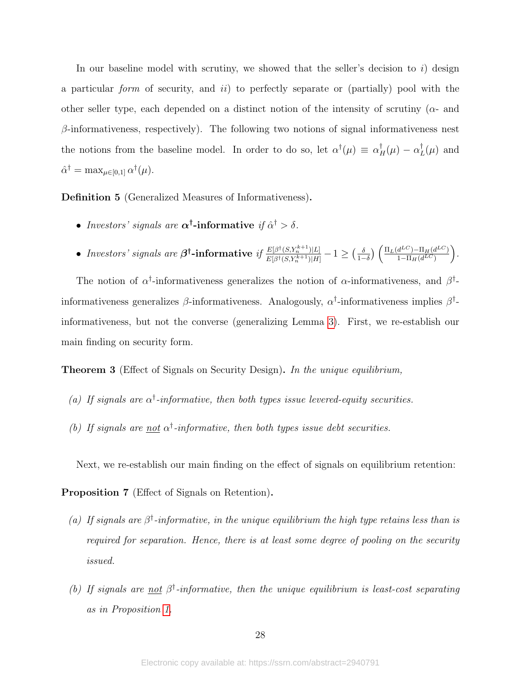In our baseline model with scrutiny, we showed that the seller's decision to  $i$ ) design a particular form of security, and  $ii$ ) to perfectly separate or (partially) pool with the other seller type, each depended on a distinct notion of the intensity of scrutiny ( $\alpha$ - and  $\beta$ -informativeness, respectively). The following two notions of signal informativeness nest the notions from the baseline model. In order to do so, let  $\alpha^{\dagger}(\mu) \equiv \alpha^{\dagger}_H(\mu) - \alpha^{\dagger}_H(\mu)$  $_{L}^{\dagger}(\mu)$  and  $\hat{\alpha}^{\dagger} = \max_{\mu \in [0,1]} \alpha^{\dagger}(\mu).$ 

Definition 5 (Generalized Measures of Informativeness).

- Investors' signals are  $\alpha^{\dagger}$ -informative if  $\hat{\alpha}^{\dagger} > \delta$ .
- Investors' signals are  $\beta^{\dagger}$ -informative if  $\frac{E[\beta^{\dagger}(S, Y_n^{k+1})|L]}{E[\beta^{\dagger}(S, Y_n^{k+1})|H]}$  $\frac{E[\beta^{\dagger}(S,Y_n^{k+1})|L]}{E[\beta^{\dagger}(S,Y_n^{k+1})|H]}-1 \geq (\frac{\delta}{1-\delta})$  $\frac{\delta}{1-\delta}\Big)\left(\frac{\Pi_L(d^{LC})-\Pi_H(d^{LC})}{1-\Pi_H(d^{LC})}\right)$  $1-\Pi_H(d^{LC})$ .

The notion of  $\alpha^{\dagger}$ -informativeness generalizes the notion of  $\alpha$ -informativeness, and  $\beta^{\dagger}$ informativeness generalizes  $\beta$ -informativeness. Analogously,  $\alpha^{\dagger}$ -informativeness implies  $\beta^{\dagger}$ informativeness, but not the converse (generalizing Lemma [3\)](#page-15-0). First, we re-establish our main finding on security form.

**Theorem 3** (Effect of Signals on Security Design). In the unique equilibrium,

- (a) If signals are  $\alpha^{\dagger}$ -informative, then both types issue levered-equity securities.
- <span id="page-28-0"></span>(b) If signals are not  $\alpha^{\dagger}$ -informative, then both types issue debt securities.

Next, we re-establish our main finding on the effect of signals on equilibrium retention:

Proposition 7 (Effect of Signals on Retention).

- (a) If signals are  $\beta^{\dagger}$ -informative, in the unique equilibrium the high type retains less than is required for separation. Hence, there is at least some degree of pooling on the security issued.
- <span id="page-28-1"></span>(b) If signals are not  $\beta^{\dagger}$ -informative, then the unique equilibrium is least-cost separating as in Proposition [1.](#page-9-1)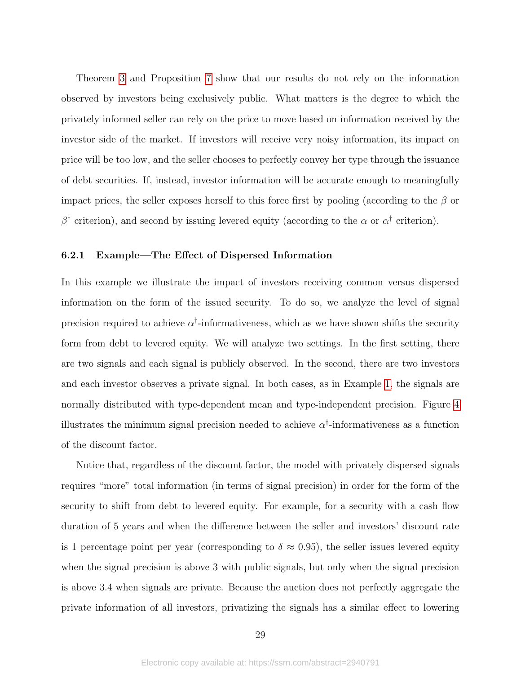Theorem [3](#page-28-0) and Proposition [7](#page-28-1) show that our results do not rely on the information observed by investors being exclusively public. What matters is the degree to which the privately informed seller can rely on the price to move based on information received by the investor side of the market. If investors will receive very noisy information, its impact on price will be too low, and the seller chooses to perfectly convey her type through the issuance of debt securities. If, instead, investor information will be accurate enough to meaningfully impact prices, the seller exposes herself to this force first by pooling (according to the  $\beta$  or β<sup>†</sup> criterion), and second by issuing levered equity (according to the α or  $\alpha^{\dagger}$  criterion).

### 6.2.1 Example—The Effect of Dispersed Information

In this example we illustrate the impact of investors receiving common versus dispersed information on the form of the issued security. To do so, we analyze the level of signal precision required to achieve  $\alpha^{\dagger}$ -informativeness, which as we have shown shifts the security form from debt to levered equity. We will analyze two settings. In the first setting, there are two signals and each signal is publicly observed. In the second, there are two investors and each investor observes a private signal. In both cases, as in Example [1,](#page-11-3) the signals are normally distributed with type-dependent mean and type-independent precision. Figure [4](#page-30-0) illustrates the minimum signal precision needed to achieve  $\alpha^{\dagger}$ -informativeness as a function of the discount factor.

Notice that, regardless of the discount factor, the model with privately dispersed signals requires "more" total information (in terms of signal precision) in order for the form of the security to shift from debt to levered equity. For example, for a security with a cash flow duration of 5 years and when the difference between the seller and investors' discount rate is 1 percentage point per year (corresponding to  $\delta \approx 0.95$ ), the seller issues levered equity when the signal precision is above 3 with public signals, but only when the signal precision is above 3.4 when signals are private. Because the auction does not perfectly aggregate the private information of all investors, privatizing the signals has a similar effect to lowering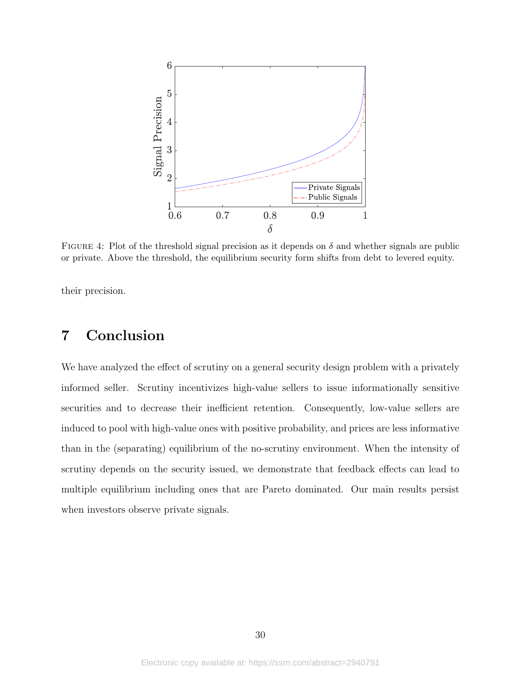<span id="page-30-0"></span>

FIGURE 4: Plot of the threshold signal precision as it depends on  $\delta$  and whether signals are public or private. Above the threshold, the equilibrium security form shifts from debt to levered equity.

their precision.

# 7 Conclusion

We have analyzed the effect of scrutiny on a general security design problem with a privately informed seller. Scrutiny incentivizes high-value sellers to issue informationally sensitive securities and to decrease their inefficient retention. Consequently, low-value sellers are induced to pool with high-value ones with positive probability, and prices are less informative than in the (separating) equilibrium of the no-scrutiny environment. When the intensity of scrutiny depends on the security issued, we demonstrate that feedback effects can lead to multiple equilibrium including ones that are Pareto dominated. Our main results persist when investors observe private signals.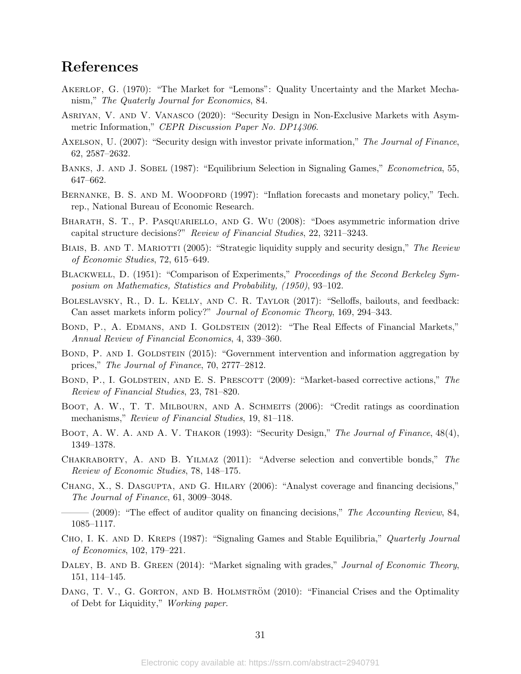# References

- <span id="page-31-0"></span>Akerlof, G. (1970): "The Market for "Lemons": Quality Uncertainty and the Market Mechanism," The Quaterly Journal for Economics, 84.
- <span id="page-31-6"></span>Asriyan, V. and V. Vanasco (2020): "Security Design in Non-Exclusive Markets with Asymmetric Information," CEPR Discussion Paper No. DP14306.
- <span id="page-31-7"></span>AXELSON, U. (2007): "Security design with investor private information," The Journal of Finance, 62, 2587–2632.
- <span id="page-31-14"></span>BANKS, J. AND J. SOBEL (1987): "Equilibrium Selection in Signaling Games," *Econometrica*, 55, 647–662.
- <span id="page-31-19"></span>BERNANKE, B. S. AND M. WOODFORD (1997): "Inflation forecasts and monetary policy," Tech. rep., National Bureau of Economic Research.
- <span id="page-31-1"></span>Bharath, S. T., P. Pasquariello, and G. Wu (2008): "Does asymmetric information drive capital structure decisions?" Review of Financial Studies, 22, 3211–3243.
- <span id="page-31-4"></span>BIAIS, B. AND T. MARIOTTI (2005): "Strategic liquidity supply and security design," The Review of Economic Studies, 72, 615–649.
- <span id="page-31-16"></span>BLACKWELL, D. (1951): "Comparison of Experiments," Proceedings of the Second Berkeley Symposium on Mathematics, Statistics and Probability, (1950), 93–102.
- <span id="page-31-9"></span>Boleslavsky, R., D. L. Kelly, and C. R. Taylor (2017): "Selloffs, bailouts, and feedback: Can asset markets inform policy?" Journal of Economic Theory, 169, 294–343.
- <span id="page-31-10"></span>BOND, P., A. EDMANS, AND I. GOLDSTEIN (2012): "The Real Effects of Financial Markets," Annual Review of Financial Economics, 4, 339–360.
- <span id="page-31-18"></span>BOND, P. AND I. GOLDSTEIN (2015): "Government intervention and information aggregation by prices," The Journal of Finance, 70, 2777–2812.
- <span id="page-31-17"></span>BOND, P., I. GOLDSTEIN, AND E. S. PRESCOTT (2009): "Market-based corrective actions," The Review of Financial Studies, 23, 781–820.
- <span id="page-31-13"></span>BOOT, A. W., T. T. MILBOURN, AND A. SCHMEITS (2006): "Credit ratings as coordination mechanisms," Review of Financial Studies, 19, 81–118.
- <span id="page-31-5"></span>BOOT, A. W. A. AND A. V. THAKOR (1993): "Security Design," The Journal of Finance, 48(4), 1349–1378.
- <span id="page-31-8"></span>Chakraborty, A. and B. Yilmaz (2011): "Adverse selection and convertible bonds," The Review of Economic Studies, 78, 148–175.
- <span id="page-31-2"></span>Chang, X., S. Dasgupta, and G. Hilary (2006): "Analyst coverage and financing decisions," The Journal of Finance, 61, 3009–3048.
- <span id="page-31-3"></span> $-$  (2009): "The effect of auditor quality on financing decisions," The Accounting Review, 84, 1085–1117.
- <span id="page-31-15"></span>CHO, I. K. AND D. KREPS (1987): "Signaling Games and Stable Equilibria," Quarterly Journal of Economics, 102, 179–221.
- <span id="page-31-11"></span>DALEY, B. AND B. GREEN (2014): "Market signaling with grades," Journal of Economic Theory, 151, 114–145.
- <span id="page-31-12"></span>DANG, T. V., G. GORTON, AND B. HOLMSTRÖM (2010): "Financial Crises and the Optimality of Debt for Liquidity," Working paper.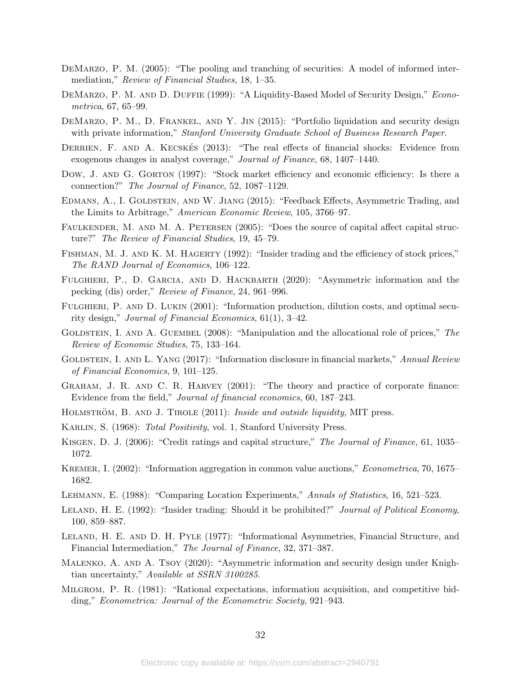- <span id="page-32-5"></span>DEMARZO, P. M. (2005): "The pooling and tranching of securities: A model of informed intermediation," Review of Financial Studies, 18, 1–35.
- <span id="page-32-4"></span>DEMARZO, P. M. AND D. DUFFIE (1999): "A Liquidity-Based Model of Security Design," Econometrica, 67, 65–99.
- <span id="page-32-8"></span>DEMARZO, P. M., D. FRANKEL, AND Y. JIN (2015): "Portfolio liquidation and security design with private information," Stanford University Graduate School of Business Research Paper.
- <span id="page-32-2"></span>DERRIEN, F. AND A. KECSKES (2013): "The real effects of financial shocks: Evidence from exogenous changes in analyst coverage," Journal of Finance, 68, 1407–1440.
- <span id="page-32-18"></span>Dow, J. AND G. GORTON (1997): "Stock market efficiency and economic efficiency: Is there a connection?" The Journal of Finance, 52, 1087–1129.
- <span id="page-32-11"></span>EDMANS, A., I. GOLDSTEIN, AND W. JIANG (2015): "Feedback Effects, Asymmetric Trading, and the Limits to Arbitrage," American Economic Review, 105, 3766–97.
- <span id="page-32-3"></span>FAULKENDER, M. AND M. A. PETERSEN (2005): "Does the source of capital affect capital structure?" The Review of Financial Studies, 19, 45–79.
- <span id="page-32-16"></span>FISHMAN, M. J. AND K. M. HAGERTY (1992): "Insider trading and the efficiency of stock prices," The RAND Journal of Economics, 106–122.
- <span id="page-32-7"></span>FULGHIERI, P., D. GARCIA, AND D. HACKBARTH (2020): "Asymmetric information and the pecking (dis) order," Review of Finance, 24, 961–996.
- <span id="page-32-6"></span>FULGHIERI, P. AND D. LUKIN (2001): "Information production, dilution costs, and optimal security design," Journal of Financial Economics, 61(1), 3–42.
- <span id="page-32-10"></span>GOLDSTEIN, I. AND A. GUEMBEL  $(2008)$ : "Manipulation and the allocational role of prices," The Review of Economic Studies, 75, 133–164.
- <span id="page-32-15"></span>GOLDSTEIN, I. AND L. YANG (2017): "Information disclosure in financial markets," Annual Review of Financial Economics, 9, 101–125.
- <span id="page-32-0"></span>Graham, J. R. and C. R. Harvey (2001): "The theory and practice of corporate finance: Evidence from the field," Journal of financial economics, 60, 187–243.
- <span id="page-32-13"></span>HOLMSTRÖM, B. AND J. TIROLE (2011): *Inside and outside liquidity*, MIT press.
- <span id="page-32-21"></span>KARLIN, S. (1968): Total Positivity, vol. 1, Stanford University Press.
- <span id="page-32-1"></span>Kisgen, D. J. (2006): "Credit ratings and capital structure," The Journal of Finance, 61, 1035– 1072.
- <span id="page-32-20"></span>KREMER, I. (2002): "Information aggregation in common value auctions," *Econometrica*, 70, 1675– 1682.
- <span id="page-32-14"></span>Lehmann, E. (1988): "Comparing Location Experiments," Annals of Statistics, 16, 521–523.
- <span id="page-32-17"></span>LELAND, H. E. (1992): "Insider trading: Should it be prohibited?" Journal of Political Economy, 100, 859–887.
- <span id="page-32-12"></span>Leland, H. E. and D. H. Pyle (1977): "Informational Asymmetries, Financial Structure, and Financial Intermediation," The Journal of Finance, 32, 371–387.
- <span id="page-32-9"></span>Malenko, A. and A. Tsoy (2020): "Asymmetric information and security design under Knightian uncertainty," Available at SSRN 3100285.
- <span id="page-32-19"></span>Milgrom, P. R. (1981): "Rational expectations, information acquisition, and competitive bidding," Econometrica: Journal of the Econometric Society, 921–943.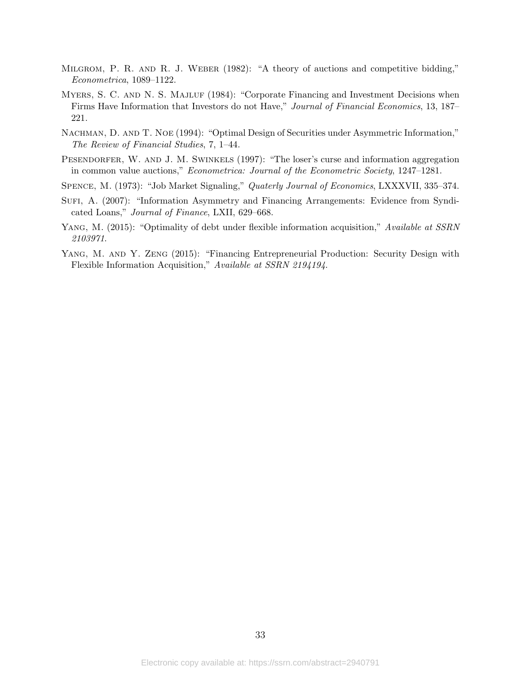- <span id="page-33-6"></span>Milgrom, P. R. and R. J. Weber (1982): "A theory of auctions and competitive bidding," Econometrica, 1089–1122.
- <span id="page-33-2"></span>MYERS, S. C. AND N. S. MAJLUF (1984): "Corporate Financing and Investment Decisions when Firms Have Information that Investors do not Have," Journal of Financial Economics, 13, 187– 221.
- <span id="page-33-3"></span>NACHMAN, D. AND T. NOE (1994): "Optimal Design of Securities under Asymmetric Information," The Review of Financial Studies, 7, 1–44.
- <span id="page-33-7"></span>PESENDORFER, W. AND J. M. SWINKELS (1997): "The loser's curse and information aggregation in common value auctions," Econometrica: Journal of the Econometric Society, 1247–1281.
- <span id="page-33-0"></span>Spence, M. (1973): "Job Market Signaling," Quaterly Journal of Economics, LXXXVII, 335–374.
- <span id="page-33-1"></span>SUFI, A. (2007): "Information Asymmetry and Financing Arrangements: Evidence from Syndicated Loans," Journal of Finance, LXII, 629–668.
- <span id="page-33-4"></span>YANG, M. (2015): "Optimality of debt under flexible information acquisition," Available at SSRN 2103971.
- <span id="page-33-5"></span>YANG, M. AND Y. ZENG (2015): "Financing Entrepreneurial Production: Security Design with Flexible Information Acquisition," Available at SSRN 2194194.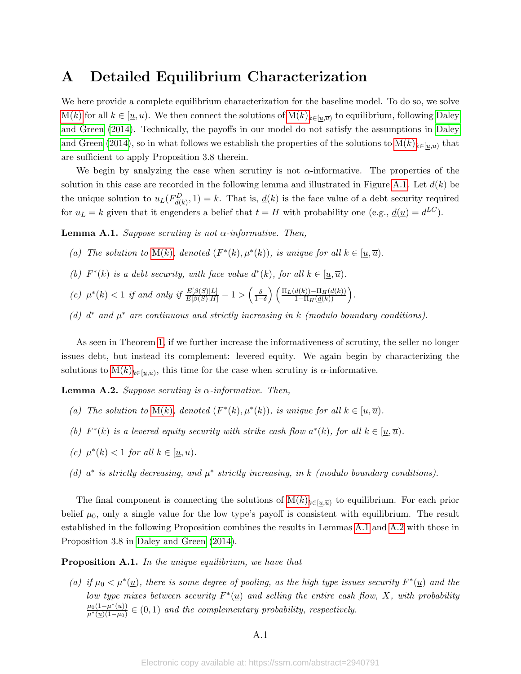# <span id="page-34-0"></span>A Detailed Equilibrium Characterization

We here provide a complete equilibrium characterization for the baseline model. To do so, we solve  $M(k)$  $M(k)$  for all  $k \in [\underline{u}, \overline{u})$ . We then connect the solutions of  $M(k)_{k \in [\underline{u}, \overline{u})}$  to equilibrium, following [Daley](#page-31-11) [and Green](#page-31-11) [\(2014\)](#page-31-11). Technically, the payoffs in our model do not satisfy the assumptions in [Daley](#page-31-11) [and Green](#page-31-11) [\(2014\)](#page-31-11), so in what follows we establish the properties of the solutions to  $M(k)_{k\in[\underline{u},\overline{u})}$  that are sufficient to apply Proposition 3.8 therein.

We begin by analyzing the case when scrutiny is not  $\alpha$ -informative. The properties of the solution in this case are recorded in the following lemma and illustrated in Figure [A.1.](#page-35-0) Let  $d(k)$  be the unique solution to  $u_L(F_{\underline{d}(k)}^D, 1) = k$ . That is,  $\underline{d}(k)$  is the face value of a debt security required for  $u_L = k$  given that it engenders a belief that  $t = H$  with probability one (e.g.,  $\underline{d}(\underline{u}) = d^{LC}$ ).

**Lemma A.1.** Suppose scrutiny is not  $\alpha$ -informative. Then,

- (a) The solution to [M\(](#page-12-2)k), denoted  $(F^*(k), \mu^*(k))$ , is unique for all  $k \in [\underline{u}, \overline{u})$ .
- (b)  $F^*(k)$  is a debt security, with face value  $d^*(k)$ , for all  $k \in [\underline{u}, \overline{u})$ .
- (c)  $\mu^*(k) < 1$  if and only if  $\frac{E[\beta(S)|L]}{E[\beta(S)|H]} 1 > \left(\frac{\delta}{1-\delta}\right) \left(\frac{\Pi_L(\underline{d}(k)) \Pi_H(\underline{d}(k))}{1-\Pi_H(\underline{d}(k))}\right)$ .
- <span id="page-34-1"></span>(d)  $d^*$  and  $\mu^*$  are continuous and strictly increasing in k (modulo boundary conditions).

As seen in Theorem [1,](#page-12-0) if we further increase the informativeness of scrutiny, the seller no longer issues debt, but instead its complement: levered equity. We again begin by characterizing the solutions to  $M(k)_{k\in[\underline{u},\overline{u})}$ , this time for the case when scrutiny is  $\alpha$ -informative.

**Lemma A.2.** Suppose scruting is  $\alpha$ -informative. Then,

- (a) The solution to [M\(](#page-12-2)k), denoted  $(F^*(k), \mu^*(k))$ , is unique for all  $k \in [\underline{u}, \overline{u})$ .
- (b)  $F^*(k)$  is a levered equity security with strike cash flow  $a^*(k)$ , for all  $k \in [\underline{u}, \overline{u})$ .
- (c)  $\mu^*(k) < 1$  for all  $k \in [\underline{u}, \overline{u})$ .
- <span id="page-34-2"></span>(d)  $a^*$  is strictly decreasing, and  $\mu^*$  strictly increasing, in k (modulo boundary conditions).

The final component is connecting the solutions of  $M(k)_{k\in[\underline{u},\overline{u})}$  to equilibrium. For each prior belief  $\mu_0$ , only a single value for the low type's payoff is consistent with equilibrium. The result established in the following Proposition combines the results in Lemmas [A.1](#page-13-1) and [A.2](#page-14-2) with those in Proposition 3.8 in [Daley and Green](#page-31-11) [\(2014\)](#page-31-11).

Proposition A.1. In the unique equilibrium, we have that

(a) if  $\mu_0 < \mu^*(\underline{u})$ , there is some degree of pooling, as the high type issues security  $F^*(\underline{u})$  and the low type mixes between security  $F^*(\underline{u})$  and selling the entire cash flow, X, with probability  $\mu_0(1-\mu^*(\underline{u}))$  $\frac{\mu_0(1-\mu^*(\underline{u}))}{\mu^*(\underline{u})(1-\mu_0)} \in (0,1)$  and the complementary probability, respectively.

### A.1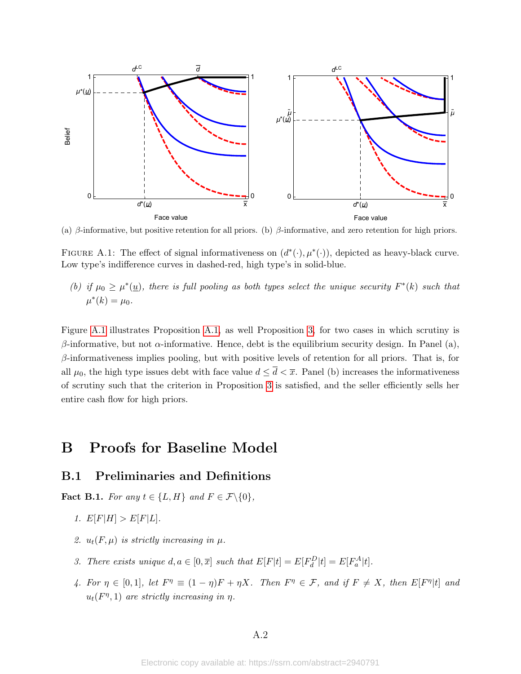<span id="page-35-0"></span>

(a) β-informative, but positive retention for all priors. (b) β-informative, and zero retention for high priors.

FIGURE A.1: The effect of signal informativeness on  $(d^*(\cdot), \mu^*(\cdot))$ , depicted as heavy-black curve. Low type's indifference curves in dashed-red, high type's in solid-blue.

<span id="page-35-1"></span>(b) if  $\mu_0 \geq \mu^*(\underline{u})$ , there is full pooling as both types select the unique security  $F^*(k)$  such that  $\mu^*(k) = \mu_0.$ 

Figure [A.1](#page-35-0) illustrates Proposition [A.1,](#page-35-1) as well Proposition [3,](#page-19-1) for two cases in which scrutiny is β-informative, but not  $\alpha$ -informative. Hence, debt is the equilibrium security design. In Panel (a),  $\beta$ -informativeness implies pooling, but with positive levels of retention for all priors. That is, for all  $\mu_0$ , the high type issues debt with face value  $d \leq \overline{d} < \overline{x}$ . Panel (b) increases the informativeness of scrutiny such that the criterion in Proposition [3](#page-19-1) is satisfied, and the seller efficiently sells her entire cash flow for high priors.

# B Proofs for Baseline Model

## B.1 Preliminaries and Definitions

<span id="page-35-5"></span>**Fact B.1.** For any  $t \in \{L, H\}$  and  $F \in \mathcal{F}\backslash\{0\}$ ,

- 1.  $E[F|H] > E[F|L]$ .
- <span id="page-35-3"></span>2.  $u_t(F,\mu)$  is strictly increasing in  $\mu$ .
- <span id="page-35-4"></span>3. There exists unique  $d, a \in [0, \overline{x}]$  such that  $E[F|t] = E[F_d^D|t] = E[F_a^A|t]$ .
- <span id="page-35-2"></span>4. For  $\eta \in [0,1]$ , let  $F^{\eta} \equiv (1 - \eta)F + \eta X$ . Then  $F^{\eta} \in \mathcal{F}$ , and if  $F \neq X$ , then  $E[F^{\eta}|t]$  and  $u_t(F^{\eta}, 1)$  are strictly increasing in  $\eta$ .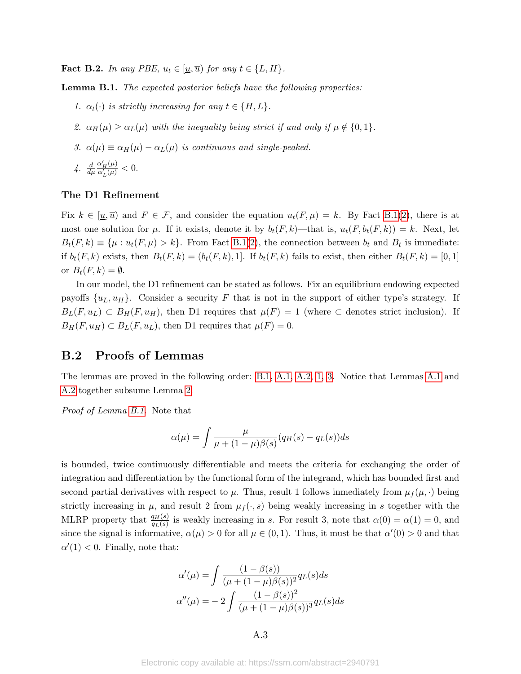**Fact B.2.** In any PBE,  $u_t \in [\underline{u}, \overline{u})$  for any  $t \in \{L, H\}$ .

Lemma B.1. The expected posterior beliefs have the following properties:

- 1.  $\alpha_t(\cdot)$  is strictly increasing for any  $t \in \{H, L\}$ .
- 2.  $\alpha_H(\mu) \geq \alpha_L(\mu)$  with the inequality being strict if and only if  $\mu \notin \{0, 1\}$ .
- 3.  $\alpha(\mu) \equiv \alpha_H(\mu) \alpha_L(\mu)$  is continuous and single-peaked.

$$
4. \frac{d}{d\mu} \frac{\alpha'_H(\mu)}{\alpha'_L(\mu)} < 0.
$$

### The D1 Refinement

Fix  $k \in [\underline{u}, \overline{u})$  and  $F \in \mathcal{F}$ , and consider the equation  $u_t(F, \mu) = k$ . By Fact [B.1](#page-35-2)[\(2\)](#page-35-3), there is at most one solution for  $\mu$ . If it exists, denote it by  $b_t(F, k)$ —that is,  $u_t(F, b_t(F, k)) = k$ . Next, let  $B_t(F, k) \equiv \{\mu : u_t(F, \mu) > k\}.$  From Fact [B.1\(](#page-35-2)[2\)](#page-35-3), the connection between  $b_t$  and  $B_t$  is immediate: if  $b_t(F, k)$  exists, then  $B_t(F, k) = (b_t(F, k), 1]$ . If  $b_t(F, k)$  fails to exist, then either  $B_t(F, k) = [0, 1]$ or  $B_t(F, k) = \emptyset$ .

In our model, the D1 refinement can be stated as follows. Fix an equilibrium endowing expected payoffs  $\{u_L, u_H\}$ . Consider a security F that is not in the support of either type's strategy. If  $B_L(F, u_L) \subset B_H(F, u_H)$ , then D1 requires that  $\mu(F) = 1$  (where  $\subset$  denotes strict inclusion). If  $B_H(F, u_H) \subset B_L(F, u_L)$ , then D1 requires that  $\mu(F) = 0$ .

### B.2 Proofs of Lemmas

The lemmas are proved in the following order: [B.1,](#page-13-1) [A.1,](#page-34-1) [A.2,](#page-34-2) [1,](#page-13-1) [3.](#page-15-0) Notice that Lemmas [A.1](#page-34-1) and [A.2](#page-34-2) together subsume Lemma [2.](#page-14-2)

Proof of Lemma [B.1.](#page-13-1) Note that

$$
\alpha(\mu) = \int \frac{\mu}{\mu + (1 - \mu)\beta(s)} (q_H(s) - q_L(s))ds
$$

is bounded, twice continuously differentiable and meets the criteria for exchanging the order of integration and differentiation by the functional form of the integrand, which has bounded first and second partial derivatives with respect to  $\mu$ . Thus, result 1 follows inmediately from  $\mu_f(\mu, \cdot)$  being strictly increasing in  $\mu$ , and result 2 from  $\mu_f(\cdot,s)$  being weakly increasing in s together with the MLRP property that  $\frac{q_H(s)}{q_L(s)}$  is weakly increasing in s. For result 3, note that  $\alpha(0) = \alpha(1) = 0$ , and since the signal is informative,  $\alpha(\mu) > 0$  for all  $\mu \in (0, 1)$ . Thus, it must be that  $\alpha'(0) > 0$  and that  $\alpha'(1) < 0$ . Finally, note that:

$$
\alpha'(\mu) = \int \frac{(1 - \beta(s))}{(\mu + (1 - \mu)\beta(s))^2} q_L(s) ds
$$

$$
\alpha''(\mu) = -2 \int \frac{(1 - \beta(s))^2}{(\mu + (1 - \mu)\beta(s))^3} q_L(s) ds
$$

A.3

Electronic copy available at: https://ssrn.com/abstract=2940791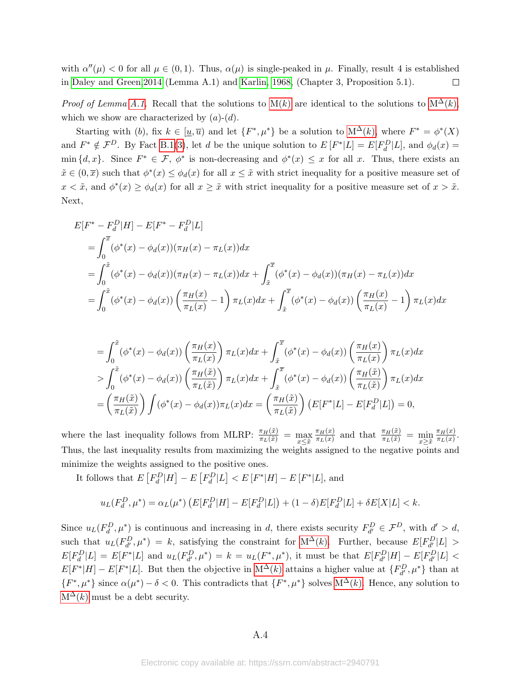with  $\alpha''(\mu) < 0$  for all  $\mu \in (0,1)$ . Thus,  $\alpha(\mu)$  is single-peaked in  $\mu$ . Finally, result 4 is established in [Daley and Green,2014](#page-31-11) (Lemma A.1) and [Karlin, 1968,](#page-32-21) (Chapter 3, Proposition 5.1).  $\Box$ 

*Proof of Lemma [A.1.](#page-34-1)* Recall that the solutions to  $M(k)$  are identical to the solutions to  $M^{\Delta}(k)$ , which we show are characterized by  $(a)-(d)$ .

Starting with (b), fix  $k \in [\underline{u}, \overline{u}]$  and let  $\{F^*, \mu^*\}$  be a solution to  $M^{\Delta}(k)$ , where  $F^* = \phi^*(X)$ and  $F^* \notin \mathcal{F}^D$ . By Fact [B.1\(](#page-35-2)[3\)](#page-35-4), let d be the unique solution to  $E[F^*|L] = E[F_d^D|L]$ , and  $\phi_d(x) =$ min  $\{d, x\}$ . Since  $F^* \in \mathcal{F}$ ,  $\phi^*$  is non-decreasing and  $\phi^*(x) \leq x$  for all x. Thus, there exists an  $\tilde{x} \in (0,\overline{x})$  such that  $\phi^*(x) \leq \phi_d(x)$  for all  $x \leq \tilde{x}$  with strict inequality for a positive measure set of  $x < \tilde{x}$ , and  $\phi^*(x) \ge \phi_d(x)$  for all  $x \ge \tilde{x}$  with strict inequality for a positive measure set of  $x > \tilde{x}$ . Next,

$$
E[F^* - F_d^D|H] - E[F^* - F_d^D|L]
$$
  
=  $\int_0^{\overline{x}} (\phi^*(x) - \phi_d(x)) (\pi_H(x) - \pi_L(x)) dx$   
=  $\int_0^{\tilde{x}} (\phi^*(x) - \phi_d(x)) (\pi_H(x) - \pi_L(x)) dx + \int_{\tilde{x}}^{\overline{x}} (\phi^*(x) - \phi_d(x)) (\pi_H(x) - \pi_L(x)) dx$   
=  $\int_0^{\tilde{x}} (\phi^*(x) - \phi_d(x)) (\frac{\pi_H(x)}{\pi_L(x)} - 1) \pi_L(x) dx + \int_{\tilde{x}}^{\overline{x}} (\phi^*(x) - \phi_d(x)) (\frac{\pi_H(x)}{\pi_L(x)} - 1) \pi_L(x) dx$ 

$$
= \int_0^{\tilde{x}} (\phi^*(x) - \phi_d(x)) \left( \frac{\pi_H(x)}{\pi_L(x)} \right) \pi_L(x) dx + \int_{\tilde{x}}^{\overline{x}} (\phi^*(x) - \phi_d(x)) \left( \frac{\pi_H(x)}{\pi_L(x)} \right) \pi_L(x) dx
$$
  
> 
$$
\int_0^{\tilde{x}} (\phi^*(x) - \phi_d(x)) \left( \frac{\pi_H(\tilde{x})}{\pi_L(\tilde{x})} \right) \pi_L(x) dx + \int_{\tilde{x}}^{\overline{x}} (\phi^*(x) - \phi_d(x)) \left( \frac{\pi_H(\tilde{x})}{\pi_L(\tilde{x})} \right) \pi_L(x) dx
$$
  
= 
$$
\left( \frac{\pi_H(\tilde{x})}{\pi_L(\tilde{x})} \right) \int (\phi^*(x) - \phi_d(x)) \pi_L(x) dx = \left( \frac{\pi_H(\tilde{x})}{\pi_L(\tilde{x})} \right) \left( E[F^* | L] - E[F_d^D | L] \right) = 0,
$$

where the last inequality follows from MLRP:  $\frac{\pi_H(\tilde{x})}{\pi_L(\tilde{x})} = \max_{x \leq \tilde{x}}$  $\pi_H(x)$  $\frac{\pi_H(x)}{\pi_L(x)}$  and that  $\frac{\pi_H(\tilde{x})}{\pi_L(\tilde{x})} = \min_{x \geq \tilde{x}}$  $\pi_H(x)$  $\frac{\pi_H(x)}{\pi_L(x)}$ . Thus, the last inequality results from maximizing the weights assigned to the negative points and minimize the weights assigned to the positive ones.

It follows that  $E\left[F_d^D|H\right] - E\left[F_d^D|L\right] < E\left[F^*|H\right] - E\left[F^*|L\right]$ , and

$$
u_L(F_d^D, \mu^*) = \alpha_L(\mu^*) \left( E[F_d^D | H] - E[F_d^D | L] \right) + (1 - \delta) E[F_d^D | L] + \delta E[X|L] < k.
$$

Since  $u_L(F_d^D, \mu^*)$  is continuous and increasing in d, there exists security  $F_{d'}^D \in \mathcal{F}^D$ , with  $d' > d$ , such that  $u_L(F_{d'}^D, \mu^*) = k$ , satisfying the constraint for  $M^{\Delta}(k)$ . Further, because  $E[F_{d'}^D|L] >$  $E[F_d^D|L] = E[F^*|L]$  and  $u_L(F_{d'}^D, \mu^*) = k = u_L(F^*, \mu^*)$ , it must be that  $E[F_{d'}^D|H] - E[F_{d'}^D|L]$  $E[F^*|H] - E[F^*|L]$ . But then the objective in  $M^{\Delta}(k)$  attains a higher value at  $\{F_{d'}^D, \mu^*\}\$  than at  $\{F^*,\mu^*\}\$  since  $\alpha(\mu^*)-\delta<0$ . This contradicts that  $\{F^*,\mu^*\}\$  solves  $M^{\Delta}(k)$ . Hence, any solution to  $M^{\Delta}(k)$  $M^{\Delta}(k)$  must be a debt security.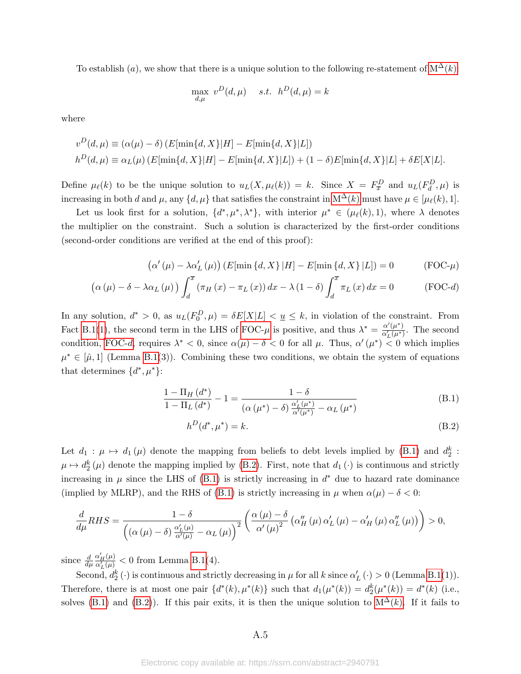To establish (a), we show that there is a unique solution to the following re-statement of  $M^{\Delta}(k)$ :

$$
\max_{d,\mu} v^D(d,\mu) \quad s.t. \quad h^D(d,\mu) = k
$$

where

$$
v^{D}(d,\mu) \equiv (\alpha(\mu) - \delta) (E[\min\{d, X\}|H] - E[\min\{d, X\}|L])
$$
  

$$
h^{D}(d,\mu) \equiv \alpha_{L}(\mu) (E[\min\{d, X\}|H] - E[\min\{d, X\}|L]) + (1 - \delta)E[\min\{d, X\}|L] + \delta E[X|L].
$$

Define  $\mu_{\ell}(k)$  to be the unique solution to  $u_L(X, \mu_{\ell}(k)) = k$ . Since  $X = F_{\overline{x}}^D$  and  $u_L(F_d^D, \mu)$  is increasing in both d and  $\mu$ , any  $\{d, \mu\}$  that satisfies the constraint in [M](#page-13-0)<sup>△</sup>(k) must have  $\mu \in [\mu_{\ell}(k), 1].$ 

Let us look first for a solution,  $\{d^*, \mu^*, \lambda^*\}$ , with interior  $\mu^* \in (\mu_\ell(k), 1)$ , where  $\lambda$  denotes the multiplier on the constraint. Such a solution is characterized by the first-order conditions (second-order conditions are verified at the end of this proof):

<span id="page-38-0"></span>
$$
(\alpha'(\mu) - \lambda \alpha'_{L}(\mu)) (E[\min\{d, X\} | H] - E[\min\{d, X\} | L]) = 0
$$
 (FOC- $\mu$ )

$$
\left(\alpha\left(\mu\right)-\delta-\lambda\alpha_{L}\left(\mu\right)\right)\int_{d}^{\overline{x}}\left(\pi_{H}\left(x\right)-\pi_{L}\left(x\right)\right)dx-\lambda\left(1-\delta\right)\int_{d}^{\overline{x}}\pi_{L}\left(x\right)dx=0\qquad\qquad\left(\text{FOC-d}\right)
$$

In any solution,  $d^* > 0$ , as  $u_L(F_0^D, \mu) = \delta E[X|L] < u_L \leq k$ , in violation of the constraint. From Fact [B.1\(](#page-35-2)[1\)](#page-35-5), the second term in the LHS of [FOC-](#page-38-0) $\mu$  is positive, and thus  $\lambda^* = \frac{\alpha'(\mu^*)}{\alpha'(\mu^*)}$  $\frac{\alpha'(\mu')}{\alpha'_L(\mu^*)}$ . The second condition, [FOC-](#page-38-1)d, requires  $\lambda^* < 0$ , since  $\alpha(\mu) - \delta < 0$  for all  $\mu$ . Thus,  $\alpha'(\mu^*) < 0$  which implies  $\mu^* \in [\hat{\mu}, 1]$  (Lemma [B.1\(](#page-13-1)3)). Combining these two conditions, we obtain the system of equations that determines  $\{d^*, \mu^*\}$ :

$$
\frac{1-\Pi_{H}\left(d^{*}\right)}{1-\Pi_{L}\left(d^{*}\right)}-1=\frac{1-\delta}{\left(\alpha\left(\mu^{*}\right)-\delta\right)\frac{\alpha'_{L}\left(\mu^{*}\right)}{\alpha'\left(\mu^{*}\right)}-\alpha_{L}\left(\mu^{*}\right)}\tag{B.1}
$$

<span id="page-38-3"></span><span id="page-38-2"></span><span id="page-38-1"></span>
$$
h^D(d^*, \mu^*) = k. \tag{B.2}
$$

Let  $d_1: \mu \mapsto d_1(\mu)$  denote the mapping from beliefs to debt levels implied by [\(B.1\)](#page-38-2) and  $d_2^k$ :  $\mu \mapsto d_2^k(\mu)$  denote the mapping implied by [\(B.2\)](#page-38-3). First, note that  $d_1(\cdot)$  is continuous and strictly increasing in  $\mu$  since the LHS of [\(B.1\)](#page-38-2) is strictly increasing in  $d^*$  due to hazard rate dominance (implied by MLRP), and the RHS of [\(B.1\)](#page-38-2) is strictly increasing in  $\mu$  when  $\alpha(\mu) - \delta < 0$ :

$$
\frac{d}{d\mu}RHS = \frac{1-\delta}{\left(\left(\alpha(\mu)-\delta\right)\frac{\alpha'_{L}(\mu)}{\alpha'(\mu)}-\alpha_{L}(\mu)\right)^{2}}\left(\frac{\alpha(\mu)-\delta}{\alpha'(\mu)^{2}}\left(\alpha''_{H}(\mu)\alpha'_{L}(\mu)-\alpha'_{H}(\mu)\alpha''_{L}(\mu)\right)\right) > 0,
$$

since  $\frac{d}{d\mu}$  $\frac{\alpha'_H(\mu)}{\alpha'_L(\mu)} < 0$  from Lemma [B.1\(](#page-13-1)4).

Second,  $d_2^k(\cdot)$  is continuous and strictly decreasing in  $\mu$  for all k since  $\alpha'_{L}(\cdot) > 0$  (Lemma [B.1\(](#page-13-1)1)). Therefore, there is at most one pair  $\{d^*(k), \mu^*(k)\}$  such that  $d_1(\mu^*(k)) = d_2^k(\mu^*(k)) = d^*(k)$  (i.e., solves [\(B.1\)](#page-38-2) and [\(B.2\)](#page-38-3)). If this pair exits, it is then the unique solution to  $M^{\Delta}(k)$ . If it fails to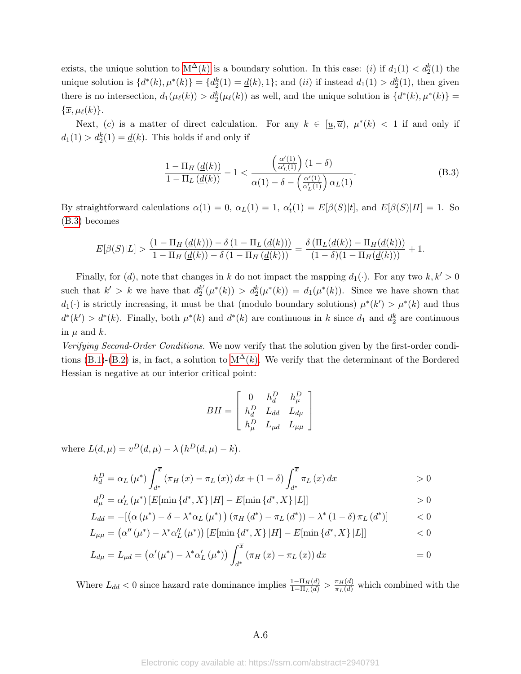exists, the unique solution to  $M^{\Delta}(k)$  is a boundary solution. In this case: (*i*) if  $d_1(1) < d_2^k(1)$  the unique solution is  $\{d^*(k), \mu^*(k)\} = \{d_2^k(1) = \underline{d}(k), 1\}$ ; and (*ii*) if instead  $d_1(1) > d_2^k(1)$ , then given there is no intersection,  $d_1(\mu(\ell)) > d_2^k(\mu(\ell))$  as well, and the unique solution is  $\{d^*(k), \mu^*(k)\} =$  $\{\overline{x}, \mu_{\ell}(k)\}.$ 

Next, (c) is a matter of direct calculation. For any  $k \in [\underline{u}, \overline{u})$ ,  $\mu^*(k) < 1$  if and only if  $d_1(1) > d_2^k(1) = \underline{d}(k)$ . This holds if and only if

<span id="page-39-0"></span>
$$
\frac{1-\Pi_H\left(\underline{d}(k)\right)}{1-\Pi_L\left(\underline{d}(k)\right)} - 1 < \frac{\left(\frac{\alpha'(1)}{\alpha'_L(1)}\right)(1-\delta)}{\alpha(1)-\delta - \left(\frac{\alpha'(1)}{\alpha'_L(1)}\right)\alpha_L(1)}.\tag{B.3}
$$

By straightforward calculations  $\alpha(1) = 0$ ,  $\alpha_L(1) = 1$ ,  $\alpha'_L(1) = E[\beta(S)|t]$ , and  $E[\beta(S)|H] = 1$ . So [\(B.3\)](#page-39-0) becomes

$$
E[\beta(S)|L] > \frac{(1-\Pi_H(\underline{d}(k)))-\delta(1-\Pi_L(\underline{d}(k)))}{1-\Pi_H(\underline{d}(k))-\delta(1-\Pi_H(\underline{d}(k)))} = \frac{\delta(\Pi_L(\underline{d}(k))-\Pi_H(\underline{d}(k)))}{(1-\delta)(1-\Pi_H(\underline{d}(k)))} + 1.
$$

Finally, for (d), note that changes in k do not impact the mapping  $d_1(\cdot)$ . For any two  $k, k' > 0$ such that  $k' > k$  we have that  $d_2^{k'}$  $d_2^{k'}(\mu^*(k)) > d_2^{k'}(\mu^*(k)) = d_1(\mu^*(k)).$  Since we have shown that  $d_1(\cdot)$  is strictly increasing, it must be that (modulo boundary solutions)  $\mu^*(k') > \mu^*(k)$  and thus  $d^*(k') > d^*(k)$ . Finally, both  $\mu^*(k)$  and  $d^*(k)$  are continuous in k since  $d_1$  and  $d_2^k$  are continuous in  $\mu$  and  $k$ .

Verifying Second-Order Conditions. We now verify that the solution given by the first-order condi-tions [\(B.1\)](#page-38-2)-[\(B.2\)](#page-38-3) is, in fact, a solution to  $M^{\Delta}(k)$ . We verify that the determinant of the Bordered Hessian is negative at our interior critical point:

$$
BH = \begin{bmatrix} 0 & h_d^D & h_\mu^D \\ h_d^D & L_{dd} & L_{d\mu} \\ h_\mu^D & L_{\mu d} & L_{\mu\mu} \end{bmatrix}
$$

where  $L(d, \mu) = v^D(d, \mu) - \lambda (h^D(d, \mu) - k)$ .

$$
h_d^D = \alpha_L (\mu^*) \int_{d^*}^{\overline{x}} (\pi_H (x) - \pi_L (x)) dx + (1 - \delta) \int_{d^*}^{\overline{x}} \pi_L (x) dx
$$
  
\n
$$
h_d^D = \alpha' (\mu^*) [F[\min d_d^* \ X] | H] - F[\min d_d^* \ X] | H]
$$

$$
d_{\mu}^{D} = \alpha'_{L}(\mu^{*}) \left[ E[\min\left\{d^{*}, X\right\} | H] - E[\min\left\{d^{*}, X\right\} | L] \right] \qquad \qquad > 0
$$

$$
L_{dd} = -\left[\left(\alpha \left(\mu^*\right) - \delta - \lambda^* \alpha_L \left(\mu^*\right)\right) \left(\pi_H \left(d^*\right) - \pi_L \left(d^*\right)\right) - \lambda^* \left(1 - \delta\right) \pi_L \left(d^*\right)\right] \tag{0}
$$
\n
$$
L_{dd} = \left(\alpha'' \left(\mu^*\right) - \lambda^* \alpha'' \left(\mu^*\right)\right) \left[\mathbf{F}[\min_{d} \left(d^* \mathbf{Y} \setminus \mathbf{H}]\right] - \mathbf{F}[\min_{d} \left(d^* \mathbf{Y} \setminus \mathbf{H}]\right]\right] \tag{0}
$$

$$
L_{\mu\mu} = (\alpha''(\mu^*) - \lambda^* \alpha_L''(\mu^*)) [E[\min\{d^*, X\} | H] - E[\min\{d^*, X\} | L]]
$$
  
\n
$$
L_{\mu\mu} = L_{\mu} = (\alpha'(\mu^*) - \lambda^* \alpha'(\mu^*)) \int_{\overline{L}}^{\overline{L}} (\pi_{\overline{L}}(\overline{x}) - \pi_{\overline{L}}(\overline{x})) d\overline{x}
$$

$$
L_{d\mu} = L_{\mu d} = (\alpha'(\mu^*) - \lambda^* \alpha'_{L} (\mu^*)) \int_{d^*} (\pi_{H}(x) - \pi_{L}(x)) dx = 0
$$

Where  $L_{dd} < 0$  since hazard rate dominance implies  $\frac{1-\Pi_H(d)}{1-\Pi_L(d)} > \frac{\pi_H(d)}{\pi_L(d)}$  which combined with the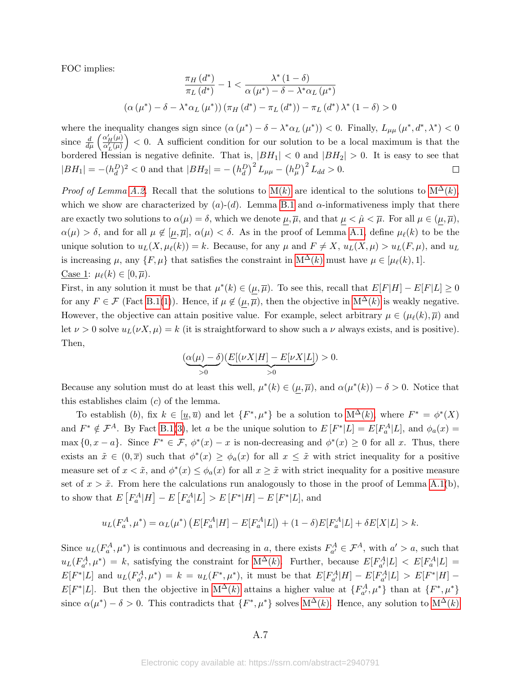FOC implies:

$$
\frac{\pi_H(d^*)}{\pi_L(d^*)} - 1 < \frac{\lambda^*(1-\delta)}{\alpha(\mu^*) - \delta - \lambda^*\alpha_L(\mu^*)}
$$
\n
$$
(\alpha(\mu^*) - \delta - \lambda^*\alpha_L(\mu^*)) (\pi_H(d^*) - \pi_L(d^*)) - \pi_L(d^*)\lambda^*(1-\delta) > 0
$$

where the inequality changes sign since  $(\alpha(\mu^*) - \delta - \lambda^* \alpha_L(\mu^*)) < 0$ . Finally,  $L_{\mu\mu}(\mu^*, d^*, \lambda^*) < 0$ since  $\frac{d}{d\mu} \left( \frac{\alpha'_H(\mu)}{\alpha'_L(\mu)} \right)$  < 0. A sufficient condition for our solution to be a local maximum is that the bordered Hessian is negative definite. That is,  $|BH_1| < 0$  and  $|BH_2| > 0$ . It is easy to see that  $|BH_1| = -(h_d^D)^2 < 0$  and that  $|BH_2| = -(h_d^D)^2 L_{\mu\mu} - (h_\mu^D)^2 L_{dd} > 0$ .  $\Box$ 

*Proof of Lemma [A.2.](#page-34-2)* Recall that the solutions to  $M(k)$  are identical to the solutions to  $M^{\Delta}(k)$ , which we show are characterized by  $(a)-(d)$ . Lemma [B.1](#page-13-1) and  $\alpha$ -informativeness imply that there are exactly two solutions to  $\alpha(\mu) = \delta$ , which we denote  $\mu, \overline{\mu}$ , and that  $\mu < \hat{\mu} < \overline{\mu}$ . For all  $\mu \in (\mu, \overline{\mu})$ ,  $\alpha(\mu) > \delta$ , and for all  $\mu \notin [\mu, \overline{\mu}], \alpha(\mu) < \delta$ . As in the proof of Lemma [A.1,](#page-34-1) define  $\mu_{\ell}(k)$  to be the unique solution to  $u_L(X, \mu_\ell(k)) = k$ . Because, for any  $\mu$  and  $F \neq X$ ,  $u_L(X, \mu) > u_L(F, \mu)$ , and  $u_L$ is increasing  $\mu$ , any  $\{F, \mu\}$  that satisfies the constraint in  $M^{\Delta}(k)$  must have  $\mu \in [\mu_{\ell}(k), 1].$ Case 1:  $\mu_{\ell}(k) \in [0, \overline{\mu}).$ 

First, in any solution it must be that  $\mu^*(k) \in (\mu, \overline{\mu})$ . To see this, recall that  $E[F|H] - E[F|L] \ge 0$ for any  $F \in \mathcal{F}$  (Fact [B.1\(](#page-35-2)[1\)](#page-35-5)). Hence, if  $\mu \notin (\mu, \overline{\mu})$ , then the objective in  $M^{\Delta}(k)$  is weakly negative. However, the objective can attain positive value. For example, select arbitrary  $\mu \in (\mu_{\ell}(k), \overline{\mu})$  and let  $\nu > 0$  solve  $u_L(\nu X, \mu) = k$  (it is straightforward to show such a  $\nu$  always exists, and is positive). Then,

$$
(\underbrace{\alpha(\mu)-\delta}_{>0})\underbrace{E[(\nu X|H]-E[\nu X|L]}_{>0})>0.
$$

Because any solution must do at least this well,  $\mu^*(k) \in (\mu, \overline{\mu})$ , and  $\alpha(\mu^*(k)) - \delta > 0$ . Notice that this establishes claim  $(c)$  of the lemma.

To establish (b), fix  $k \in [\underline{u}, \overline{u})$  and let  $\{F^*, \mu^*\}$  be a solution to  $M^{\Delta}(k)$ , where  $F^* = \phi^*(X)$ and  $F^* \notin \mathcal{F}^A$ . By Fact [B.1\(](#page-35-2)[3\)](#page-35-4), let a be the unique solution to  $E[F^*|L] = E[F_a^A|L]$ , and  $\phi_a(x) =$  $\max\{0, x - a\}$ . Since  $F^* \in \mathcal{F}, \phi^*(x) - x$  is non-decreasing and  $\phi^*(x) \geq 0$  for all x. Thus, there exists an  $\tilde{x} \in (0,\overline{x})$  such that  $\phi^*(x) \ge \phi_a(x)$  for all  $x \le \tilde{x}$  with strict inequality for a positive measure set of  $x < \tilde{x}$ , and  $\phi^*(x) \le \phi_a(x)$  for all  $x \ge \tilde{x}$  with strict inequality for a positive measure set of  $x > \tilde{x}$ . From here the calculations run analogously to those in the proof of Lemma [A.1\(](#page-34-1)b), to show that  $E\left[F_a^A|H\right] - E\left[F_a^A|L\right] > E\left[F^*|H\right] - E\left[F^*|L\right]$ , and

$$
u_L(F_a^A, \mu^*) = \alpha_L(\mu^*) \left( E[F_a^A | H] - E[F_a^A | L] \right) + (1 - \delta) E[F_a^A | L] + \delta E[X|L] > k.
$$

Since  $u_L(F_a^A, \mu^*)$  is continuous and decreasing in a, there exists  $F_{a'}^A \in \mathcal{F}^A$ , with  $a' > a$ , such that  $u_L(F_{a'}^A, \mu^*) = k$ , satisfying the constraint for  $M^{\Delta}(k)$ . Further, because  $E[F_{a'}^A|L] < E[F_a^A|L] =$  $E[F^*|L]$  and  $u_L(F^A_{a'}, \mu^*) = k = u_L(F^*, \mu^*)$ , it must be that  $E[F^A_{a'}|H] - E[F^A_{a'}|L] > E[F^*|H] E[F^*|L]$ . But then the objective in  $M^{\Delta}(k)$  attains a higher value at  $\{F^A_{a'}, \mu^*\}\$  than at  $\{F^*, \mu^*\}$ since  $\alpha(\mu^*) - \delta > 0$ . This contradicts that  $\{F^*, \mu^*\}$  solves  $M^{\Delta}(k)$ . Hence, any solution to  $M^{\Delta}(k)$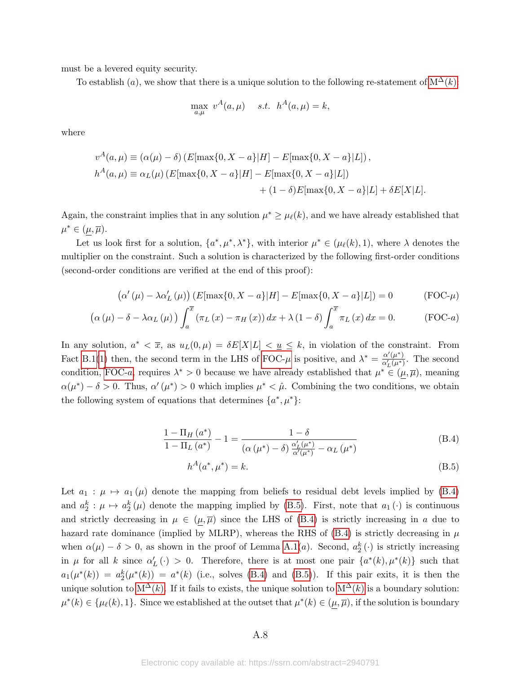must be a levered equity security.

To establish (a), we show that there is a unique solution to the following re-statement of  $M^{\Delta}(k)$ :

<span id="page-41-0"></span>
$$
\max_{a,\mu} v^A(a,\mu) \quad s.t. \quad h^A(a,\mu) = k,
$$

where

$$
v^{A}(a,\mu) \equiv (\alpha(\mu) - \delta) (E[\max\{0, X - a\}|H] - E[\max\{0, X - a\}|L]),
$$
  

$$
h^{A}(a,\mu) \equiv \alpha_{L}(\mu) (E[\max\{0, X - a\}|H] - E[\max\{0, X - a\}|L])
$$
  

$$
+ (1 - \delta)E[\max\{0, X - a\}|L] + \delta E[X|L].
$$

Again, the constraint implies that in any solution  $\mu^* \geq \mu_\ell(k)$ , and we have already established that  $\mu^* \in (\mu, \overline{\mu}).$ 

Let us look first for a solution,  $\{a^*, \mu^*, \lambda^*\}$ , with interior  $\mu^* \in (\mu_\ell(k), 1)$ , where  $\lambda$  denotes the multiplier on the constraint. Such a solution is characterized by the following first-order conditions (second-order conditions are verified at the end of this proof):

$$
(\alpha'(\mu) - \lambda \alpha'_{L}(\mu)) (E[\max\{0, X - a\}|H] - E[\max\{0, X - a\}|L]) = 0
$$
 (FOC- $\mu$ )

$$
\left(\alpha\left(\mu\right)-\delta-\lambda\alpha_{L}\left(\mu\right)\right)\int_{a}^{\overline{x}}\left(\pi_{L}\left(x\right)-\pi_{H}\left(x\right)\right)dx+\lambda\left(1-\delta\right)\int_{a}^{\overline{x}}\pi_{L}\left(x\right)dx=0.\tag{FOC-a}
$$

In any solution,  $a^* < \overline{x}$ , as  $u_L(0, \mu) = \delta E[X|L] < u_L \leq k$ , in violation of the constraint. From Fact [B.1\(](#page-35-2)[1\)](#page-35-5) then, the second term in the LHS of [FOC-](#page-41-0) $\mu$  is positive, and  $\lambda^* = \frac{\alpha'(\mu^*)}{\alpha'(\mu^*)}$  $\frac{\alpha'(\mu')}{\alpha'_L(\mu^*)}$ . The second condition, [FOC-](#page-41-1)a, requires  $\lambda^* > 0$  because we have already established that  $\mu^* \in (\mu, \overline{\mu})$ , meaning  $\alpha(\mu^*) - \delta > 0$ . Thus,  $\alpha'(\mu^*) > 0$  which implies  $\mu^* < \hat{\mu}$ . Combining the two conditions, we obtain the following system of equations that determines  $\{a^*, \mu^*\}$ :

$$
\frac{1-\Pi_{H}\left(a^{*}\right)}{1-\Pi_{L}\left(a^{*}\right)}-1=\frac{1-\delta}{\left(\alpha\left(\mu^{*}\right)-\delta\right)\frac{\alpha'_{L}\left(\mu^{*}\right)}{\alpha'\left(\mu^{*}\right)}-\alpha_{L}\left(\mu^{*}\right)}\tag{B.4}
$$

<span id="page-41-3"></span><span id="page-41-2"></span><span id="page-41-1"></span>
$$
h^A(a^*, \mu^*) = k. \tag{B.5}
$$

Let  $a_1 : \mu \mapsto a_1(\mu)$  denote the mapping from beliefs to residual debt levels implied by [\(B.4\)](#page-41-2) and  $a_2^k : \mu \mapsto a_2^k(\mu)$  denote the mapping implied by [\(B.5\)](#page-41-3). First, note that  $a_1(\cdot)$  is continuous and strictly decreasing in  $\mu \in (\mu, \overline{\mu})$  since the LHS of [\(B.4\)](#page-41-2) is strictly increasing in a due to hazard rate dominance (implied by MLRP), whereas the RHS of  $(B.4)$  is strictly decreasing in  $\mu$ when  $\alpha(\mu) - \delta > 0$ , as shown in the proof of Lemma [A.1\(](#page-34-1)*a*). Second,  $a_2^k(\cdot)$  is strictly increasing in  $\mu$  for all k since  $\alpha'_{L}(\cdot) > 0$ . Therefore, there is at most one pair  $\{a^*(k), \mu^*(k)\}\$  such that  $a_1(\mu^*(k)) = a_2^k(\mu^*(k)) = a^*(k)$  (i.e., solves [\(B.4\)](#page-41-2) and [\(B.5\)](#page-41-3)). If this pair exits, it is then the unique solution to [M](#page-13-0)<sup>∆</sup>(k). If it fails to exists, the unique solution to M<sup>∆</sup>(k) is a boundary solution:  $\mu^*(k) \in {\mu(\ell), 1}.$  Since we established at the outset that  $\mu^*(k) \in (\mu, \overline{\mu}),$  if the solution is boundary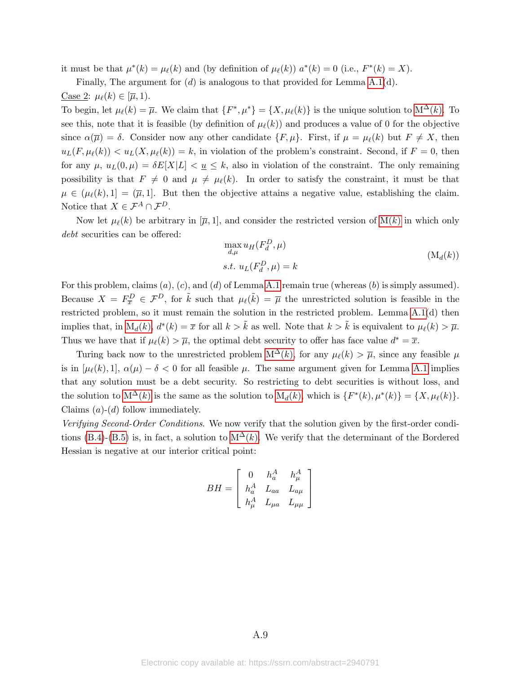it must be that  $\mu^*(k) = \mu_\ell(k)$  and (by definition of  $\mu_\ell(k)$ )  $a^*(k) = 0$  (i.e.,  $F^*(k) = X$ ).

Finally, The argument for  $(d)$  is analogous to that provided for Lemma [A.1\(](#page-34-1)d). Case 2:  $\mu_{\ell}(k) \in [\overline{\mu}, 1)$ .

To begin, let  $\mu_{\ell}(k) = \overline{\mu}$ . We claim that  $\{F^*, \mu^*\} = \{X, \mu_{\ell}(k)\}\$ is the unique solution to  $M^{\Delta}(k)$ . To see this, note that it is feasible (by definition of  $\mu_{\ell}(k)$ ) and produces a value of 0 for the objective since  $\alpha(\overline{\mu}) = \delta$ . Consider now any other candidate  $\{F, \mu\}$ . First, if  $\mu = \mu_{\ell}(k)$  but  $F \neq X$ , then  $u_L(F, \mu_\ell(k)) < u_L(X, \mu_\ell(k)) = k$ , in violation of the problem's constraint. Second, if  $F = 0$ , then for any  $\mu$ ,  $u_L(0, \mu) = \delta E[X|L] < u \leq k$ , also in violation of the constraint. The only remaining possibility is that  $F \neq 0$  and  $\mu \neq \mu_{\ell}(k)$ . In order to satisfy the constraint, it must be that  $\mu \in (\mu_{\ell}(k), 1] = (\overline{\mu}, 1].$  But then the objective attains a negative value, establishing the claim. Notice that  $X \in \mathcal{F}^A \cap \mathcal{F}^D$ .

Now let  $\mu_{\ell}(k)$  be arbitrary in  $[\overline{\mu}, 1]$ , and consider the restricted version of  $M(k)$  in which only debt securities can be offered:

<span id="page-42-0"></span>
$$
\max_{d,\mu} u_H(F_d^D, \mu)
$$
  
s.t.  $u_L(F_d^D, \mu) = k$  (M<sub>d</sub>(k))

For this problem, claims  $(a)$ ,  $(c)$ , and  $(d)$  of Lemma [A.1](#page-34-1) remain true (whereas  $(b)$  is simply assumed). Because  $X = F_{\overline{x}}^D \in \mathcal{F}^D$ , for  $\tilde{k}$  such that  $\mu_\ell(\tilde{k}) = \overline{\mu}$  the unrestricted solution is feasible in the restricted problem, so it must remain the solution in the restricted problem. Lemma [A.1\(](#page-34-1)d) then implies that, in  $M_d(k)$ ,  $d^*(k) = \overline{x}$  for all  $k > \tilde{k}$  as well. Note that  $k > \tilde{k}$  is equivalent to  $\mu_{\ell}(k) > \overline{\mu}$ . Thus we have that if  $\mu_{\ell}(k) > \overline{\mu}$ , the optimal debt security to offer has face value  $d^* = \overline{x}$ .

Turing back now to the unrestricted problem  $M^{\Delta}(k)$ , for any  $\mu_{\ell}(k) > \overline{\mu}$ , since any feasible  $\mu$ is in  $[\mu_{\ell}(k), 1], \alpha(\mu) - \delta < 0$  for all feasible  $\mu$ . The same argument given for Lemma [A.1](#page-34-1) implies that any solution must be a debt security. So restricting to debt securities is without loss, and the solution to  $M^{\Delta}(k)$  is the same as the solution to  $M_d(k)$ , which is  $\{F^*(k), \mu^*(k)\} = \{X, \mu_\ell(k)\}.$ Claims  $(a)-(d)$  follow immediately.

Verifying Second-Order Conditions. We now verify that the solution given by the first-order condi-tions [\(B.4\)](#page-41-2)-[\(B.5\)](#page-41-3) is, in fact, a solution to  $M^{\Delta}(k)$ . We verify that the determinant of the Bordered Hessian is negative at our interior critical point:

$$
BH = \left[ \begin{array}{ccc} 0 & h_a^A & h_\mu^A \\ h_a^A & L_{aa} & L_{a\mu} \\ h_\mu^A & L_{\mu a} & L_{\mu\mu} \end{array} \right]
$$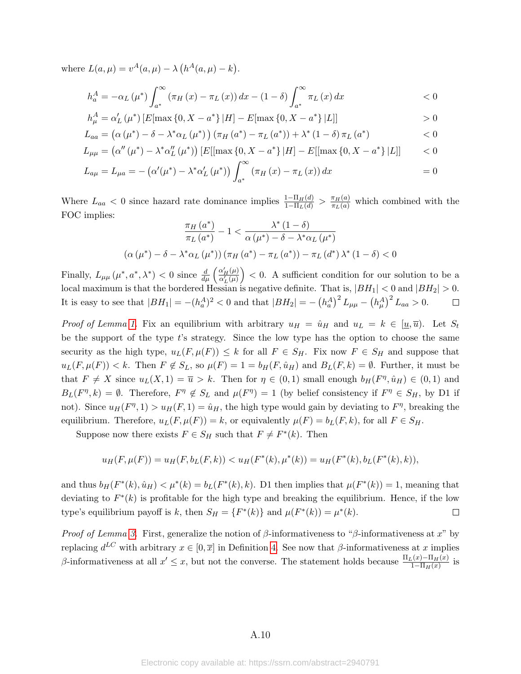where  $L(a, \mu) = v^A(a, \mu) - \lambda (h^A(a, \mu) - k)$ .

$$
h_{a}^{A} = -\alpha_{L}(\mu^{*}) \int_{a^{*}}^{\infty} \left(\pi_{H}\left(x\right) - \pi_{L}\left(x\right)\right) dx - (1 - \delta) \int_{a^{*}}^{\infty} \pi_{L}\left(x\right) dx \qquad \qquad < 0
$$

$$
h_{\mu}^{A} = \alpha'_{L}(\mu^{*}) \left[ E[\max\{0, X - a^{*}\} | H] - E[\max\{0, X - a^{*}\} | L] \right] > 0
$$

$$
L_{aa} = (\alpha (\mu^*) - \delta - \lambda^* \alpha_L (\mu^*)) (\pi_H (a^*) - \pi_L (a^*)) + \lambda^* (1 - \delta) \pi_L (a^*)
$$
 < 0

$$
L_{\mu\mu} = (\alpha''(\mu^*) - \lambda^* \alpha_L''(\mu^*)) [E[[\max\{0, X - a^*\} | H] - E[[\max\{0, X - a^*\} | L]] \qquad < 0
$$

$$
L_{a\mu} = L_{\mu a} = -(\alpha'(\mu^*) - \lambda^* \alpha'_{L}(\mu^*)) \int_{a^*}^{\infty} (\pi_{H}(x) - \pi_{L}(x)) dx = 0
$$

Where  $L_{aa} < 0$  since hazard rate dominance implies  $\frac{1-\Pi_H(d)}{1-\Pi_L(d)} > \frac{\pi_H(a)}{\pi_L(a)}$  which combined with the FOC implies:

$$
\frac{\pi_H(a^*)}{\pi_L(a^*)} - 1 < \frac{\lambda^*(1-\delta)}{\alpha(\mu^*) - \delta - \lambda^*\alpha_L(\mu^*)}
$$
\n
$$
(\alpha(\mu^*) - \delta - \lambda^*\alpha_L(\mu^*)) (\pi_H(a^*) - \pi_L(a^*)) - \pi_L(d^*)\lambda^*(1-\delta) < 0
$$

Finally,  $L_{\mu\mu}(\mu^*, a^*, \lambda^*)$  < 0 since  $\frac{d}{d\mu} \left( \frac{\alpha'_H(\mu)}{\alpha'_L(\mu)} \right)$  < 0. A sufficient condition for our solution to be a local maximum is that the bordered Hessian is negative definite. That is,  $|BH_1| < 0$  and  $|BH_2| > 0$ . It is easy to see that  $|BH_1| = -(h_a^A)^2 < 0$  and that  $|BH_2| = -(h_a^A)^2 L_{\mu\mu} - (h_\mu^A)^2 L_{aa} > 0$ .  $\Box$ 

*Proof of Lemma [1.](#page-13-1)* Fix an equilibrium with arbitrary  $u_H = \hat{u}_H$  and  $u_L = k \in [\underline{u}, \overline{u})$ . Let  $S_t$ be the support of the type t's strategy. Since the low type has the option to choose the same security as the high type,  $u_L(F, \mu(F)) \leq k$  for all  $F \in S_H$ . Fix now  $F \in S_H$  and suppose that  $u_L(F, \mu(F)) < k$ . Then  $F \notin S_L$ , so  $\mu(F) = 1 = b_H(F, \hat{u}_H)$  and  $B_L(F, k) = \emptyset$ . Further, it must be that  $F \neq X$  since  $u_L(X, 1) = \overline{u} > k$ . Then for  $\eta \in (0, 1)$  small enough  $b_H(F^{\eta}, \hat{u}_H) \in (0, 1)$  and  $B_L(F^{\eta}, k) = \emptyset$ . Therefore,  $F^{\eta} \notin S_L$  and  $\mu(F^{\eta}) = 1$  (by belief consistency if  $F^{\eta} \in S_H$ , by D1 if not). Since  $u_H(F^{\eta}, 1) > u_H(F, 1) = \hat{u}_H$ , the high type would gain by deviating to  $F^{\eta}$ , breaking the equilibrium. Therefore,  $u_L(F, \mu(F)) = k$ , or equivalently  $\mu(F) = b_L(F, k)$ , for all  $F \in S_H$ .

Suppose now there exists  $F \in S_H$  such that  $F \neq F^*(k)$ . Then

$$
u_H(F, \mu(F)) = u_H(F, b_L(F, k)) < u_H(F^*(k), \mu^*(k)) = u_H(F^*(k), b_L(F^*(k), k)),
$$

and thus  $b_H(F^*(k), \hat{u}_H) < \mu^*(k) = b_L(F^*(k), k)$ . D1 then implies that  $\mu(F^*(k)) = 1$ , meaning that deviating to  $F^*(k)$  is profitable for the high type and breaking the equilibrium. Hence, if the low type's equilibrium payoff is k, then  $S_H = \{F^*(k)\}\$ and  $\mu(F^*(k)) = \mu^*(k)$ .  $\Box$ 

Proof of Lemma [3.](#page-15-0) First, generalize the notion of  $\beta$ -informativeness to " $\beta$ -informativeness at x" by replacing  $d^{LC}$  with arbitrary  $x \in [0, \overline{x}]$  in Definition [4.](#page-14-1) See now that  $\beta$ -informativeness at x implies β-informativeness at all  $x' \leq x$ , but not the converse. The statement holds because  $\frac{\Pi_L(x) - \Pi_H(x)}{1 - \Pi_H(x)}$  is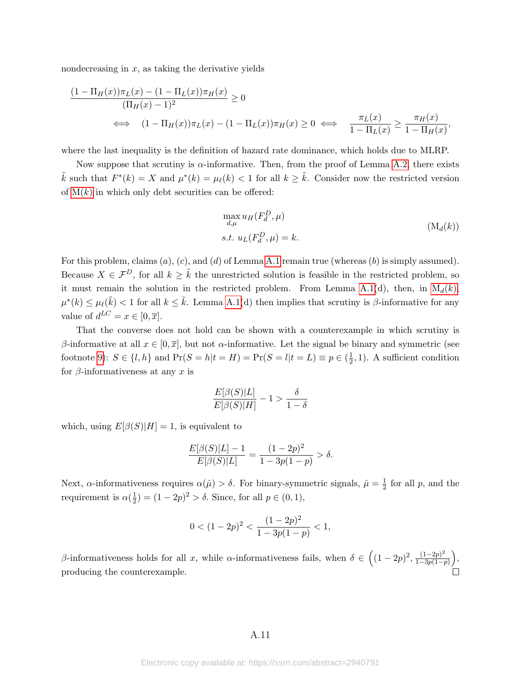nondecreasing in  $x$ , as taking the derivative yields

$$
\frac{(1 - \Pi_H(x))\pi_L(x) - (1 - \Pi_L(x))\pi_H(x)}{(\Pi_H(x) - 1)^2} \ge 0
$$
\n
$$
\iff (1 - \Pi_H(x))\pi_L(x) - (1 - \Pi_L(x))\pi_H(x) \ge 0 \iff \frac{\pi_L(x)}{1 - \Pi_L(x)} \ge \frac{\pi_H(x)}{1 - \Pi_H(x)},
$$

where the last inequality is the definition of hazard rate dominance, which holds due to MLRP.

Now suppose that scrutiny is  $\alpha$ -informative. Then, from the proof of Lemma [A.2,](#page-34-2) there exists  $\tilde{k}$  such that  $F^*(k) = X$  and  $\mu^*(k) = \mu_\ell(k) < 1$  for all  $k \geq \tilde{k}$ . Consider now the restricted version of  $M(k)$  in which only debt securities can be offered:

<span id="page-44-0"></span>
$$
\max_{d,\mu} u_H(F_d^D, \mu)
$$
  
s.t.  $u_L(F_d^D, \mu) = k$ . (M<sub>d</sub>(k))

For this problem, claims  $(a)$ ,  $(c)$ , and  $(d)$  of Lemma [A.1](#page-34-1) remain true (whereas  $(b)$  is simply assumed). Because  $X \in \mathcal{F}^D$ , for all  $k \geq \tilde{k}$  the unrestricted solution is feasible in the restricted problem, so it must remain the solution in the restricted problem. From Lemma [A.1\(](#page-34-1)d), then, in  $M_d(k)$ ,  $\mu^*(k) \leq \mu_\ell(\tilde{k}) < 1$  for all  $k \leq \tilde{k}$ . Lemma [A.1\(](#page-34-1)d) then implies that scrutiny is  $\beta$ -informative for any value of  $d^{LC} = x \in [0, \overline{x}].$ 

That the converse does not hold can be shown with a counterexample in which scrutiny is β-informative at all  $x \in [0, \overline{x}]$ , but not  $\alpha$ -informative. Let the signal be binary and symmetric (see footnote [9\)](#page-10-0):  $S \in \{l, h\}$  and  $\Pr(S = h | t = H) = \Pr(S = l | t = L) \equiv p \in (\frac{1}{2})$  $(\frac{1}{2}, 1)$ . A sufficient condition for  $\beta$ -informativeness at any x is

$$
\frac{E[\beta(S)|L]}{E[\beta(S)|H]}-1>\frac{\delta}{1-\delta}
$$

which, using  $E[\beta(S)|H] = 1$ , is equivalent to

$$
\frac{E[\beta(S)|L]-1}{E[\beta(S)|L]} = \frac{(1-2p)^2}{1-3p(1-p)} > \delta.
$$

Next,  $\alpha$ -informativeness requires  $\alpha(\hat{\mu}) > \delta$ . For binary-symmetric signals,  $\hat{\mu} = \frac{1}{2}$  $\frac{1}{2}$  for all p, and the requirement is  $\alpha(\frac{1}{2})$  $(\frac{1}{2}) = (1 - 2p)^2 > \delta$ . Since, for all  $p \in (0, 1)$ ,

$$
0 < (1 - 2p)^2 < \frac{(1 - 2p)^2}{1 - 3p(1 - p)} < 1,
$$

β-informativeness holds for all x, while α-informativeness fails, when  $\delta \in ((1-2p)^2, \frac{(1-2p)^2}{1-3p(1-p)}]$  $\frac{(1-2p)^2}{1-3p(1-p)}$ , producing the counterexample.

### A.11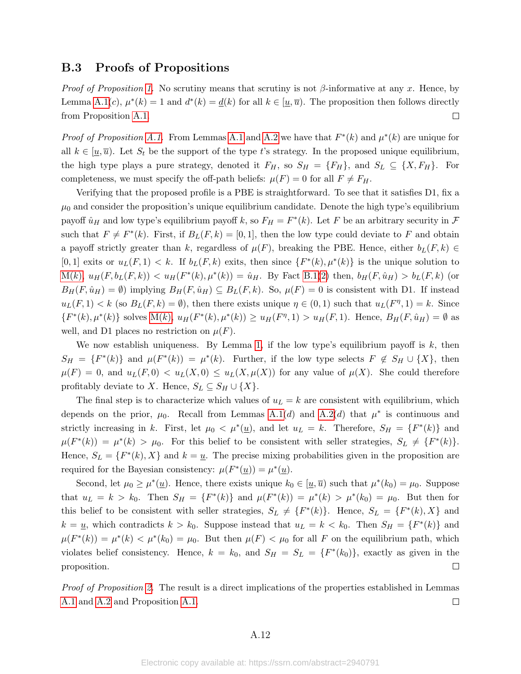## B.3 Proofs of Propositions

*Proof of Proposition [1.](#page-9-1)* No scrutiny means that scrutiny is not  $\beta$ -informative at any x. Hence, by Lemma [A.1\(](#page-34-1)c),  $\mu^*(k) = 1$  and  $d^*(k) = \underline{d}(k)$  for all  $k \in [\underline{u}, \overline{u})$ . The proposition then follows directly from Proposition [A.1.](#page-35-1)  $\Box$ 

*Proof of Proposition [A.1.](#page-35-1)* From Lemmas [A.1](#page-34-1) and [A.2](#page-34-2) we have that  $F^*(k)$  and  $\mu^*(k)$  are unique for all  $k \in [u, \overline{u})$ . Let  $S_t$  be the support of the type t's strategy. In the proposed unique equilibrium, the high type plays a pure strategy, denoted it  $F_H$ , so  $S_H = \{F_H\}$ , and  $S_L \subseteq \{X, F_H\}$ . For completeness, we must specify the off-path beliefs:  $\mu(F) = 0$  for all  $F \neq F_H$ .

Verifying that the proposed profile is a PBE is straightforward. To see that it satisfies D1, fix a  $\mu_0$  and consider the proposition's unique equilibrium candidate. Denote the high type's equilibrium payoff  $\hat{u}_H$  and low type's equilibrium payoff k, so  $F_H = F^*(k)$ . Let F be an arbitrary security in F such that  $F \neq F^*(k)$ . First, if  $B_L(F, k) = [0, 1]$ , then the low type could deviate to F and obtain a payoff strictly greater than k, regardless of  $\mu(F)$ , breaking the PBE. Hence, either  $b_L(F, k) \in$ [0, 1] exits or  $u_L(F, 1) < k$ . If  $b_L(F, k)$  exits, then since  $\{F^*(k), \mu^*(k)\}$  is the unique solution to  $M(k)$  $M(k)$ ,  $u_H(F, b_L(F, k)) < u_H(F^*(k), \mu^*(k)) = \hat{u}_H$ . By Fact [B.1\(](#page-35-2)[2\)](#page-35-3) then,  $b_H(F, \hat{u}_H) > b_L(F, k)$  (or  $B_H(F, \hat{u}_H) = \emptyset$  implying  $B_H(F, \hat{u}_H) \subseteq B_L(F, k)$ . So,  $\mu(F) = 0$  is consistent with D1. If instead  $u_L(F, 1) < k$  (so  $B_L(F, k) = \emptyset$ ), then there exists unique  $\eta \in (0, 1)$  such that  $u_L(F^{\eta}, 1) = k$ . Since  $\{F^*(k), \mu^*(k)\}\$  solves  $M(k), u_H(F^*(k), \mu^*(k)) \geq u_H(F^{\eta}, 1) > u_H(F, 1)$ . Hence,  $B_H(F, \hat{u}_H) = \emptyset$  as well, and D1 places no restriction on  $\mu(F)$ .

We now establish uniqueness. By Lemma [1,](#page-13-1) if the low type's equilibrium payoff is  $k$ , then  $S_H = \{F^*(k)\}\$ and  $\mu(F^*(k)) = \mu^*(k)$ . Further, if the low type selects  $F \notin S_H \cup \{X\}$ , then  $\mu(F) = 0$ , and  $u_L(F, 0) < u_L(X, 0) \le u_L(X, \mu(X))$  for any value of  $\mu(X)$ . She could therefore profitably deviate to X. Hence,  $S_L \subseteq S_H \cup \{X\}.$ 

The final step is to characterize which values of  $u<sub>L</sub> = k$  are consistent with equilibrium, which depends on the prior,  $\mu_0$ . Recall from Lemmas [A.1\(](#page-34-1)d) and [A.2\(](#page-34-2)d) that  $\mu^*$  is continuous and strictly increasing in k. First, let  $\mu_0 < \mu^*(\underline{u})$ , and let  $u_L = k$ . Therefore,  $S_H = \{F^*(k)\}\$ and  $\mu(F^*(k)) = \mu^*(k) > \mu_0$ . For this belief to be consistent with seller strategies,  $S_L \neq \{F^*(k)\}.$ Hence,  $S_L = \{F^*(k), X\}$  and  $k = \underline{u}$ . The precise mixing probabilities given in the proposition are required for the Bayesian consistency:  $\mu(F^*(\underline{u})) = \mu^*(\underline{u}).$ 

Second, let  $\mu_0 \ge \mu^*(\underline{u})$ . Hence, there exists unique  $k_0 \in [\underline{u}, \overline{u})$  such that  $\mu^*(k_0) = \mu_0$ . Suppose that  $u_L = k > k_0$ . Then  $S_H = \{F^*(k)\}\$ and  $\mu(F^*(k)) = \mu^*(k) > \mu^*(k_0) = \mu_0$ . But then for this belief to be consistent with seller strategies,  $S_L \neq \{F^*(k)\}\$ . Hence,  $S_L = \{F^*(k), X\}$  and  $k = \underline{u}$ , which contradicts  $k > k_0$ . Suppose instead that  $u_L = k < k_0$ . Then  $S_H = \{F^*(k)\}\$ and  $\mu(F^*(k)) = \mu^*(k) < \mu^*(k_0) = \mu_0$ . But then  $\mu(F) < \mu_0$  for all F on the equilibrium path, which violates belief consistency. Hence,  $k = k_0$ , and  $S_H = S_L = \{F^*(k_0)\}\text{, exactly as given in the }$ proposition.  $\Box$ 

*Proof of Proposition [2.](#page-15-1)* The result is a direct implications of the properties established in Lemmas [A.1](#page-34-1) and [A.2](#page-34-2) and Proposition [A.1.](#page-35-1)  $\Box$ 

#### A.12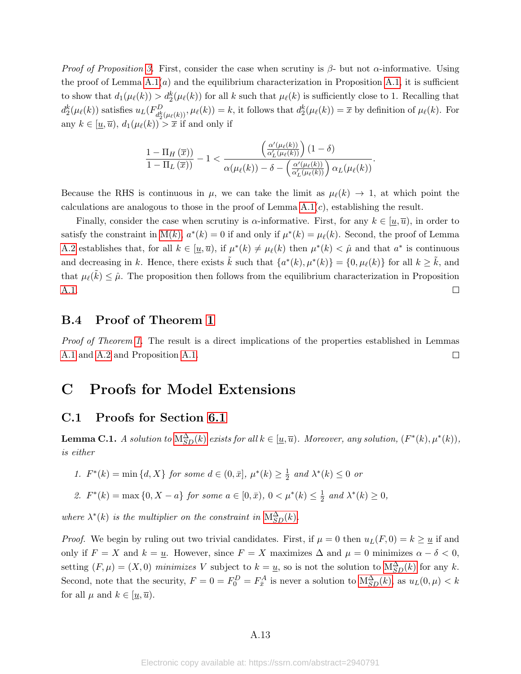*Proof of Proposition [3.](#page-19-1)* First, consider the case when scrutiny is  $\beta$ - but not  $\alpha$ -informative. Using the proof of Lemma  $A.1(a)$  and the equilibrium characterization in Proposition [A.1,](#page-35-1) it is sufficient to show that  $d_1(\mu_\ell(k)) > d_2^k(\mu_\ell(k))$  for all k such that  $\mu_\ell(k)$  is sufficiently close to 1. Recalling that  $d_2^k(\mu_\ell(k))$  satisfies  $u_L(F_{d_2^k}^D)$  $d_2^k(\mu_\ell(k))$ ,  $\mu_\ell(k)$  = k, it follows that  $d_2^k(\mu_\ell(k)) = \overline{x}$  by definition of  $\mu_\ell(k)$ . For any  $k \in [\underline{u}, \overline{u})$ ,  $d_1(\mu_\ell(k)) > \overline{x}$  if and only if

$$
\frac{1-\Pi_H\left(\overline{x}\right))}{1-\Pi_L\left(\overline{x}\right))}-1 < \frac{\left(\frac{\alpha'(\mu_\ell(k))}{\alpha_L'(\mu_\ell(k))}\right)(1-\delta)}{\alpha(\mu_\ell(k))-\delta - \left(\frac{\alpha'(\mu_\ell(k))}{\alpha_L'(\mu_\ell(k))}\right)\alpha_L(\mu_\ell(k))}.
$$

Because the RHS is continuous in  $\mu$ , we can take the limit as  $\mu_{\ell}(k) \to 1$ , at which point the calculations are analogous to those in the proof of Lemma  $A.1(c)$ , establishing the result.

Finally, consider the case when scrutiny is  $\alpha$ -informative. First, for any  $k \in [u, \overline{u})$ , in order to satisfy the constraint in [M\(](#page-12-2)k),  $a^*(k) = 0$  if and only if  $\mu^*(k) = \mu_\ell(k)$ . Second, the proof of Lemma [A.2](#page-34-2) establishes that, for all  $k \in [\underline{u}, \overline{u})$ , if  $\mu^*(k) \neq \mu_\ell(k)$  then  $\mu^*(k) < \hat{\mu}$  and that  $a^*$  is continuous and decreasing in k. Hence, there exists  $\tilde{k}$  such that  $\{a^*(k), \mu^*(k)\} = \{0, \mu_\ell(k)\}\$  for all  $k \geq \tilde{k}$ , and that  $\mu_{\ell}(\tilde{k}) \leq \hat{\mu}$ . The proposition then follows from the equilibrium characterization in Proposition [A.1.](#page-35-1)  $\Box$ 

## B.4 Proof of Theorem [1](#page-12-0)

Proof of Theorem [1.](#page-12-0) The result is a direct implications of the properties established in Lemmas  $\Box$ [A.1](#page-34-1) and [A.2](#page-34-2) and Proposition [A.1.](#page-35-1)

# C Proofs for Model Extensions

### C.1 Proofs for Section [6.1](#page-20-0)

**Lemma C.1.** A solution to  $M_{SD}^{\Delta}(k)$  $M_{SD}^{\Delta}(k)$  exists for all  $k \in [\underline{u}, \overline{u})$ . Moreover, any solution,  $(F^*(k), \mu^*(k))$ , is either

1.  $F^*(k) = \min\{d, X\}$  for some  $d \in (0, \bar{x}], \mu^*(k) \geq \frac{1}{2}$  $\frac{1}{2}$  and  $\lambda^*(k) \leq 0$  or

2.  $F^*(k) = \max\{0, X - a\}$  for some  $a \in [0, \bar{x}), 0 < \mu^*(k) \leq \frac{1}{2}$  $\frac{1}{2}$  and  $\lambda^*(k) \geq 0$ ,

where  $\lambda^*(k)$  is the multiplier on the constraint in  $M_{SD}^{\Delta}(k)$  $M_{SD}^{\Delta}(k)$ .

*Proof.* We begin by ruling out two trivial candidates. First, if  $\mu = 0$  then  $u_L(F, 0) = k \geq u$  if and only if  $F = X$  and  $k = u$ . However, since  $F = X$  maximizes  $\Delta$  and  $\mu = 0$  minimizes  $\alpha - \delta < 0$ , setting  $(F, \mu) = (X, 0)$  minimizes V subject to  $k = \underline{u}$ , so is not the solution to  $M_{SD}^{\Delta}(k)$  for any k. Second, note that the security,  $F = 0 = F_0^D = F_{\bar{x}}^A$  is never a solution to  $M_{SD}^{\Delta}(k)$ , as  $u_L(0, \mu) < k$ for all  $\mu$  and  $k \in [\underline{u}, \overline{u})$ .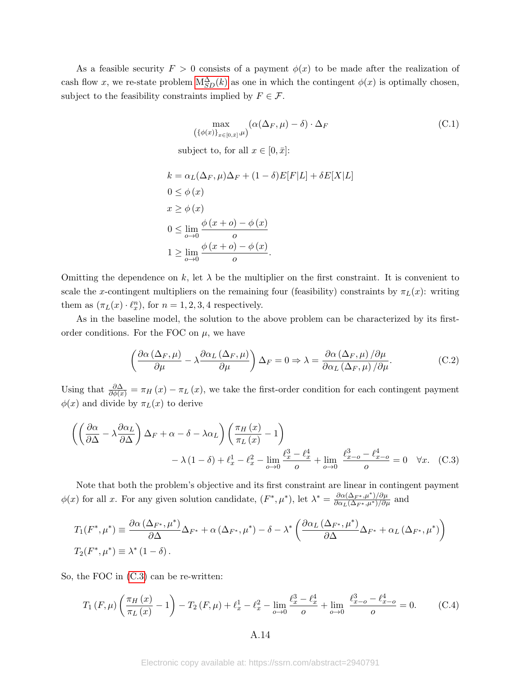As a feasible security  $F > 0$  consists of a payment  $\phi(x)$  to be made after the realization of cash flow x, we re-state problem  $M_{SD}^{\Delta}(k)$  as one in which the contingent  $\phi(x)$  is optimally chosen, subject to the feasibility constraints implied by  $F \in \mathcal{F}$ .

<span id="page-47-2"></span>
$$
\max_{(\{\phi(x)\}_{x\in[0,\bar{x}]},\mu)} (\alpha(\Delta_F,\mu)-\delta) \cdot \Delta_F
$$
\nsubject to, for all  $x \in [0,\bar{x}]:$ 

\n(C.1)

$$
k = \alpha_L(\Delta_F, \mu)\Delta_F + (1 - \delta)E[F|L] + \delta E[X|L]
$$
  
\n
$$
0 \le \phi(x)
$$
  
\n
$$
x \ge \phi(x)
$$
  
\n
$$
0 \le \lim_{o \to 0} \frac{\phi(x + o) - \phi(x)}{o}
$$
  
\n
$$
1 \ge \lim_{o \to 0} \frac{\phi(x + o) - \phi(x)}{o}.
$$

Omitting the dependence on k, let  $\lambda$  be the multiplier on the first constraint. It is convenient to scale the x-contingent multipliers on the remaining four (feasibility) constraints by  $\pi_L(x)$ : writing them as  $(\pi_L(x) \cdot \ell_x^n)$ , for  $n = 1, 2, 3, 4$  respectively.

As in the baseline model, the solution to the above problem can be characterized by its firstorder conditions. For the FOC on  $\mu$ , we have

<span id="page-47-3"></span>
$$
\left(\frac{\partial\alpha\left(\Delta_{F},\mu\right)}{\partial\mu} - \lambda \frac{\partial\alpha_{L}\left(\Delta_{F},\mu\right)}{\partial\mu}\right)\Delta_{F} = 0 \Rightarrow \lambda = \frac{\partial\alpha\left(\Delta_{F},\mu\right)/\partial\mu}{\partial\alpha_{L}\left(\Delta_{F},\mu\right)/\partial\mu}.
$$
 (C.2)

Using that  $\frac{\partial \Delta}{\partial \phi(x)} = \pi_H(x) - \pi_L(x)$ , we take the first-order condition for each contingent payment  $\phi(x)$  and divide by  $\pi_L(x)$  to derive

$$
\left( \left( \frac{\partial \alpha}{\partial \Delta} - \lambda \frac{\partial \alpha_L}{\partial \Delta} \right) \Delta_F + \alpha - \delta - \lambda \alpha_L \right) \left( \frac{\pi_H(x)}{\pi_L(x)} - 1 \right) \n- \lambda (1 - \delta) + \ell_x^1 - \ell_x^2 - \lim_{\rho \to 0} \frac{\ell_x^3 - \ell_x^4}{\rho} + \lim_{\rho \to 0} \frac{\ell_{x-\rho}^3 - \ell_{x-\rho}^4}{\rho} = 0 \quad \forall x. \quad \text{(C.3)}
$$

Note that both the problem's objective and its first constraint are linear in contingent payment  $\phi(x)$  for all x. For any given solution candidate,  $(F^*, \mu^*)$ , let  $\lambda^* = \frac{\partial \alpha(\Delta_{F^*}, \mu^*)}{\partial \alpha_L(\Delta_{F^*}, \mu^*)/\partial \mu}$  and

$$
T_1(F^*, \mu^*) \equiv \frac{\partial \alpha \left(\Delta_{F^*}, \mu^*\right)}{\partial \Delta} \Delta_{F^*} + \alpha \left(\Delta_{F^*}, \mu^*\right) - \delta - \lambda^* \left(\frac{\partial \alpha_L \left(\Delta_{F^*}, \mu^*\right)}{\partial \Delta} \Delta_{F^*} + \alpha_L \left(\Delta_{F^*}, \mu^*\right)\right)
$$
  

$$
T_2(F^*, \mu^*) \equiv \lambda^* \left(1 - \delta\right).
$$

So, the FOC in [\(C.3\)](#page-47-0) can be re-written:

<span id="page-47-1"></span>
$$
T_1(F,\mu)\left(\frac{\pi_H(x)}{\pi_L(x)}-1\right) - T_2(F,\mu) + \ell_x^1 - \ell_x^2 - \lim_{\rho \to 0} \frac{\ell_x^3 - \ell_x^4}{\rho} + \lim_{\rho \to 0} \frac{\ell_{x-\rho}^3 - \ell_{x-\rho}^4}{\rho} = 0. \tag{C.4}
$$

<span id="page-47-0"></span>A.14

Electronic copy available at: https://ssrn.com/abstract=2940791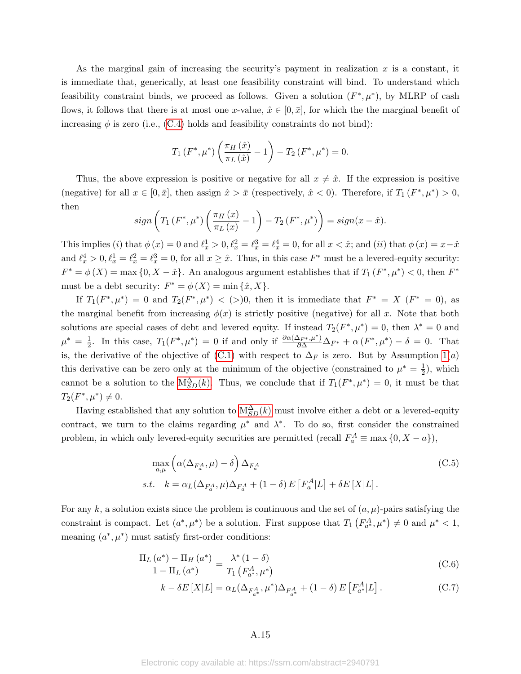As the marginal gain of increasing the security's payment in realization  $x$  is a constant, it is immediate that, generically, at least one feasibility constraint will bind. To understand which feasibility constraint binds, we proceed as follows. Given a solution  $(F^*, \mu^*)$ , by MLRP of cash flows, it follows that there is at most one x-value,  $\hat{x} \in [0,\bar{x}]$ , for which the the marginal benefit of increasing  $\phi$  is zero (i.e., [\(C.4\)](#page-47-1) holds and feasibility constraints do not bind):

$$
T_1(F^*, \mu^*) \left( \frac{\pi_H(\hat{x})}{\pi_L(\hat{x})} - 1 \right) - T_2(F^*, \mu^*) = 0.
$$

Thus, the above expression is positive or negative for all  $x \neq \hat{x}$ . If the expression is positive (negative) for all  $x \in [0, \bar{x}]$ , then assign  $\hat{x} > \bar{x}$  (respectively,  $\hat{x} < 0$ ). Therefore, if  $T_1(F^*, \mu^*) > 0$ , then

$$
sign\left(T_1\left(F^*,\mu^*\right)\left(\frac{\pi_H(x)}{\pi_L(x)}-1\right)-T_2\left(F^*,\mu^*\right)\right)=sign(x-\hat{x}).
$$

This implies (*i*) that  $\phi(x) = 0$  and  $\ell_x^1 > 0$ ,  $\ell_x^2 = \ell_x^3 = \ell_x^4 = 0$ , for all  $x < \hat{x}$ ; and (*ii*) that  $\phi(x) = x - \hat{x}$ and  $\ell_x^4 > 0, \ell_x^1 = \ell_x^2 = \ell_x^3 = 0$ , for all  $x \geq \hat{x}$ . Thus, in this case  $F^*$  must be a levered-equity security:  $F^* = \phi(X) = \max\{0, X - \hat{x}\}\.$  An analogous argument establishes that if  $T_1(F^*, \mu^*) < 0$ , then  $F^*$ must be a debt security:  $F^* = \phi(X) = \min{\{\hat{x}, X\}}$ .

If  $T_1(F^*, \mu^*) = 0$  and  $T_2(F^*, \mu^*) < (>)0$ , then it is immediate that  $F^* = X (F^* = 0)$ , as the marginal benefit from increasing  $\phi(x)$  is strictly positive (negative) for all x. Note that both solutions are special cases of debt and levered equity. If instead  $T_2(F^*, \mu^*) = 0$ , then  $\lambda^* = 0$  and  $\mu^* = \frac{1}{2}$  $\frac{1}{2}$ . In this case,  $T_1(F^*, \mu^*) = 0$  if and only if  $\frac{\partial \alpha(\Delta_{F^*}, \mu^*)}{\partial \Delta} \Delta_{F^*} + \alpha(F^*, \mu^*) - \delta = 0$ . That is, the derivative of the objective of [\(C.1\)](#page-47-2) with respect to  $\Delta_F$  is zero. But by Assumption [1\(](#page-22-0)a) this derivative can be zero only at the minimum of the objective (constrained to  $\mu^* = \frac{1}{2}$ )  $(\frac{1}{2})$ , which cannot be a solution to the  $M_{SD}^{\Delta}(k)$ . Thus, we conclude that if  $T_1(F^*, \mu^*) = 0$ , it must be that  $T_2(F^*, \mu^*) \neq 0.$ 

Having established that any solution to  $M_{SD}^{\Delta}(k)$  must involve either a debt or a levered-equity contract, we turn to the claims regarding  $\mu^*$  and  $\lambda^*$ . To do so, first consider the constrained problem, in which only levered-equity securities are permitted (recall  $F_a^A \equiv \max\{0, X - a\}$ ),

<span id="page-48-1"></span>
$$
\max_{a,\mu} \left( \alpha(\Delta_{F_a^A}, \mu) - \delta \right) \Delta_{F_a^A}
$$
\n
$$
s.t. \quad k = \alpha_L(\Delta_{F_a^A}, \mu) \Delta_{F_a^A} + (1 - \delta) E\left[ F_a^A | L \right] + \delta E\left[ X | L \right].
$$
\n
$$
(C.5)
$$

For any k, a solution exists since the problem is continuous and the set of  $(a, \mu)$ -pairs satisfying the constraint is compact. Let  $(a^*, \mu^*)$  be a solution. First suppose that  $T_1(F_{a^*}^A, \mu^*) \neq 0$  and  $\mu^* < 1$ , meaning  $(a^*, \mu^*)$  must satisfy first-order conditions:

$$
\frac{\Pi_L(a^*) - \Pi_H(a^*)}{1 - \Pi_L(a^*)} = \frac{\lambda^*(1 - \delta)}{T_1(F_{a^*}^A, \mu^*)}
$$
\n(C.6)

<span id="page-48-0"></span>
$$
k - \delta E[X|L] = \alpha_L(\Delta_{F_{a^*}^A}, \mu^*)\Delta_{F_{a^*}^A} + (1 - \delta) E[F_{a^*}^A|L].
$$
 (C.7)

Electronic copy available at: https://ssrn.com/abstract=2940791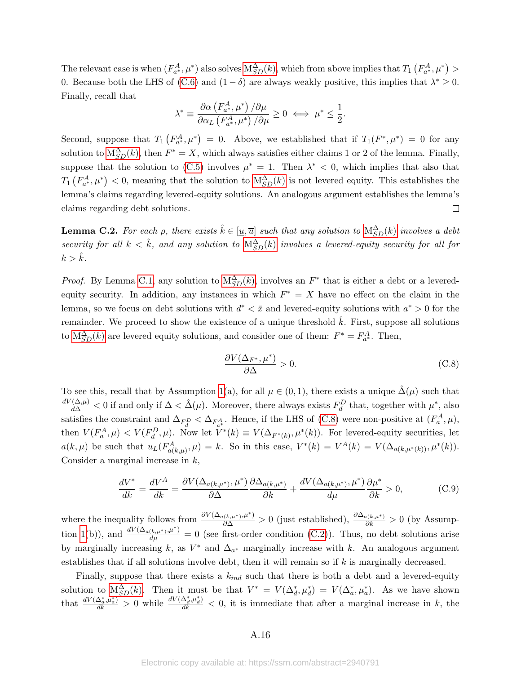The relevant case is when  $(F_{a^*}^A, \mu^*)$  also solves  $M_{SD}^{\Delta}(k)$ , which from above implies that  $T_1(F_{a^*}^A, \mu^*)$ 0. Because both the LHS of [\(C.6\)](#page-48-0) and  $(1 - \delta)$  are always weakly positive, this implies that  $\lambda^* \geq 0$ . Finally, recall that

$$
\lambda^* \equiv \frac{\partial \alpha \left(F_{a^*}^{A}, \mu^*\right)/\partial \mu}{\partial \alpha_L \left(F_{a^*}^{A}, \mu^*\right)/\partial \mu} \ge 0 \iff \mu^* \le \frac{1}{2}.
$$

Second, suppose that  $T_1(F^A_{a^*}, \mu^*) = 0$ . Above, we established that if  $T_1(F^*, \mu^*) = 0$  for any solution to  $M_{SD}^{\Delta}(k)$ , then  $F^* = X$ , which always satisfies either claims 1 or 2 of the lemma. Finally, suppose that the solution to [\(C.5\)](#page-48-1) involves  $\mu^* = 1$ . Then  $\lambda^* < 0$ , which implies that also that  $T_1(F_{a^*}^A, \mu^*)$  < 0, meaning that the solution to  $M_{SD}^{\Delta}(k)$  is not levered equity. This establishes the lemma's claims regarding levered-equity solutions. An analogous argument establishes the lemma's claims regarding debt solutions.  $\Box$ 

**Lemma C.2.** For each  $\rho$ , there exists  $\hat{k} \in [\underline{u}, \overline{u}]$  such that any solution to  $M_{SD}^{\Delta}(k)$  $M_{SD}^{\Delta}(k)$  involves a debt security for all  $k < \hat{k}$ , and any solution to  $M_{SD}^{\Delta}(k)$  $M_{SD}^{\Delta}(k)$  involves a levered-equity security for all for  $k > k$ .

*Proof.* By Lemma [C.1,](#page-13-1) any solution to  $M_{SD}^{\Delta}(k)$ , involves an  $F^*$  that is either a debt or a leveredequity security. In addition, any instances in which  $F^* = X$  have no effect on the claim in the lemma, so we focus on debt solutions with  $d^* < \bar{x}$  and levered-equity solutions with  $a^* > 0$  for the remainder. We proceed to show the existence of a unique threshold  $\hat{k}$ . First, suppose all solutions to  $M_{SD}^{\Delta}(k)$  are levered equity solutions, and consider one of them:  $F^* = F_{a^*}^A$ . Then,

<span id="page-49-0"></span>
$$
\frac{\partial V(\Delta_{F^*}, \mu^*)}{\partial \Delta} > 0. \tag{C.8}
$$

To see this, recall that by Assumption [1\(](#page-22-0)a), for all  $\mu \in (0,1)$ , there exists a unique  $\hat{\Delta}(\mu)$  such that  $\frac{dV(\Delta,\mu)}{d\Delta}$  < 0 if and only if  $\Delta < \hat{\Delta}(\mu)$ . Moreover, there always exists  $F_d^D$  that, together with  $\mu^*$ , also satisfies the constraint and  $\Delta_{F_d^D} < \Delta_{F_{a^*}^A}$ . Hence, if the LHS of [\(C.8\)](#page-49-0) were non-positive at  $(F_a^A, \mu)$ , then  $V(F_a^A, \mu) < V(F_a^D, \mu)$ . Now let  $\tilde{V}^*(k) \equiv V(\Delta_{F^*(k)}, \mu^*(k))$ . For levered-equity securities, let  $a(k,\mu)$  be such that  $u_L(F^A_{a(k,\mu)},\mu) = k$ . So in this case,  $V^*(k) = V^A(k) = V(\Delta_{a(k,\mu^*(k))},\mu^*(k))$ . Consider a marginal increase in  $k$ ,

$$
\frac{dV^*}{dk} = \frac{dV^A}{dk} = \frac{\partial V(\Delta_{a(k,\mu^*)}, \mu^*)}{\partial \Delta} \frac{\partial \Delta_{a(k,\mu^*)}}{\partial k} + \frac{dV(\Delta_{a(k,\mu^*)}, \mu^*)}{d\mu} \frac{\partial \mu^*}{\partial k} > 0,
$$
\n(C.9)

where the inequality follows from  $\frac{\partial V(\Delta_{a(k,\mu^*),\mu^*})}{\partial \Delta} > 0$  (just established),  $\frac{\partial \Delta_{a(k,\mu^*)}}{\partial k} > 0$  (by Assump-tion [1\(](#page-22-0)b)), and  $\frac{dV(\Delta_{a(k,\mu^*),\mu^*})}{d\mu} = 0$  (see first-order condition [\(C.2\)](#page-47-3)). Thus, no debt solutions arise by marginally increasing k, as  $V^*$  and  $\Delta_{a^*}$  marginally increase with k. An analogous argument establishes that if all solutions involve debt, then it will remain so if  $k$  is marginally decreased.

Finally, suppose that there exists a  $k_{ind}$  such that there is both a debt and a levered-equity solution to  $M_{SD}^{\Delta}(k)$ . Then it must be that  $V^* = V(\Delta_d^*, \mu_d^*) = V(\Delta_a^*, \mu_a^*)$ . As we have shown that  $\frac{dV(\Delta_a^*,\mu_a^*)}{dk} > 0$  while  $\frac{dV(\Delta_d^*,\mu_d^*)}{dk} < 0$ , it is immediate that after a marginal increase in k, the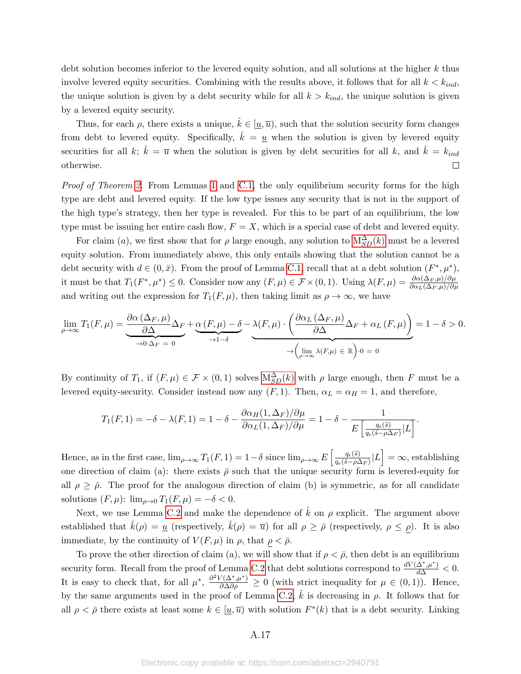debt solution becomes inferior to the levered equity solution, and all solutions at the higher k thus involve levered equity securities. Combining with the results above, it follows that for all  $k < k_{ind}$ , the unique solution is given by a debt security while for all  $k > k_{ind}$ , the unique solution is given by a levered equity security.

Thus, for each  $\rho$ , there exists a unique,  $\hat{k} \in [\underline{u}, \overline{u})$ , such that the solution security form changes from debt to levered equity. Specifically,  $\hat{k} = \underline{u}$  when the solution is given by levered equity securities for all k;  $\hat{k} = \bar{u}$  when the solution is given by debt securities for all k, and  $\hat{k} = k_{ind}$  $\Box$ otherwise.

Proof of Theorem [2.](#page-22-1) From Lemmas [1](#page-13-1) and [C.1,](#page-13-1) the only equilibrium security forms for the high type are debt and levered equity. If the low type issues any security that is not in the support of the high type's strategy, then her type is revealed. For this to be part of an equilibrium, the low type must be issuing her entire cash flow,  $F = X$ , which is a special case of debt and levered equity.

For claim (a), we first show that for  $\rho$  large enough, any solution to  $M_{SD}^{\Delta}(k)$  must be a levered equity solution. From immediately above, this only entails showing that the solution cannot be a debt security with  $d \in (0, \bar{x})$ . From the proof of Lemma [C.1,](#page-13-1) recall that at a debt solution  $(F^*, \mu^*)$ , it must be that  $T_1(F^*, \mu^*) \leq 0$ . Consider now any  $(F, \mu) \in \mathcal{F} \times (0, 1)$ . Using  $\lambda(F, \mu) = \frac{\partial \alpha(\Delta_F, \mu)/\partial \mu}{\partial \alpha_L(\Delta_F, \mu)/\partial \mu}$ and writing out the expression for  $T_1(F,\mu)$ , then taking limit as  $\rho \to \infty$ , we have

$$
\lim_{\rho \to \infty} T_1(F, \mu) = \underbrace{\frac{\partial \alpha \left(\Delta_F, \mu\right)}{\partial \Delta} \Delta_F}_{\to 0 \cdot \Delta_F = 0} + \underbrace{\alpha \left(F, \mu\right) - \delta}_{\to 1 - \delta} - \underbrace{\lambda \left(F, \mu\right) \cdot \left(\frac{\partial \alpha_L \left(\Delta_F, \mu\right)}{\partial \Delta} \Delta_F + \alpha_L \left(F, \mu\right)\right)}_{\to \left(\lim_{\rho \to \infty} \lambda \left(F, \mu\right) \in \mathbb{R}\right) \cdot 0 = 0} = 1 - \delta > 0.
$$

By continuity of  $T_1$ , if  $(F, \mu) \in \mathcal{F} \times (0, 1)$  solves  $M_{SD}^{\Delta}(k)$  with  $\rho$  large enough, then F must be a levered equity-security. Consider instead now any  $(F, 1)$ . Then,  $\alpha_L = \alpha_H = 1$ , and therefore,

$$
T_1(F,1) = -\delta - \lambda(F,1) = 1 - \delta - \frac{\partial \alpha_H(1,\Delta_F)/\partial \mu}{\partial \alpha_L(1,\Delta_F)/\partial \mu} = 1 - \delta - \frac{1}{E\left[\frac{q_\epsilon(\tilde{s})}{q_\epsilon(\tilde{s}-\rho\Delta_F)}|L\right]}.
$$

Hence, as in the first case,  $\lim_{\rho\to\infty} T_1(F,1) = 1-\delta$  since  $\lim_{\rho\to\infty} E\left[\frac{q_e(\tilde{s})}{q_e(\tilde{s}-\rho)^2}\right]$  $\frac{q_{\epsilon}(\tilde{s})}{q_{\epsilon}(\tilde{s}-\rho\Delta_F)}|L=\infty$ , establishing one direction of claim (a): there exists  $\bar{\rho}$  such that the unique security form is levered-equity for all  $\rho \geq \bar{\rho}$ . The proof for the analogous direction of claim (b) is symmetric, as for all candidate solutions  $(F, \mu)$ :  $\lim_{\rho \to 0} T_1(F, \mu) = -\delta < 0$ .

Next, we use Lemma [C.2](#page-14-2) and make the dependence of  $\hat{k}$  on  $\rho$  explicit. The argument above established that  $\hat{k}(\rho) = \underline{u}$  (respectively,  $\hat{k}(\rho) = \overline{u}$ ) for all  $\rho \geq \overline{\rho}$  (respectively,  $\rho \leq \rho$ ). It is also immediate, by the continuity of  $V(F,\mu)$  in  $\rho$ , that  $\rho < \overline{\rho}$ .

To prove the other direction of claim (a), we will show that if  $\rho < \bar{\rho}$ , then debt is an equilibrium security form. Recall from the proof of Lemma [C.2](#page-14-2) that debt solutions correspond to  $\frac{dV(\Delta^*,\mu^*)}{d\Delta}<0$ . It is easy to check that, for all  $\mu^*, \frac{\partial^2 V(\Delta^*, \mu^*)}{\partial \Delta \partial \rho} \geq 0$  (with strict inequality for  $\mu \in (0, 1)$ ). Hence, by the same arguments used in the proof of Lemma [C.2,](#page-14-2)  $\ddot{k}$  is decreasing in  $\rho$ . It follows that for all  $\rho < \bar{\rho}$  there exists at least some  $k \in [\underline{u}, \bar{u})$  with solution  $F^*(k)$  that is a debt security. Linking

### A.17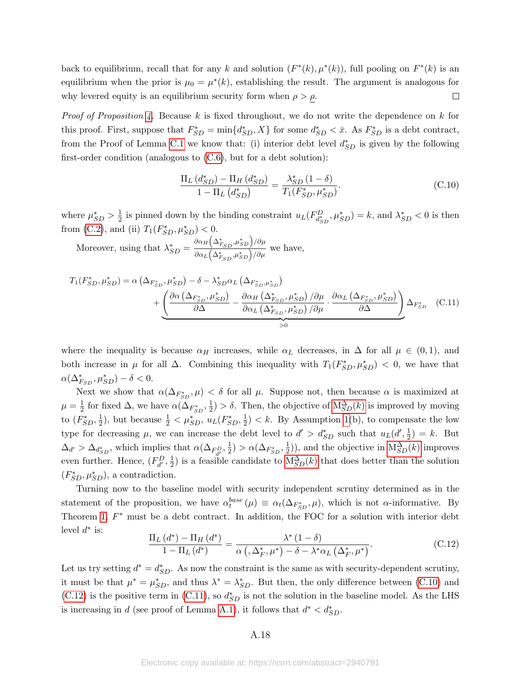back to equilibrium, recall that for any k and solution  $(F^*(k), \mu^*(k))$ , full pooling on  $F^*(k)$  is an equilibrium when the prior is  $\mu_0 = \mu^*(k)$ , establishing the result. The argument is analogous for why levered equity is an equilibrium security form when  $\rho > \rho$ .  $\Box$ 

*Proof of Proposition [4.](#page-23-0)* Because k is fixed throughout, we do not write the dependence on k for this proof. First, suppose that  $F_{SD}^* = \min\{d_{SD}^*, X\}$  for some  $d_{SD}^* < \bar{x}$ . As  $F_{SD}^*$  is a debt contract, from the Proof of Lemma [C.1](#page-13-1) we know that: (i) interior debt level  $d_{SD}^*$  is given by the following first-order condition (analogous to  $(C.6)$ , but for a debt solution):

<span id="page-51-2"></span><span id="page-51-0"></span>
$$
\frac{\Pi_L (d_{SD}^*) - \Pi_H (d_{SD}^*)}{1 - \Pi_L (d_{SD}^*)} = \frac{\lambda_{SD}^* (1 - \delta)}{T_1(F_{SD}^*, \mu_{SD}^*)}.
$$
\n(C.10)

where  $\mu_{SD}^* > \frac{1}{2}$  $\frac{1}{2}$  is pinned down by the binding constraint  $u_L(F_{d_{SD}^*}^D, \mu_{SD}^*) = k$ , and  $\lambda_{SD}^* < 0$  is then from [\(C.2\)](#page-47-3), and (ii)  $T_1(F_{SD}^*, \mu_{SD}^*) < 0$ .

Moreover, using that  $\lambda_{SD}^* = \frac{\partial \alpha_H (\Delta_{FSD}^*, \mu_{SD}^*)}{\partial \alpha_H (\Delta_{FSD}^*, \mu_{SD}^*)/\partial \mu}$  $\frac{\partial \alpha_L (\Delta_{F_{SD}}, \mu_{SD}^*)/\partial \mu}{\partial \alpha_L (\Delta_{F_{SD}}, \mu_{SD}^*)/\partial \mu}$  we have,

$$
T_{1}(F_{SD}^{*}, \mu_{SD}^{*}) = \alpha \left(\Delta_{F_{SD}^{*}}, \mu_{SD}^{*}\right) - \delta - \lambda_{SD}^{*}\alpha_{L} \left(\Delta_{F_{SD}^{*}, \mu_{SD}^{*}}\right) + \underbrace{\left(\frac{\partial\alpha\left(\Delta_{F_{SD}^{*}}, \mu_{SD}^{*}\right)}{\partial\Delta} - \frac{\partial\alpha_{H}\left(\Delta_{F_{SD}^{*}}, \mu_{SD}^{*}\right)}{\partial\alpha_{L}\left(\Delta_{F_{SD}^{*}}, \mu_{SD}^{*}\right)} / \partial\mu}_{>0} \cdot \frac{\partial\alpha_{L}\left(\Delta_{F_{SD}^{*}}, \mu_{SD}^{*}\right)}{\partial\Delta}\right)}_{>0} \Delta_{F_{SD}^{*}} \quad (C.11)
$$

where the inequality is because  $\alpha_H$  increases, while  $\alpha_L$  decreases, in  $\Delta$  for all  $\mu \in (0,1)$ , and both increase in  $\mu$  for all  $\Delta$ . Combining this inequality with  $T_1(F_{SD}^*, \mu_{SD}^*) < 0$ , we have that  $\alpha(\Delta_{FSD}^*, \mu_{SD}^*) - \delta < 0.$ 

Next we show that  $\alpha(\Delta_{F_{SD}^*}, \mu) < \delta$  for all  $\mu$ . Suppose not, then because  $\alpha$  is maximized at  $\mu = \frac{1}{2}$  $\frac{1}{2}$  for fixed  $\Delta$ , we have  $\alpha(\Delta_{F_{SD}^*}, \frac{1}{2})$  $\frac{1}{2}$  >  $\delta$ . Then, the objective of  $M_{SD}^{\Delta}(k)$  is improved by moving to  $(F_{SD}^*, \frac{1}{2})$  $\frac{1}{2}$ ), but because  $\frac{1}{2} < \mu_{SD}^*$ ,  $u_L(F_{SD}^*, \frac{1}{2})$  $\frac{1}{2}$   $\langle k. \rangle$  By Assumption [1\(](#page-22-0)b), to compensate the low type for decreasing  $\mu$ , we can increase the debt level to  $d' > d_{SD}^*$  such that  $u_L(d', \frac{1}{2})$  $(\frac{1}{2}) = k$ . But  $\Delta_{d'} > \Delta_{d_{SD}^*}$ , which implies that  $\alpha(\Delta_{F_{d'}^D}, \frac{1}{2})$  $(\Delta_{F_{SD}^*}, \frac{1}{2}) > \alpha(\Delta_{F_{SD}^*}, \frac{1}{2})$  $(\frac{1}{2})$ , and the objective in  $M_{SD}^{\Delta}(k)$  improves even further. Hence,  $(F_{d'}^D, \frac{1}{2})$  $\frac{1}{2}$ ) is a feasible candidate to  $M_{SD}^{\Delta}(k)$  that does better than the solution  $(F_{SD}^*, \mu_{SD}^*),$  a contradiction.

Turning now to the baseline model with security independent scrutiny determined as in the statement of the proposition, we have  $\alpha_t^{base}(\mu) \equiv \alpha_t(\Delta_{F_{SD}^*}, \mu)$ , which is not  $\alpha$ -informative. By Theorem [1,](#page-12-0)  $F^*$  must be a debt contract. In addition, the FOC for a solution with interior debt level  $d^*$  is:

<span id="page-51-1"></span>
$$
\frac{\Pi_L(d^*) - \Pi_H(d^*)}{1 - \Pi_L(d^*)} = \frac{\lambda^*(1 - \delta)}{\alpha\left(\frac{\Delta_F^*, \mu^*}{1 - \delta - \lambda^*\alpha_L(\Delta_F^*, \mu^*)}\right)}.
$$
\n(C.12)

Let us try setting  $d^* = d_{SD}^*$ . As now the constraint is the same as with security-dependent scrutiny, it must be that  $\mu^* = \mu_{SD}^*$ , and thus  $\lambda^* = \lambda_{SD}^*$ . But then, the only difference between [\(C.10\)](#page-51-0) and [\(C.12\)](#page-51-1) is the positive term in [\(C.11\)](#page-51-2), so  $d_{SD}^*$  is not the solution in the baseline model. As the LHS is increasing in d (see proof of Lemma [A.1\)](#page-13-1), it follows that  $d^* < d_{SD}^*$ .

### A.18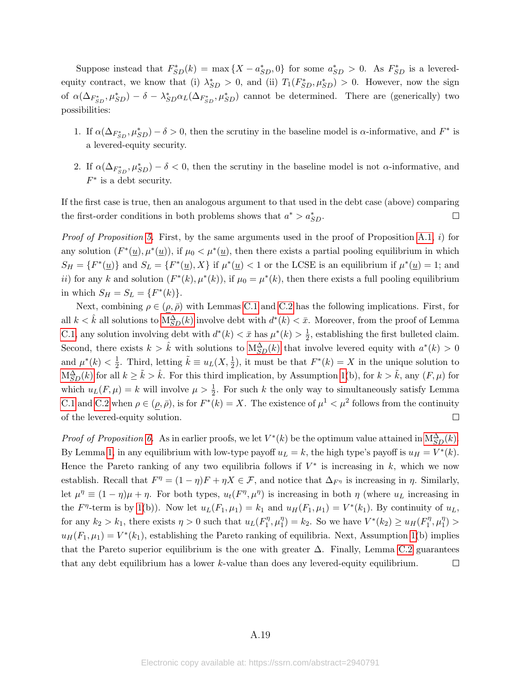Suppose instead that  $F_{SD}^*(k) = \max\{X - a_{SD}^*, 0\}$  for some  $a_{SD}^* > 0$ . As  $F_{SD}^*$  is a leveredequity contract, we know that (i)  $\lambda_{SD}^* > 0$ , and (ii)  $T_1(F_{SD}^*, \mu_{SD}^*) > 0$ . However, now the sign of  $\alpha(\Delta_{F_{SD}^*}, \mu_{SD}^*) - \delta - \lambda_{SD}^* \alpha_L(\Delta_{F_{SD}^*}, \mu_{SD}^*)$  cannot be determined. There are (generically) two possibilities:

- 1. If  $\alpha(\Delta_{F_{SD}^*}, \mu_{SD}^*) \delta > 0$ , then the scrutiny in the baseline model is  $\alpha$ -informative, and  $F^*$  is a levered-equity security.
- 2. If  $\alpha(\Delta_{F_{SD}^*}, \mu_{SD}^*) \delta < 0$ , then the scrutiny in the baseline model is not  $\alpha$ -informative, and  $F^*$  is a debt security.

If the first case is true, then an analogous argument to that used in the debt case (above) comparing the first-order conditions in both problems shows that  $a^* > a_{SD}^*$ .  $\Box$ 

*Proof of Proposition [5.](#page-23-1)* First, by the same arguments used in the proof of Proposition [A.1,](#page-35-1) i) for any solution  $(F^*(\underline{u}), \mu^*(\underline{u}))$ , if  $\mu_0 < \mu^*(\underline{u})$ , then there exists a partial pooling equilibrium in which  $S_H = \{F^*(\underline{u})\}$  and  $S_L = \{F^*(\underline{u}), X\}$  if  $\mu^*(\underline{u}) < 1$  or the LCSE is an equilibrium if  $\mu^*(\underline{u}) = 1$ ; and ii) for any k and solution  $(F^*(k), \mu^*(k))$ , if  $\mu_0 = \mu^*(k)$ , then there exists a full pooling equilibrium in which  $S_H = S_L = \{F^*(k)\}.$ 

Next, combining  $\rho \in (\rho, \bar{\rho})$  with Lemmas [C.1](#page-13-1) and [C.2](#page-14-2) has the following implications. First, for all  $k < \hat{k}$  all solutions to  $M_{SD}^{\Delta}(k)$  involve debt with  $d^*(k) < \bar{x}$ . [M](#page-21-0)oreover, from the proof of Lemma [C.1,](#page-13-1) any solution involving debt with  $d^*(k) < \bar{x}$  has  $\mu^*(k) > \frac{1}{2}$  $\frac{1}{2}$ , establishing the first bulleted claim. Second, there exists  $k > \hat{k}$  with solutions to  $M_{SD}^{\Delta}(k)$  that involve levered equity with  $a^*(k) > 0$  $\frac{1}{2}$ . Third, letting  $\tilde{k} \equiv u_L(X, \frac{1}{2})$ , it must be that  $F^*(k) = X$  in the unique solution to and  $\mu^*(k) < \frac{1}{2}$  $M_{SD}^{\Delta}(k)$  $M_{SD}^{\Delta}(k)$  for all  $k \geq \tilde{k} > \hat{k}$ . For this third implication, by Assumption [1\(](#page-22-0)b), for  $k > \tilde{k}$ , any  $(F, \mu)$  for which  $u_L(F, \mu) = k$  will involve  $\mu > \frac{1}{2}$ . For such k the only way to simultaneously satisfy Lemma [C.1](#page-13-1) and [C.2](#page-14-2) when  $\rho \in (\rho, \bar{\rho})$ , is for  $F^*(k) = X$ . The existence of  $\mu^1 < \mu^2$  follows from the continuity of the levered-equity solution.  $\Box$ 

*Proof of Proposition [6.](#page-25-1)* As in earlier proofs, we let  $V^*(k)$  be the optimum value attained in  $M_{SD}^{\Delta}(k)$ . By Lemma [1,](#page-13-1) in any equilibrium with low-type payoff  $u_L = k$ , the high type's payoff is  $u_H = V^*(k)$ . Hence the Pareto ranking of any two equilibria follows if  $V^*$  is increasing in k, which we now establish. Recall that  $F^{\eta} = (1 - \eta)F + \eta X \in \mathcal{F}$ , and notice that  $\Delta_{F^{\eta}}$  is increasing in  $\eta$ . Similarly, let  $\mu^{\eta} \equiv (1 - \eta)\mu + \eta$ . For both types,  $u_t(F^{\eta}, \mu^{\eta})$  is increasing in both  $\eta$  (where  $u_L$  increasing in the  $F^{\eta}$ -term is by [1\(](#page-22-0)b)). Now let  $u_L(F_1,\mu_1) = k_1$  and  $u_H(F_1,\mu_1) = V^*(k_1)$ . By continuity of  $u_L$ , for any  $k_2 > k_1$ , there exists  $\eta > 0$  such that  $u_L(F_1^{\eta})$  $\eta_1^{\eta}, \mu_1^{\eta}$  $j_1^{\eta}$ ) =  $k_2$ . So we have  $V^*(k_2) \geq u_H(F_1^{\eta})$  $\eta_1^{\eta}, \mu_1^{\eta}$  $_{1}^{\eta}$ )  $>$  $u_H(F_1,\mu_1) = V^*(k_1)$ , establishing the Pareto ranking of equilibria. Next, Assumption [1\(](#page-22-0)b) implies that the Pareto superior equilibrium is the one with greater  $\Delta$ . Finally, Lemma [C.2](#page-14-2) guarantees that any debt equilibrium has a lower k-value than does any levered-equity equilibrium.  $\Box$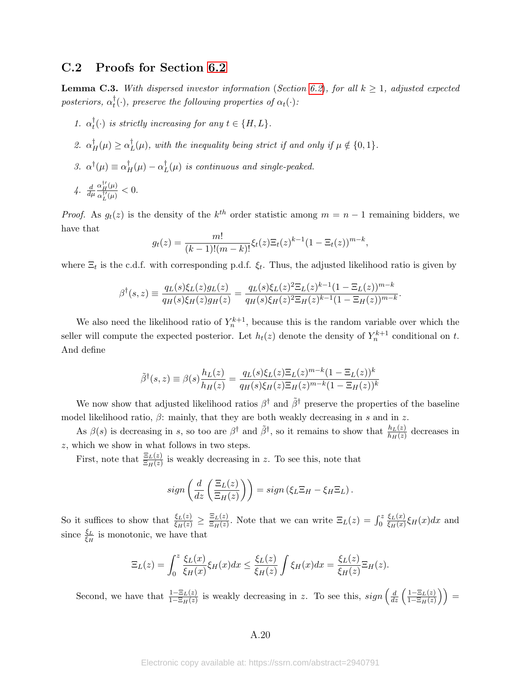## C.2 Proofs for Section [6.2](#page-26-1)

**Lemma C.3.** With dispersed investor information (Section [6.2](#page-26-1)), for all  $k \geq 1$ , adjusted expected  $posteriors, \ \alpha_t^{\dagger}$  $_t^{\dagger}(\cdot)$ , preserve the following properties of  $\alpha_t(\cdot)$ :

- 1.  $\alpha_t^{\dagger}$  $_t^{\dagger}(\cdot)$  is strictly increasing for any  $t \in \{H, L\}$ .
- 2.  $\alpha_H^{\dagger}(\mu) \geq \alpha_I^{\dagger}$  $_{L}^{T}(\mu)$ , with the inequality being strict if and only if  $\mu \notin \{0,1\}.$
- 3.  $\alpha^{\dagger}(\mu) \equiv \alpha_H^{\dagger}(\mu) \alpha_I^{\dagger}$  $_L^{\dagger}(\mu)$  is continuous and single-peaked.
- $4. \frac{d}{d\mu}$  $\alpha_H^{\dagger\prime}(\mu)$  $\frac{\alpha_H(\mu)}{\alpha_L^{\dagger\prime}(\mu)} < 0.$

*Proof.* As  $g_t(z)$  is the density of the  $k^{th}$  order statistic among  $m = n - 1$  remaining bidders, we have that

$$
g_t(z) = \frac{m!}{(k-1)!(m-k)!} \xi_t(z) \Xi_t(z)^{k-1} (1 - \Xi_t(z))^{m-k},
$$

where  $\Xi_t$  is the c.d.f. with corresponding p.d.f.  $\xi_t$ . Thus, the adjusted likelihood ratio is given by

$$
\beta^{\dagger}(s,z) \equiv \frac{q_L(s)\xi_L(z)g_L(z)}{q_H(s)\xi_H(z)g_H(z)} = \frac{q_L(s)\xi_L(z)^2\Xi_L(z)^{k-1}(1-\Xi_L(z))^{m-k}}{q_H(s)\xi_H(z)^2\Xi_H(z)^{k-1}(1-\Xi_H(z))^{m-k}}
$$

.

We also need the likelihood ratio of  $Y_n^{k+1}$ , because this is the random variable over which the seller will compute the expected posterior. Let  $h_t(z)$  denote the density of  $Y_n^{k+1}$  conditional on t. And define

$$
\tilde{\beta}^{\dagger}(s,z) \equiv \beta(s) \frac{h_L(z)}{h_H(z)} = \frac{q_L(s)\xi_L(z)\Xi_L(z)^{m-k}(1-\Xi_L(z))^k}{q_H(s)\xi_H(z)\Xi_H(z)^{m-k}(1-\Xi_H(z))^k}
$$

We now show that adjusted likelihood ratios  $\beta^{\dagger}$  and  $\tilde{\beta}^{\dagger}$  preserve the properties of the baseline model likelihood ratio,  $\beta$ : mainly, that they are both weakly decreasing in s and in z.

As  $\beta(s)$  is decreasing in s, so too are  $\beta^{\dagger}$  and  $\tilde{\beta}^{\dagger}$ , so it remains to show that  $\frac{h_L(z)}{h_H(z)}$  decreases in z, which we show in what follows in two steps.

First, note that  $\frac{\Xi_L(z)}{\Xi_H(z)}$  is weakly decreasing in z. To see this, note that

$$
sign\left(\frac{d}{dz}\left(\frac{\Xi_L(z)}{\Xi_H(z)}\right)\right) = sign\left(\xi_L \Xi_H - \xi_H \Xi_L\right).
$$

So it suffices to show that  $\frac{\xi_L(z)}{\xi_H(z)} \geq \frac{\Xi_L(z)}{\Xi_H(z)}$  $\frac{\Xi_L(z)}{\Xi_H(z)}$ . Note that we can write  $\Xi_L(z) = \int_0^z$  $\xi_L(x)$  $\frac{\xi_L(x)}{\xi_H(x)}\xi_H(x)dx$  and since  $\frac{\xi_L}{\xi_H}$  is monotonic, we have that

$$
\Xi_L(z) = \int_0^z \frac{\xi_L(x)}{\xi_H(x)} \xi_H(x) dx \le \frac{\xi_L(z)}{\xi_H(z)} \int \xi_H(x) dx = \frac{\xi_L(z)}{\xi_H(z)} \Xi_H(z).
$$

Second, we have that  $\frac{1-\Xi_L(z)}{1-\Xi_H(z)}$  is weakly decreasing in z. To see this,  $sign\left(\frac{d}{dz}\left(\frac{1-\Xi_L(z)}{1-\Xi_H(z)}\right)\right)$  $\frac{1-\Xi_L(z)}{1-\Xi_H(z)}\bigg)\bigg)=$